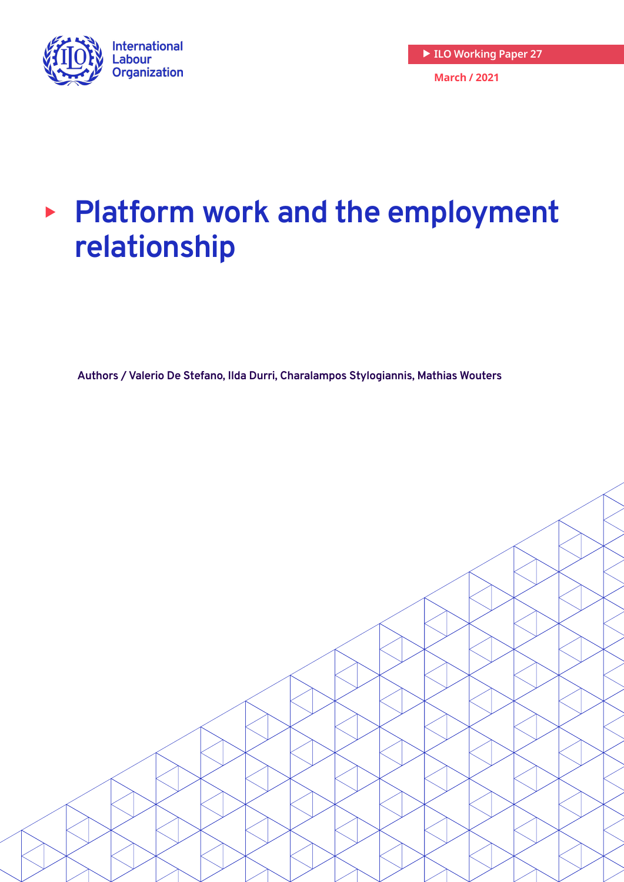

# <sup>X</sup> **Platform work and the employment relationship**

**Authors / Valerio De Stefano, Ilda Durri, Charalampos Stylogiannis, Mathias Wouters**

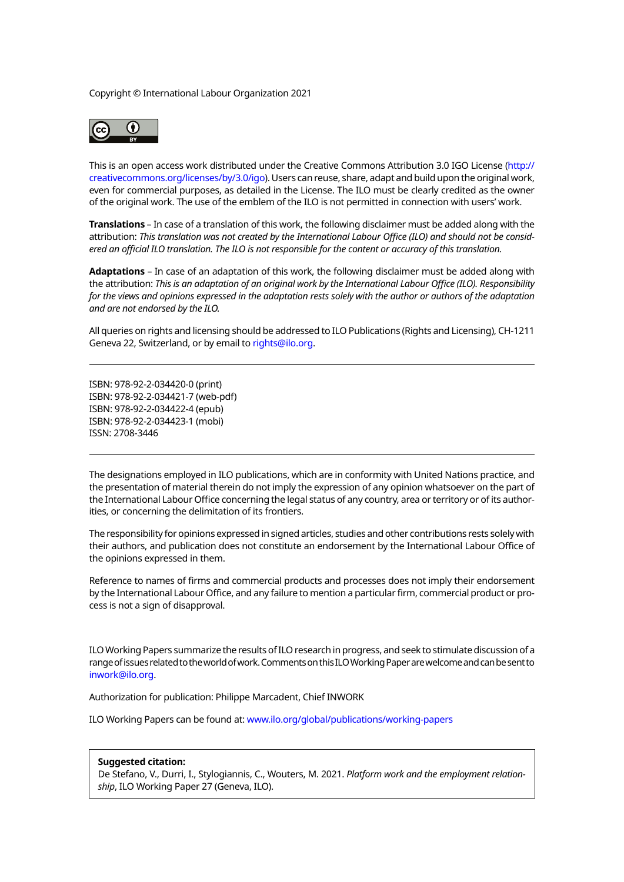Copyright © International Labour Organization 2021



This is an open access work distributed under the Creative Commons Attribution 3.0 IGO License ([http://](http://creativecommons.org/licenses/by/3.0/igo) [creativecommons.org/licenses/by/3.0/igo\)](http://creativecommons.org/licenses/by/3.0/igo). Users can reuse, share, adapt and build upon the original work, even for commercial purposes, as detailed in the License. The ILO must be clearly credited as the owner of the original work. The use of the emblem of the ILO is not permitted in connection with users' work.

**Translations** – In case of a translation of this work, the following disclaimer must be added along with the attribution: *This translation was not created by the International Labour Office (ILO) and should not be considered an official ILO translation. The ILO is not responsible for the content or accuracy of this translation.*

**Adaptations** – In case of an adaptation of this work, the following disclaimer must be added along with the attribution: *This is an adaptation of an original work by the International Labour Office (ILO). Responsibility for the views and opinions expressed in the adaptation rests solely with the author or authors of the adaptation and are not endorsed by the ILO.*

All queries on rights and licensing should be addressed to ILO Publications (Rights and Licensing), CH-1211 Geneva 22, Switzerland, or by email to [rights@ilo.org.](mailto:rights@ilo.org)

ISBN: 978-92-2-034420-0 (print) ISBN: 978-92-2-034421-7 (web-pdf) ISBN: 978-92-2-034422-4 (epub) ISBN: 978-92-2-034423-1 (mobi) ISSN: 2708-3446

The designations employed in ILO publications, which are in conformity with United Nations practice, and the presentation of material therein do not imply the expression of any opinion whatsoever on the part of the International Labour Office concerning the legal status of any country, area or territory or of its authorities, or concerning the delimitation of its frontiers.

The responsibility for opinions expressed in signed articles, studies and other contributions rests solely with their authors, and publication does not constitute an endorsement by the International Labour Office of the opinions expressed in them.

Reference to names of firms and commercial products and processes does not imply their endorsement by the International Labour Office, and any failure to mention a particular firm, commercial product or process is not a sign of disapproval.

ILO Working Papers summarize the results of ILO research in progress, and seek to stimulate discussion of a range of issues related to the world of work. Comments on this ILO Working Paper are welcome and can be sent to [inwork@ilo.org.](mailto:inwork@ilo.org)

Authorization for publication: Philippe Marcadent, Chief INWORK

ILO Working Papers can be found at: <www.ilo.org/global/publications/working-papers>

#### **Suggested citation:**

De Stefano, V., Durri, I., Stylogiannis, C., Wouters, M. 2021. *Platform work and the employment relationship*, ILO Working Paper 27 (Geneva, ILO).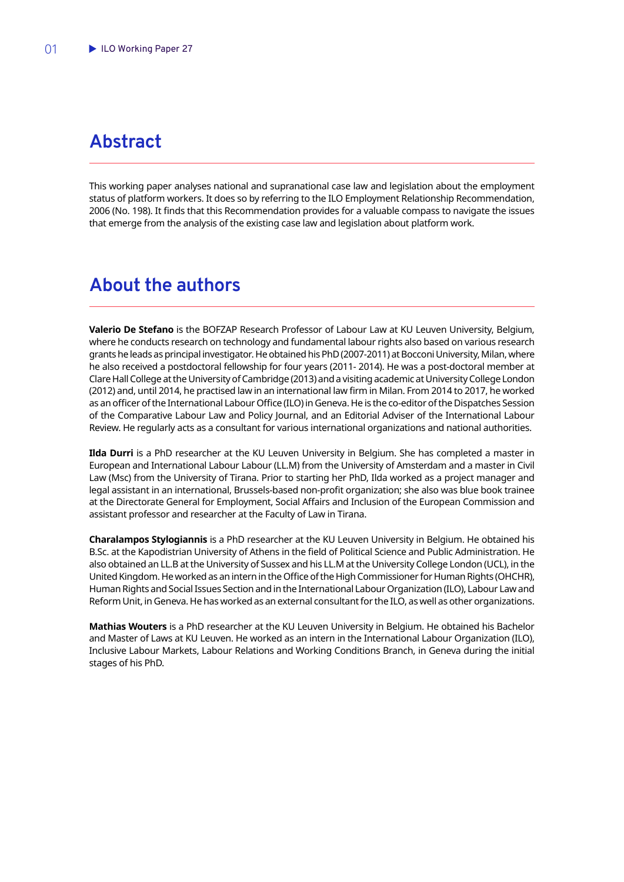# <span id="page-2-0"></span>**Abstract**

This working paper analyses national and supranational case law and legislation about the employment status of platform workers. It does so by referring to the ILO Employment Relationship Recommendation, 2006 (No. 198). It finds that this Recommendation provides for a valuable compass to navigate the issues that emerge from the analysis of the existing case law and legislation about platform work.

# **About the authors**

**Valerio De Stefano** is the BOFZAP Research Professor of Labour Law at KU Leuven University, Belgium, where he conducts research on technology and fundamental labour rights also based on various research grants he leads as principal investigator. He obtained his PhD (2007-2011) at Bocconi University, Milan, where he also received a postdoctoral fellowship for four years (2011- 2014). He was a post-doctoral member at Clare Hall College at the University of Cambridge (2013) and a visiting academic at University College London (2012) and, until 2014, he practised law in an international law firm in Milan. From 2014 to 2017, he worked as an officer of the International Labour Office (ILO) in Geneva. He is the co-editor of the Dispatches Session of the Comparative Labour Law and Policy Journal, and an Editorial Adviser of the International Labour Review. He regularly acts as a consultant for various international organizations and national authorities.

**Ilda Durri** is a PhD researcher at the KU Leuven University in Belgium. She has completed a master in European and International Labour Labour (LL.M) from the University of Amsterdam and a master in Civil Law (Msc) from the University of Tirana. Prior to starting her PhD, Ilda worked as a project manager and legal assistant in an international, Brussels-based non-profit organization; she also was blue book trainee at the Directorate General for Employment, Social Affairs and Inclusion of the European Commission and assistant professor and researcher at the Faculty of Law in Tirana.

**Charalampos Stylogiannis** is a PhD researcher at the KU Leuven University in Belgium. He obtained his B.Sc. at the Kapodistrian University of Athens in the field of Political Science and Public Administration. He also obtained an LL.B at the University of Sussex and his LL.M at the University College London (UCL), in the United Kingdom. He worked as an intern in the Office of the High Commissioner for Human Rights (OHCHR), Human Rights and Social Issues Section and in the International Labour Organization (ILO), Labour Law and Reform Unit, in Geneva. He has worked as an external consultant for the ILO, as well as other organizations.

**Mathias Wouters** is a PhD researcher at the KU Leuven University in Belgium. He obtained his Bachelor and Master of Laws at KU Leuven. He worked as an intern in the International Labour Organization (ILO), Inclusive Labour Markets, Labour Relations and Working Conditions Branch, in Geneva during the initial stages of his PhD.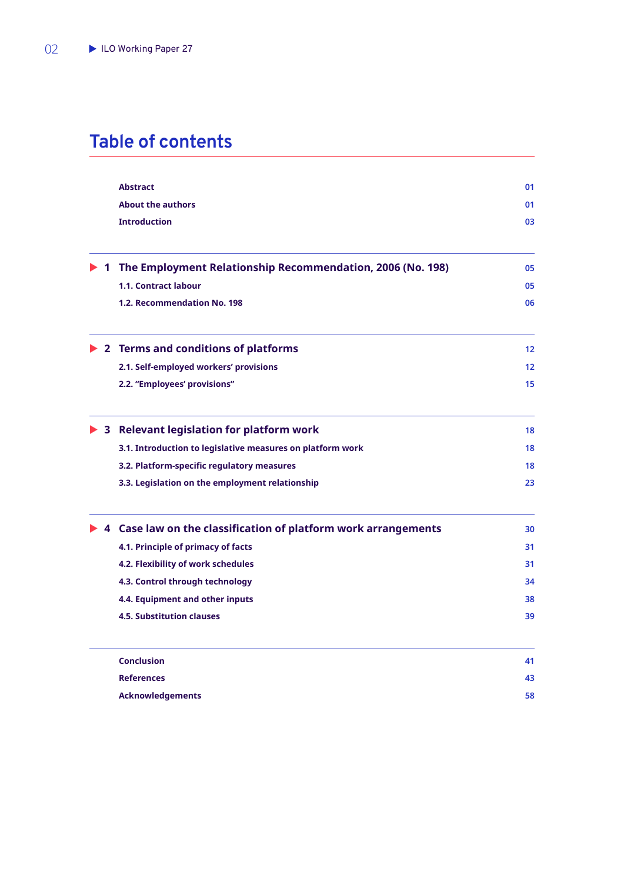# **Table of contents**

|             | <b>Abstract</b>                                                                 | 01                |
|-------------|---------------------------------------------------------------------------------|-------------------|
|             | <b>About the authors</b>                                                        | 01                |
|             | <b>Introduction</b>                                                             | 03                |
| $\mathbf 1$ | The Employment Relationship Recommendation, 2006 (No. 198)                      | 05                |
|             | <b>1.1. Contract labour</b>                                                     | 05                |
|             | 1.2. Recommendation No. 198                                                     | 06                |
|             | $\triangleright$ 2 Terms and conditions of platforms                            | 12                |
|             | 2.1. Self-employed workers' provisions                                          | $12 \overline{ }$ |
|             | 2.2. "Employees' provisions"                                                    | 15                |
|             | $\triangleright$ 3 Relevant legislation for platform work                       | 18                |
|             | 3.1. Introduction to legislative measures on platform work                      | 18                |
|             | 3.2. Platform-specific regulatory measures                                      | 18                |
|             | 3.3. Legislation on the employment relationship                                 | 23                |
|             | $\triangleright$ 4 Case law on the classification of platform work arrangements | 30                |
|             | 4.1. Principle of primacy of facts                                              | 31                |
|             | 4.2. Flexibility of work schedules                                              | 31                |
|             | 4.3. Control through technology                                                 | 34                |
|             | 4.4. Equipment and other inputs                                                 | 38                |
|             | <b>4.5. Substitution clauses</b>                                                | 39                |
|             | <b>Conclusion</b>                                                               | 41                |
|             | <b>References</b>                                                               | 43                |
|             | <b>Acknowledgements</b>                                                         | 58                |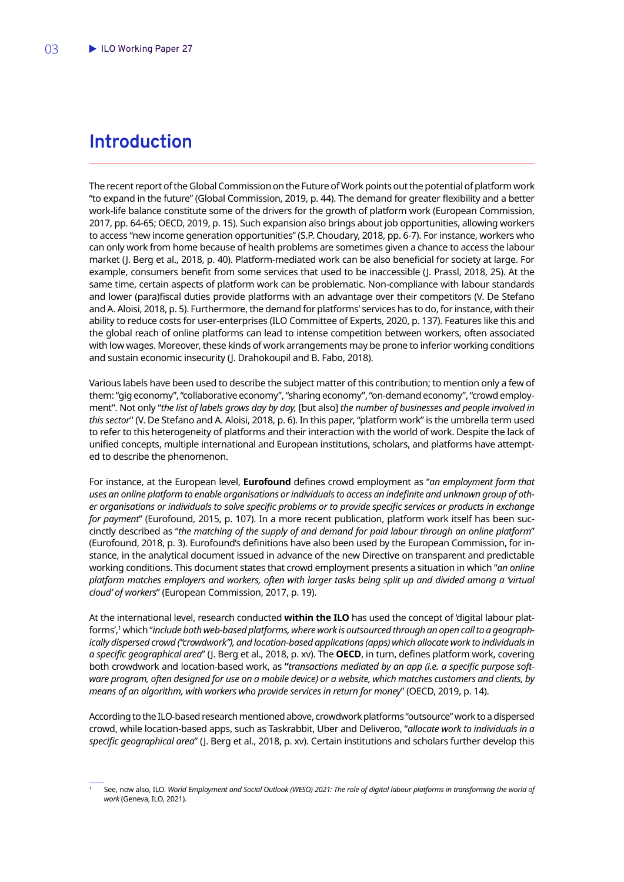# <span id="page-4-0"></span>**Introduction**

The recent report of the Global Commission on the Future of Work points out the potential of platform work "to expand in the future" (Global Commission, 2019, p. 44). The demand for greater flexibility and a better work-life balance constitute some of the drivers for the growth of platform work (European Commission, 2017, pp. 64-65; OECD, 2019, p. 15). Such expansion also brings about job opportunities, allowing workers to access "new income generation opportunities" (S.P. Choudary, 2018, pp. 6-7). For instance, workers who can only work from home because of health problems are sometimes given a chance to access the labour market (J. Berg et al., 2018, p. 40). Platform-mediated work can be also beneficial for society at large. For example, consumers benefit from some services that used to be inaccessible (J. Prassl, 2018, 25). At the same time, certain aspects of platform work can be problematic. Non-compliance with labour standards and lower (para)fiscal duties provide platforms with an advantage over their competitors (V. De Stefano and A. Aloisi, 2018, p. 5). Furthermore, the demand for platforms' services has to do, for instance, with their ability to reduce costs for user-enterprises (ILO Committee of Experts, 2020, p. 137). Features like this and the global reach of online platforms can lead to intense competition between workers, often associated with low wages. Moreover, these kinds of work arrangements may be prone to inferior working conditions and sustain economic insecurity (J. Drahokoupil and B. Fabo, 2018).

Various labels have been used to describe the subject matter of this contribution; to mention only a few of them: "gig economy", "collaborative economy", "sharing economy", "on-demand economy", "crowd employment". Not only "*the list of labels grows day by day,* [but also] *the number of businesses and people involved in this sector*" (V. De Stefano and A. Aloisi, 2018, p. 6). In this paper, "platform work" is the umbrella term used to refer to this heterogeneity of platforms and their interaction with the world of work. Despite the lack of unified concepts, multiple international and European institutions, scholars, and platforms have attempted to describe the phenomenon.

For instance, at the European level, **Eurofound** defines crowd employment as "*an employment form that uses an online platform to enable organisations or individuals to access an indefinite and unknown group of other organisations or individuals to solve specific problems or to provide specific services or products in exchange for payment*" (Eurofound, 2015, p. 107). In a more recent publication, platform work itself has been succinctly described as "*the matching of the supply of and demand for paid labour through an online platform*" (Eurofound, 2018, p. 3). Eurofound's definitions have also been used by the European Commission, for instance, in the analytical document issued in advance of the new Directive on transparent and predictable working conditions. This document states that crowd employment presents a situation in which "*an online platform matches employers and workers, often with larger tasks being split up and divided among a 'virtual cloud' of workers*" (European Commission, 2017, p. 19).

At the international level, research conducted **within the ILO** has used the concept of 'digital labour platforms',1 which "*include both web-based platforms, where work is outsourced through an open call to a geographically dispersed crowd ("crowdwork"), and location-based applications (apps) which allocate work to individuals in a specific geographical area*" (J. Berg et al., 2018, p. xv). The **OECD**, in turn, defines platform work, covering both crowdwork and location-based work, as **"***transactions mediated by an app (i.e. a specific purpose software program, often designed for use on a mobile device) or a website, which matches customers and clients, by means of an algorithm, with workers who provide services in return for money*" (OECD, 2019, p. 14).

According to the ILO-based research mentioned above, crowdwork platforms "outsource" work to a dispersed crowd, while location-based apps, such as Taskrabbit, Uber and Deliveroo, "*allocate work to individuals in a specific geographical area*" (J. Berg et al., 2018, p. xv). Certain institutions and scholars further develop this

<sup>1</sup> See, now also, ILO. *World Employment and Social Outlook (WESO) 2021: The role of digital labour platforms in transforming the world of work* (Geneva, ILO, 2021).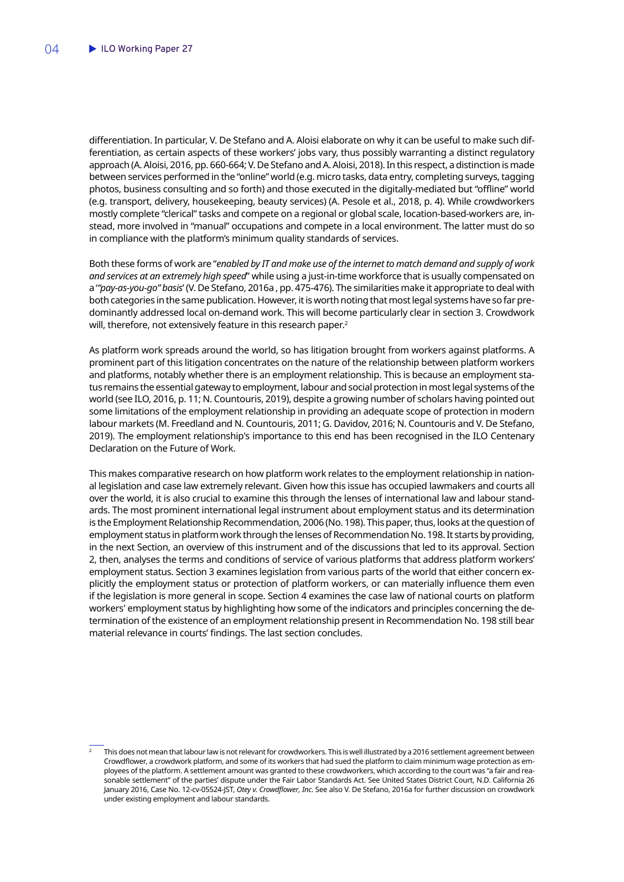differentiation. In particular, V. De Stefano and A. Aloisi elaborate on why it can be useful to make such differentiation, as certain aspects of these workers' jobs vary, thus possibly warranting a distinct regulatory approach (A. Aloisi, 2016, pp. 660-664; V. De Stefano and A. Aloisi, 2018). In this respect, a distinction is made between services performed in the "online" world (e.g. micro tasks, data entry, completing surveys, tagging photos, business consulting and so forth) and those executed in the digitally-mediated but "offline" world (e.g. transport, delivery, housekeeping, beauty services) (A. Pesole et al., 2018, p. 4). While crowdworkers mostly complete "clerical" tasks and compete on a regional or global scale, location-based-workers are, instead, more involved in "manual" occupations and compete in a local environment. The latter must do so in compliance with the platform's minimum quality standards of services.

Both these forms of work are "*enabled by IT and make use of the internet to match demand and supply of work and services at an extremely high speed*" while using a just-in-time workforce that is usually compensated on a '*"pay-as-you-go" basis*' (V. De Stefano, 2016a , pp. 475-476). The similarities make it appropriate to deal with both categories in the same publication. However, it is worth noting that most legal systems have so far predominantly addressed local on-demand work. This will become particularly clear in section 3. Crowdwork will, therefore, not extensively feature in this research paper.<sup>2</sup>

As platform work spreads around the world, so has litigation brought from workers against platforms. A prominent part of this litigation concentrates on the nature of the relationship between platform workers and platforms, notably whether there is an employment relationship. This is because an employment status remains the essential gateway to employment, labour and social protection in most legal systems of the world (see ILO, 2016, p. 11; N. Countouris, 2019), despite a growing number of scholars having pointed out some limitations of the employment relationship in providing an adequate scope of protection in modern labour markets (M. Freedland and N. Countouris, 2011; G. Davidov, 2016; N. Countouris and V. De Stefano, 2019). The employment relationship's importance to this end has been recognised in the ILO Centenary Declaration on the Future of Work.

This makes comparative research on how platform work relates to the employment relationship in national legislation and case law extremely relevant. Given how this issue has occupied lawmakers and courts all over the world, it is also crucial to examine this through the lenses of international law and labour standards. The most prominent international legal instrument about employment status and its determination is the Employment Relationship Recommendation, 2006 (No. 198). This paper, thus, looks at the question of employment status in platform work through the lenses of Recommendation No. 198. It starts by providing, in the next Section, an overview of this instrument and of the discussions that led to its approval. Section 2, then, analyses the terms and conditions of service of various platforms that address platform workers' employment status. Section 3 examines legislation from various parts of the world that either concern explicitly the employment status or protection of platform workers, or can materially influence them even if the legislation is more general in scope. Section 4 examines the case law of national courts on platform workers' employment status by highlighting how some of the indicators and principles concerning the determination of the existence of an employment relationship present in Recommendation No. 198 still bear material relevance in courts' findings. The last section concludes.

<sup>2</sup> This does not mean that labour law is not relevant for crowdworkers. This is well illustrated by a 2016 settlement agreement between Crowdflower, a crowdwork platform, and some of its workers that had sued the platform to claim minimum wage protection as employees of the platform. A settlement amount was granted to these crowdworkers, which according to the court was "a fair and reasonable settlement" of the parties' dispute under the Fair Labor Standards Act. See United States District Court, N.D. California 26 January 2016, Case No. 12-cv-05524-JST, *Otey v. Crowdflower, Inc*. See also V. De Stefano, 2016a for further discussion on crowdwork under existing employment and labour standards.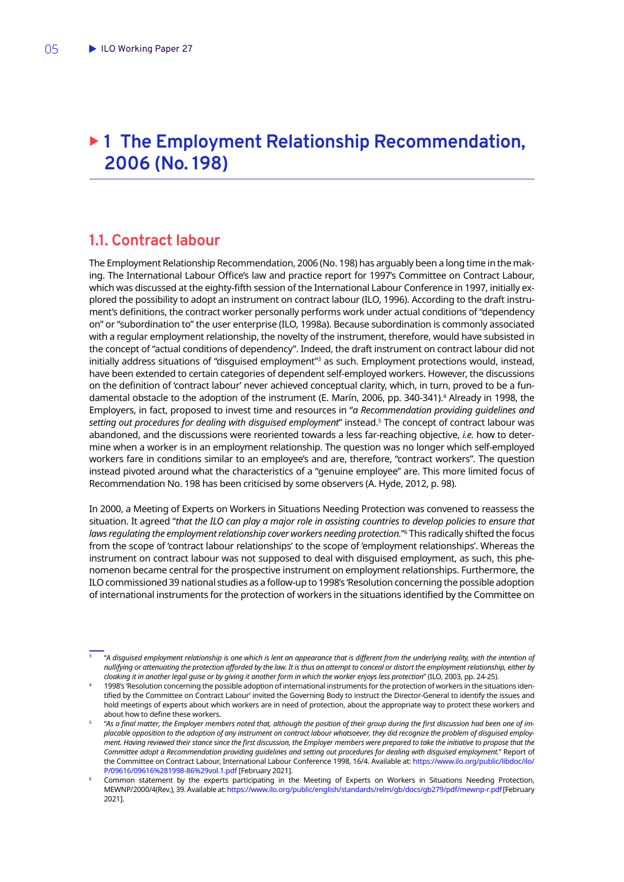# <span id="page-6-0"></span>▶ 1 The Employment Relationship Recommendation, **2006 (No. 198)**

### **1.1. Contract labour**

The Employment Relationship Recommendation, 2006 (No. 198) has arguably been a long time in the making. The International Labour Office's law and practice report for 1997's Committee on Contract Labour, which was discussed at the eighty-fifth session of the International Labour Conference in 1997, initially explored the possibility to adopt an instrument on contract labour (ILO, 1996). According to the draft instrument's definitions, the contract worker personally performs work under actual conditions of "dependency on" or "subordination to" the user enterprise (ILO, 1998a). Because subordination is commonly associated with a regular employment relationship, the novelty of the instrument, therefore, would have subsisted in the concept of "actual conditions of dependency". Indeed, the draft instrument on contract labour did not initially address situations of "disguised employment"<sup>3</sup> as such. Employment protections would, instead, have been extended to certain categories of dependent self-employed workers. However, the discussions on the definition of 'contract labour' never achieved conceptual clarity, which, in turn, proved to be a fundamental obstacle to the adoption of the instrument (E. Marín, 2006, pp. 340-341).4 Already in 1998, the Employers, in fact, proposed to invest time and resources in "*a Recommendation providing guidelines and setting out procedures for dealing with disguised employment*" instead.5 The concept of contract labour was abandoned, and the discussions were reoriented towards a less far-reaching objective, *i.e.* how to determine when a worker is in an employment relationship. The question was no longer which self-employed workers fare in conditions similar to an employee's and are, therefore, "contract workers". The question instead pivoted around what the characteristics of a "genuine employee" are. This more limited focus of Recommendation No. 198 has been criticised by some observers (A. Hyde, 2012, p. 98).

In 2000, a Meeting of Experts on Workers in Situations Needing Protection was convened to reassess the situation. It agreed "*that the ILO can play a major role in assisting countries to develop policies to ensure that laws regulating the employment relationship cover workers needing protection.*"6 This radically shifted the focus from the scope of 'contract labour relationships' to the scope of 'employment relationships'. Whereas the instrument on contract labour was not supposed to deal with disguised employment, as such, this phenomenon became central for the prospective instrument on employment relationships. Furthermore, the ILO commissioned 39 national studies as a follow-up to 1998's 'Resolution concerning the possible adoption of international instruments for the protection of workers in the situations identified by the Committee on

<sup>3</sup> "*A disguised employment relationship is one which is lent an appearance that is different from the underlying reality, with the intention of nullifying or attenuating the protection afforded by the law. It is thus an attempt to conceal or distort the employment relationship, either by cloaking it in another legal guise or by giving it another form in which the worker enjoys less protection*" (ILO, 2003, pp. 24-25).

<sup>4</sup> 1998's 'Resolution concerning the possible adoption of international instruments for the protection of workers in the situations identified by the Committee on Contract Labour' invited the Governing Body to instruct the Director-General to identify the issues and hold meetings of experts about which workers are in need of protection, about the appropriate way to protect these workers and about how to define these workers.

<sup>5</sup> "*As a final matter, the Employer members noted that, although the position of their group during the first discussion had been one of implacable opposition to the adoption of any instrument on contract labour whatsoever, they did recognize the problem of disguised employment. Having reviewed their stance since the first discussion, the Employer members were prepared to take the initiative to propose that the Committee adopt a Recommendation providing guidelines and setting out procedures for dealing with disguised employment.*" Report of the Committee on Contract Labour, International Labour Conference 1998, 16/4. Available at: [https://www.ilo.org/public/libdoc/ilo/](https://www.ilo.org/public/libdoc/ilo/P/09616/09616%281998-86%29vol.1.pdf) [P/09616/09616%281998-86%29vol.1.pdf](https://www.ilo.org/public/libdoc/ilo/P/09616/09616%281998-86%29vol.1.pdf) [February 2021].

<sup>6</sup> Common statement by the experts participating in the Meeting of Experts on Workers in Situations Needing Protection, MEWNP/2000/4(Rev.), 39. Available at:<https://www.ilo.org/public/english/standards/relm/gb/docs/gb279/pdf/mewnp-r.pdf>[February 2021].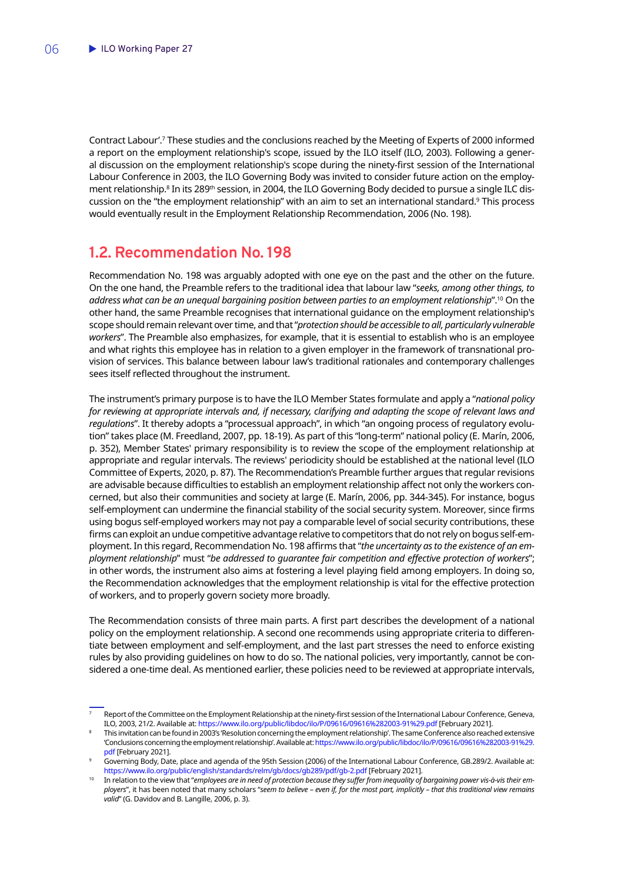<span id="page-7-0"></span>Contract Labour'.7 These studies and the conclusions reached by the Meeting of Experts of 2000 informed a report on the employment relationship's scope, issued by the ILO itself (ILO, 2003). Following a general discussion on the employment relationship's scope during the ninety-first session of the International Labour Conference in 2003, the ILO Governing Body was invited to consider future action on the employment relationship.<sup>8</sup> In its 289<sup>th</sup> session, in 2004, the ILO Governing Body decided to pursue a single ILC discussion on the "the employment relationship" with an aim to set an international standard.9 This process would eventually result in the Employment Relationship Recommendation, 2006 (No. 198).

### **1.2. Recommendation No. 198**

Recommendation No. 198 was arguably adopted with one eye on the past and the other on the future. On the one hand, the Preamble refers to the traditional idea that labour law "*seeks, among other things, to address what can be an unequal bargaining position between parties to an employment relationship*".10 On the other hand, the same Preamble recognises that international guidance on the employment relationship's scope should remain relevant over time, and that "*protection should be accessible to all, particularly vulnerable workers*". The Preamble also emphasizes, for example, that it is essential to establish who is an employee and what rights this employee has in relation to a given employer in the framework of transnational provision of services. This balance between labour law's traditional rationales and contemporary challenges sees itself reflected throughout the instrument.

The instrument's primary purpose is to have the ILO Member States formulate and apply a "*national policy for reviewing at appropriate intervals and, if necessary, clarifying and adapting the scope of relevant laws and regulations*". It thereby adopts a "processual approach", in which "an ongoing process of regulatory evolution" takes place (M. Freedland, 2007, pp. 18-19). As part of this "long-term" national policy (E. Marín, 2006, p. 352), Member States' primary responsibility is to review the scope of the employment relationship at appropriate and regular intervals. The reviews' periodicity should be established at the national level (ILO Committee of Experts, 2020, p. 87). The Recommendation's Preamble further argues that regular revisions are advisable because difficulties to establish an employment relationship affect not only the workers concerned, but also their communities and society at large (E. Marín, 2006, pp. 344-345). For instance, bogus self-employment can undermine the financial stability of the social security system. Moreover, since firms using bogus self-employed workers may not pay a comparable level of social security contributions, these firms can exploit an undue competitive advantage relative to competitors that do not rely on bogus self-employment. In this regard, Recommendation No. 198 affirms that "*the uncertainty as to the existence of an employment relationship*" must "*be addressed to guarantee fair competition and effective protection of workers*"; in other words, the instrument also aims at fostering a level playing field among employers. In doing so, the Recommendation acknowledges that the employment relationship is vital for the effective protection of workers, and to properly govern society more broadly.

The Recommendation consists of three main parts. A first part describes the development of a national policy on the employment relationship. A second one recommends using appropriate criteria to differentiate between employment and self-employment, and the last part stresses the need to enforce existing rules by also providing guidelines on how to do so. The national policies, very importantly, cannot be considered a one-time deal. As mentioned earlier, these policies need to be reviewed at appropriate intervals,

<sup>7</sup> Report of the Committee on the Employment Relationship at the ninety-first session of the International Labour Conference, Geneva, ILO, 2003, 21/2. Available at:<https://www.ilo.org/public/libdoc/ilo/P/09616/09616%282003-91%29.pdf> [February 2021].

This invitation can be found in 2003's 'Resolution concerning the employment relationship'. The same Conference also reached extensive 'Conclusions concerning the employment relationship'. Available at: [https://www.ilo.org/public/libdoc/ilo/P/09616/09616%282003-91%29.](https://www.ilo.org/public/libdoc/ilo/P/09616/09616%282003-91%29.pdf) [pdf](https://www.ilo.org/public/libdoc/ilo/P/09616/09616%282003-91%29.pdf) [February 2021].

<sup>9</sup> Governing Body, Date, place and agenda of the 95th Session (2006) of the International Labour Conference, GB.289/2. Available at: <https://www.ilo.org/public/english/standards/relm/gb/docs/gb289/pdf/gb-2.pdf> [February 2021].

<sup>10</sup> In relation to the view that "*employees are in need of protection because they suffer from inequality of bargaining power vis-à-vis their employers*", it has been noted that many scholars "*seem to believe – even if, for the most part, implicitly – that this traditional view remains valid*" (G. Davidov and B. Langille, 2006, p. 3).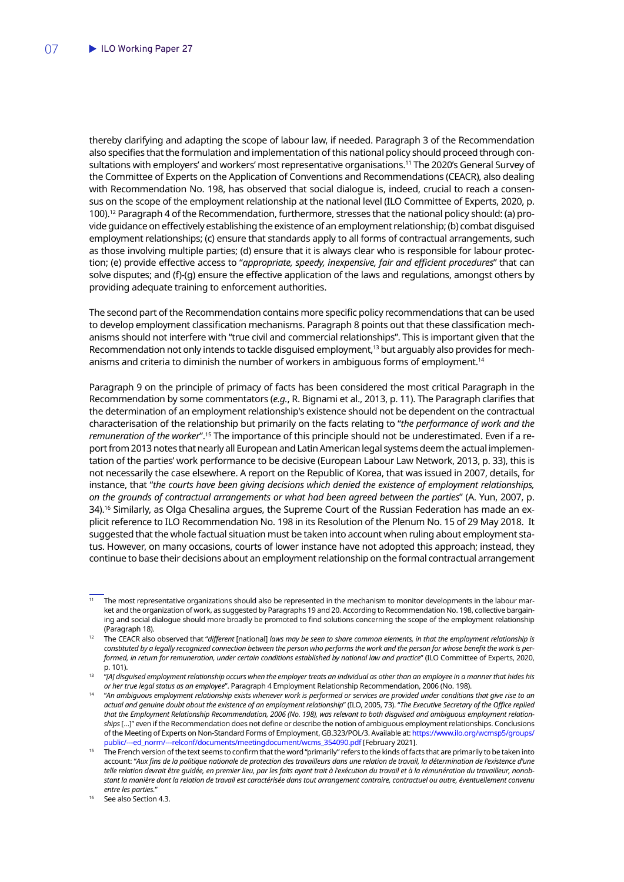thereby clarifying and adapting the scope of labour law, if needed. Paragraph 3 of the Recommendation also specifies that the formulation and implementation of this national policy should proceed through consultations with employers' and workers' most representative organisations.<sup>11</sup> The 2020's General Survey of the Committee of Experts on the Application of Conventions and Recommendations (CEACR), also dealing with Recommendation No. 198, has observed that social dialogue is, indeed, crucial to reach a consensus on the scope of the employment relationship at the national level (ILO Committee of Experts, 2020, p. 100).12 Paragraph 4 of the Recommendation, furthermore, stresses that the national policy should: (a) provide guidance on effectively establishing the existence of an employment relationship; (b) combat disguised employment relationships; (c) ensure that standards apply to all forms of contractual arrangements, such as those involving multiple parties; (d) ensure that it is always clear who is responsible for labour protection; (e) provide effective access to "*appropriate, speedy, inexpensive, fair and efficient procedures*" that can solve disputes; and (f)-(g) ensure the effective application of the laws and regulations, amongst others by providing adequate training to enforcement authorities.

The second part of the Recommendation contains more specific policy recommendations that can be used to develop employment classification mechanisms. Paragraph 8 points out that these classification mechanisms should not interfere with "true civil and commercial relationships". This is important given that the Recommendation not only intends to tackle disquised employment,<sup>13</sup> but arguably also provides for mechanisms and criteria to diminish the number of workers in ambiguous forms of employment.<sup>14</sup>

Paragraph 9 on the principle of primacy of facts has been considered the most critical Paragraph in the Recommendation by some commentators (*e.g.*, R. Bignami et al., 2013, p. 11). The Paragraph clarifies that the determination of an employment relationship's existence should not be dependent on the contractual characterisation of the relationship but primarily on the facts relating to "*the performance of work and the remuneration of the worker*".15 The importance of this principle should not be underestimated. Even if a report from 2013 notes that nearly all European and Latin American legal systems deem the actual implementation of the parties' work performance to be decisive (European Labour Law Network, 2013, p. 33), this is not necessarily the case elsewhere. A report on the Republic of Korea, that was issued in 2007, details, for instance, that "*the courts have been giving decisions which denied the existence of employment relationships, on the grounds of contractual arrangements or what had been agreed between the parties*" (A. Yun, 2007, p. 34).<sup>16</sup> Similarly, as Olga Chesalina argues, the Supreme Court of the Russian Federation has made an explicit reference to ILO Recommendation No. 198 in its Resolution of the Plenum No. 15 of 29 May 2018. It suggested that the whole factual situation must be taken into account when ruling about employment status. However, on many occasions, courts of lower instance have not adopted this approach; instead, they continue to base their decisions about an employment relationship on the formal contractual arrangement

 $\frac{11}{11}$  The most representative organizations should also be represented in the mechanism to monitor developments in the labour market and the organization of work, as suggested by Paragraphs 19 and 20. According to Recommendation No. 198, collective bargaining and social dialogue should more broadly be promoted to find solutions concerning the scope of the employment relationship (Paragraph 18).

<sup>12</sup> The CEACR also observed that "*different* [national] *laws may be seen to share common elements, in that the employment relationship is constituted by a legally recognized connection between the person who performs the work and the person for whose benefit the work is performed, in return for remuneration, under certain conditions established by national law and practice*" (ILO Committee of Experts, 2020, p. 101).

<sup>13</sup> "*[A] disguised employment relationship occurs when the employer treats an individual as other than an employee in a manner that hides his or her true legal status as an employee*". Paragraph 4 Employment Relationship Recommendation, 2006 (No. 198).

<sup>14</sup> "*An ambiguous employment relationship exists whenever work is performed or services are provided under conditions that give rise to an actual and genuine doubt about the existence of an employment relationship*" (ILO, 2005, 73). "*The Executive Secretary of the Office replied that the Employment Relationship Recommendation, 2006 (No. 198), was relevant to both disguised and ambiguous employment relationships* […]" even if the Recommendation does not define or describe the notion of ambiguous employment relationships. Conclusions of the Meeting of Experts on Non-Standard Forms of Employment, GB.323/POL/3. Available at: [https://www.ilo.org/wcmsp5/groups/](https://www.ilo.org/wcmsp5/groups/public/---ed_norm/---relconf/documents/meetingdocument/wcms_354090.pdf) [public/---ed\\_norm/---relconf/documents/meetingdocument/wcms\\_354090.pdf](https://www.ilo.org/wcmsp5/groups/public/---ed_norm/---relconf/documents/meetingdocument/wcms_354090.pdf) [February 2021].

<sup>15</sup> The French version of the text seems to confirm that the word "primarily" refers to the kinds of facts that are primarily to be taken into account: "*Aux fins de la politique nationale de protection des travailleurs dans une relation de travail, la détermination de l'existence d'une telle relation devrait être guidée, en premier lieu, par les faits ayant trait à l'exécution du travail et à la rémunération du travailleur, nonobstant la manière dont la relation de travail est caractérisée dans tout arrangement contraire, contractuel ou autre, éventuellement convenu entre les parties.*"

See also Section 4.3.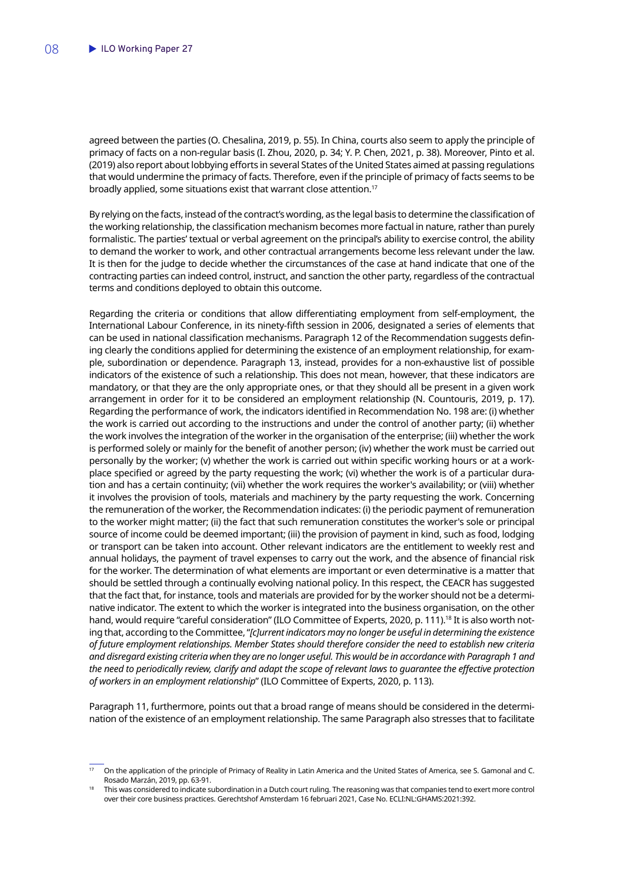agreed between the parties (O. Chesalina, 2019, p. 55). In China, courts also seem to apply the principle of primacy of facts on a non-regular basis (I. Zhou, 2020, p. 34; Y. P. Chen, 2021, p. 38). Moreover, Pinto et al. (2019) also report about lobbying efforts in several States of the United States aimed at passing regulations that would undermine the primacy of facts. Therefore, even if the principle of primacy of facts seems to be broadly applied, some situations exist that warrant close attention.<sup>17</sup>

By relying on the facts, instead of the contract's wording, as the legal basis to determine the classification of the working relationship, the classification mechanism becomes more factual in nature, rather than purely formalistic. The parties' textual or verbal agreement on the principal's ability to exercise control, the ability to demand the worker to work, and other contractual arrangements become less relevant under the law. It is then for the judge to decide whether the circumstances of the case at hand indicate that one of the contracting parties can indeed control, instruct, and sanction the other party, regardless of the contractual terms and conditions deployed to obtain this outcome.

Regarding the criteria or conditions that allow differentiating employment from self-employment, the International Labour Conference, in its ninety-fifth session in 2006, designated a series of elements that can be used in national classification mechanisms. Paragraph 12 of the Recommendation suggests defining clearly the conditions applied for determining the existence of an employment relationship, for example, subordination or dependence. Paragraph 13, instead, provides for a non-exhaustive list of possible indicators of the existence of such a relationship. This does not mean, however, that these indicators are mandatory, or that they are the only appropriate ones, or that they should all be present in a given work arrangement in order for it to be considered an employment relationship (N. Countouris, 2019, p. 17). Regarding the performance of work, the indicators identified in Recommendation No. 198 are: (i) whether the work is carried out according to the instructions and under the control of another party; (ii) whether the work involves the integration of the worker in the organisation of the enterprise; (iii) whether the work is performed solely or mainly for the benefit of another person; (iv) whether the work must be carried out personally by the worker; (v) whether the work is carried out within specific working hours or at a workplace specified or agreed by the party requesting the work; (vi) whether the work is of a particular duration and has a certain continuity; (vii) whether the work requires the worker's availability; or (viii) whether it involves the provision of tools, materials and machinery by the party requesting the work. Concerning the remuneration of the worker, the Recommendation indicates: (i) the periodic payment of remuneration to the worker might matter; (ii) the fact that such remuneration constitutes the worker's sole or principal source of income could be deemed important; (iii) the provision of payment in kind, such as food, lodging or transport can be taken into account. Other relevant indicators are the entitlement to weekly rest and annual holidays, the payment of travel expenses to carry out the work, and the absence of financial risk for the worker. The determination of what elements are important or even determinative is a matter that should be settled through a continually evolving national policy. In this respect, the CEACR has suggested that the fact that, for instance, tools and materials are provided for by the worker should not be a determinative indicator. The extent to which the worker is integrated into the business organisation, on the other hand, would require "careful consideration" (ILO Committee of Experts, 2020, p. 111).<sup>18</sup> It is also worth noting that, according to the Committee, "*[c]urrent indicators may no longer be useful in determining the existence of future employment relationships. Member States should therefore consider the need to establish new criteria and disregard existing criteria when they are no longer useful. This would be in accordance with Paragraph 1 and the need to periodically review, clarify and adapt the scope of relevant laws to guarantee the effective protection of workers in an employment relationship*" (ILO Committee of Experts, 2020, p. 113).

Paragraph 11, furthermore, points out that a broad range of means should be considered in the determination of the existence of an employment relationship. The same Paragraph also stresses that to facilitate

<sup>17</sup> On the application of the principle of Primacy of Reality in Latin America and the United States of America, see S. Gamonal and C. Rosado Marzán, 2019, pp. 63-91.

<sup>18</sup> This was considered to indicate subordination in a Dutch court ruling. The reasoning was that companies tend to exert more control over their core business practices. Gerechtshof Amsterdam 16 februari 2021, Case No. ECLI:NL:GHAMS:2021:392.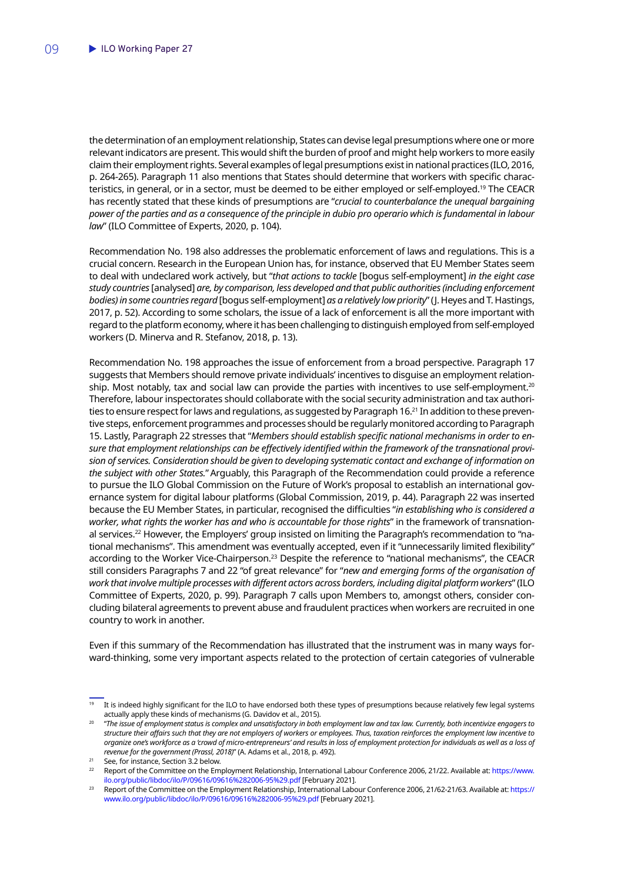the determination of an employment relationship, States can devise legal presumptions where one or more relevant indicators are present. This would shift the burden of proof and might help workers to more easily claim their employment rights. Several examples of legal presumptions exist in national practices (ILO, 2016, p. 264-265). Paragraph 11 also mentions that States should determine that workers with specific characteristics, in general, or in a sector, must be deemed to be either employed or self-employed.<sup>19</sup> The CEACR has recently stated that these kinds of presumptions are "*crucial to counterbalance the unequal bargaining power of the parties and as a consequence of the principle in dubio pro operario which is fundamental in labour law*" (ILO Committee of Experts, 2020, p. 104).

Recommendation No. 198 also addresses the problematic enforcement of laws and regulations. This is a crucial concern. Research in the European Union has, for instance, observed that EU Member States seem to deal with undeclared work actively, but "*that actions to tackle* [bogus self-employment] *in the eight case study countries* [analysed] *are, by comparison, less developed and that public authorities (including enforcement bodies) in some countries regard* [bogus self-employment] *as a relatively low priority*" (J. Heyes and T. Hastings, 2017, p. 52). According to some scholars, the issue of a lack of enforcement is all the more important with regard to the platform economy, where it has been challenging to distinguish employed from self-employed workers (D. Minerva and R. Stefanov, 2018, p. 13).

Recommendation No. 198 approaches the issue of enforcement from a broad perspective. Paragraph 17 suggests that Members should remove private individuals' incentives to disguise an employment relationship. Most notably, tax and social law can provide the parties with incentives to use self-employment.<sup>20</sup> Therefore, labour inspectorates should collaborate with the social security administration and tax authorities to ensure respect for laws and regulations, as suggested by Paragraph 16.<sup>21</sup> In addition to these preventive steps, enforcement programmes and processes should be regularly monitored according to Paragraph 15. Lastly, Paragraph 22 stresses that "*Members should establish specific national mechanisms in order to ensure that employment relationships can be effectively identified within the framework of the transnational provision of services. Consideration should be given to developing systematic contact and exchange of information on the subject with other States.*"Arguably, this Paragraph of the Recommendation could provide a reference to pursue the ILO Global Commission on the Future of Work's proposal to establish an international governance system for digital labour platforms (Global Commission, 2019, p. 44). Paragraph 22 was inserted because the EU Member States, in particular, recognised the difficulties "*in establishing who is considered a worker, what rights the worker has and who is accountable for those rights*" in the framework of transnational services.22 However, the Employers' group insisted on limiting the Paragraph's recommendation to "national mechanisms". This amendment was eventually accepted, even if it "unnecessarily limited flexibility" according to the Worker Vice-Chairperson.<sup>23</sup> Despite the reference to "national mechanisms", the CEACR still considers Paragraphs 7 and 22 "of great relevance" for "*new and emerging forms of the organisation of work that involve multiple processes with different actors across borders, including digital platform workers*" (ILO Committee of Experts, 2020, p. 99). Paragraph 7 calls upon Members to, amongst others, consider concluding bilateral agreements to prevent abuse and fraudulent practices when workers are recruited in one country to work in another.

Even if this summary of the Recommendation has illustrated that the instrument was in many ways forward-thinking, some very important aspects related to the protection of certain categories of vulnerable

It is indeed highly significant for the ILO to have endorsed both these types of presumptions because relatively few legal systems actually apply these kinds of mechanisms (G. Davidov et al., 2015).

<sup>20</sup> "*The issue of employment status is complex and unsatisfactory in both employment law and tax law. Currently, both incentivize engagers to structure their affairs such that they are not employers of workers or employees. Thus, taxation reinforces the employment law incentive to organize one's workforce as a 'crowd of micro-entrepreneurs' and results in loss of employment protection for individuals as well as a loss of revenue for the government (Prassl, 2018)*" (A. Adams et al., 2018, p. 492).

<sup>21</sup> See, for instance, Section 3.2 below.

<sup>22</sup> Report of the Committee on the Employment Relationship, International Labour Conference 2006, 21/22. Available at: [https://www.](https://www.ilo.org/public/libdoc/ilo/P/09616/09616%282006-95%29.pdf) [ilo.org/public/libdoc/ilo/P/09616/09616%282006-95%29.pdf](https://www.ilo.org/public/libdoc/ilo/P/09616/09616%282006-95%29.pdf) [February 2021].

<sup>&</sup>lt;sup>23</sup> Report of the Committee on the Employment Relationship, International Labour Conference 2006, 21/62-21/63. Available at: [https://](https://www.ilo.org/public/libdoc/ilo/P/09616/09616%282006-95%29.pdf) [www.ilo.org/public/libdoc/ilo/P/09616/09616%282006-95%29.pdf](https://www.ilo.org/public/libdoc/ilo/P/09616/09616%282006-95%29.pdf) [February 2021].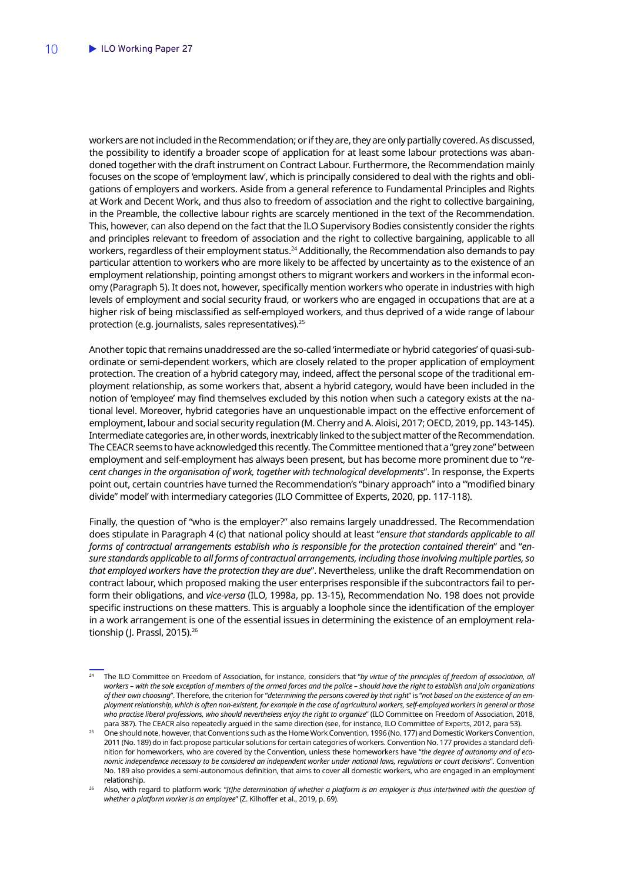workers are not included in the Recommendation; or if they are, they are only partially covered. As discussed, the possibility to identify a broader scope of application for at least some labour protections was abandoned together with the draft instrument on Contract Labour. Furthermore, the Recommendation mainly focuses on the scope of 'employment law', which is principally considered to deal with the rights and obligations of employers and workers. Aside from a general reference to Fundamental Principles and Rights at Work and Decent Work, and thus also to freedom of association and the right to collective bargaining, in the Preamble, the collective labour rights are scarcely mentioned in the text of the Recommendation. This, however, can also depend on the fact that the ILO Supervisory Bodies consistently consider the rights and principles relevant to freedom of association and the right to collective bargaining, applicable to all workers, regardless of their employment status.<sup>24</sup> Additionally, the Recommendation also demands to pay particular attention to workers who are more likely to be affected by uncertainty as to the existence of an employment relationship, pointing amongst others to migrant workers and workers in the informal economy (Paragraph 5). It does not, however, specifically mention workers who operate in industries with high levels of employment and social security fraud, or workers who are engaged in occupations that are at a higher risk of being misclassified as self-employed workers, and thus deprived of a wide range of labour protection (e.g. journalists, sales representatives).<sup>25</sup>

Another topic that remains unaddressed are the so-called 'intermediate or hybrid categories' of quasi-subordinate or semi-dependent workers, which are closely related to the proper application of employment protection. The creation of a hybrid category may, indeed, affect the personal scope of the traditional employment relationship, as some workers that, absent a hybrid category, would have been included in the notion of 'employee' may find themselves excluded by this notion when such a category exists at the national level. Moreover, hybrid categories have an unquestionable impact on the effective enforcement of employment, labour and social security regulation (M. Cherry and A. Aloisi, 2017; OECD, 2019, pp. 143-145). Intermediate categories are, in other words, inextricably linked to the subject matter of the Recommendation. The CEACR seems to have acknowledged this recently. The Committee mentioned that a "grey zone" between employment and self-employment has always been present, but has become more prominent due to "*recent changes in the organisation of work, together with technological developments*". In response, the Experts point out, certain countries have turned the Recommendation's "binary approach" into a '"modified binary divide" model' with intermediary categories (ILO Committee of Experts, 2020, pp. 117-118).

Finally, the question of "who is the employer?" also remains largely unaddressed. The Recommendation does stipulate in Paragraph 4 (c) that national policy should at least "*ensure that standards applicable to all forms of contractual arrangements establish who is responsible for the protection contained therein*" and "*ensure standards applicable to all forms of contractual arrangements, including those involving multiple parties, so that employed workers have the protection they are due*". Nevertheless, unlike the draft Recommendation on contract labour, which proposed making the user enterprises responsible if the subcontractors fail to perform their obligations, and *vice-versa* (ILO, 1998a, pp. 13-15), Recommendation No. 198 does not provide specific instructions on these matters. This is arguably a loophole since the identification of the employer in a work arrangement is one of the essential issues in determining the existence of an employment relationship (I. Prassl, 2015).<sup>26</sup>

<sup>24</sup> The ILO Committee on Freedom of Association, for instance, considers that "*by virtue of the principles of freedom of association, all workers – with the sole exception of members of the armed forces and the police – should have the right to establish and join organizations of their own choosing*". Therefore, the criterion for "*determining the persons covered by that right*" is "*not based on the existence of an employment relationship, which is often non-existent, for example in the case of agricultural workers, self-employed workers in general or those who practise liberal professions, who should nevertheless enjoy the right to organize*" (ILO Committee on Freedom of Association, 2018, para 387). The CEACR also repeatedly argued in the same direction (see, for instance, ILO Committee of Experts, 2012, para 53).

<sup>25</sup> One should note, however, that Conventions such as the Home Work Convention, 1996 (No. 177) and Domestic Workers Convention, 2011 (No. 189) do in fact propose particular solutions for certain categories of workers. Convention No. 177 provides a standard definition for homeworkers, who are covered by the Convention, unless these homeworkers have "*the degree of autonomy and of economic independence necessary to be considered an independent worker under national laws, regulations or court decisions*". Convention No. 189 also provides a semi-autonomous definition, that aims to cover all domestic workers, who are engaged in an employment relationship.

<sup>26</sup> Also, with regard to platform work: "*[t]he determination of whether a platform is an employer is thus intertwined with the question of whether a platform worker is an employee*" (Z. Kilhoffer et al., 2019, p. 69).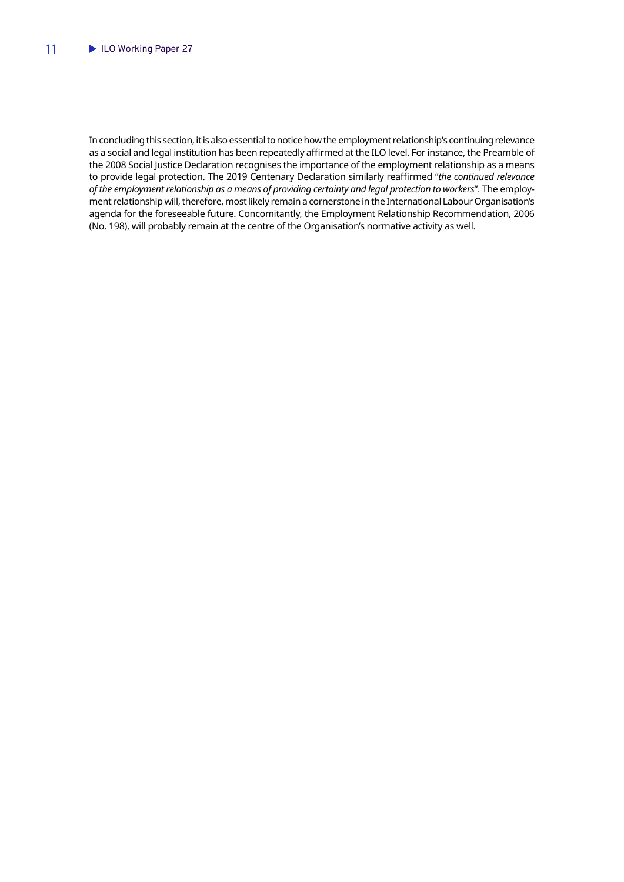In concluding this section, it is also essential to notice how the employment relationship's continuing relevance as a social and legal institution has been repeatedly affirmed at the ILO level. For instance, the Preamble of the 2008 Social Justice Declaration recognises the importance of the employment relationship as a means to provide legal protection. The 2019 Centenary Declaration similarly reaffirmed "*the continued relevance of the employment relationship as a means of providing certainty and legal protection to workers*". The employment relationship will, therefore, most likely remain a cornerstone in the International Labour Organisation's agenda for the foreseeable future. Concomitantly, the Employment Relationship Recommendation, 2006 (No. 198), will probably remain at the centre of the Organisation's normative activity as well.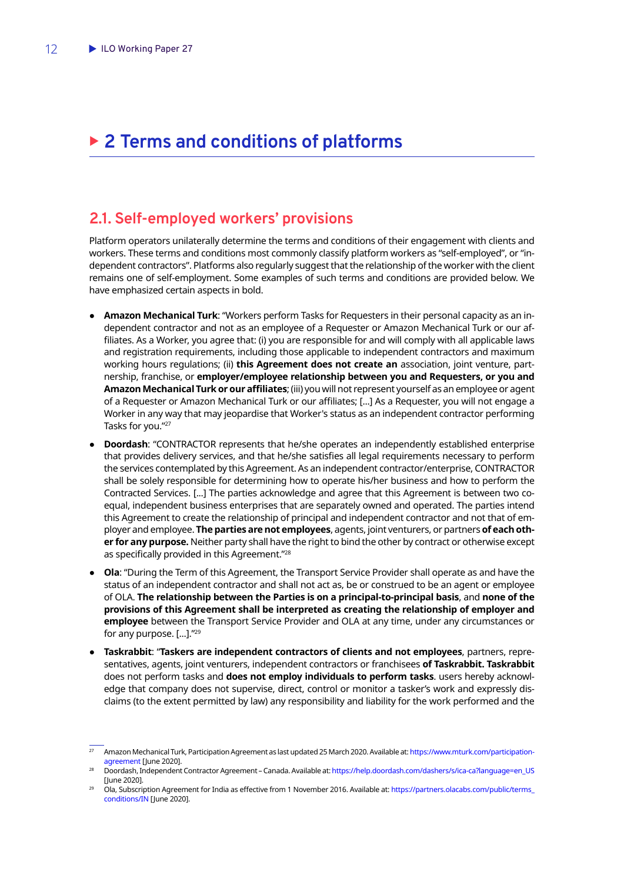# <span id="page-13-0"></span>▶ 2 Terms and conditions of platforms

#### **2.1. Self-employed workers' provisions**

Platform operators unilaterally determine the terms and conditions of their engagement with clients and workers. These terms and conditions most commonly classify platform workers as "self-employed", or "independent contractors". Platforms also regularly suggest that the relationship of the worker with the client remains one of self-employment. Some examples of such terms and conditions are provided below. We have emphasized certain aspects in bold.

- **Amazon Mechanical Turk**: "Workers perform Tasks for Requesters in their personal capacity as an independent contractor and not as an employee of a Requester or Amazon Mechanical Turk or our affiliates. As a Worker, you agree that: (i) you are responsible for and will comply with all applicable laws and registration requirements, including those applicable to independent contractors and maximum working hours regulations; (ii) **this Agreement does not create an** association, joint venture, partnership, franchise, or **employer/employee relationship between you and Requesters, or you and Amazon Mechanical Turk or our affiliates**; (iii) you will not represent yourself as an employee or agent of a Requester or Amazon Mechanical Turk or our affiliates; [...] As a Requester, you will not engage a Worker in any way that may jeopardise that Worker's status as an independent contractor performing Tasks for you."27
- **Doordash:** "CONTRACTOR represents that he/she operates an independently established enterprise that provides delivery services, and that he/she satisfies all legal requirements necessary to perform the services contemplated by this Agreement. As an independent contractor/enterprise, CONTRACTOR shall be solely responsible for determining how to operate his/her business and how to perform the Contracted Services. [...] The parties acknowledge and agree that this Agreement is between two coequal, independent business enterprises that are separately owned and operated. The parties intend this Agreement to create the relationship of principal and independent contractor and not that of employer and employee. **The parties are not employees**, agents, joint venturers, or partners **of each other for any purpose.** Neither party shall have the right to bind the other by contract or otherwise except as specifically provided in this Agreement."<sup>28</sup>
- **Ola:** "During the Term of this Agreement, the Transport Service Provider shall operate as and have the status of an independent contractor and shall not act as, be or construed to be an agent or employee of OLA. **The relationship between the Parties is on a principal-to-principal basis**, and **none of the provisions of this Agreement shall be interpreted as creating the relationship of employer and employee** between the Transport Service Provider and OLA at any time, under any circumstances or for any purpose. [...]."29
- **Taskrabbit**: "**Taskers are independent contractors of clients and not employees**, partners, representatives, agents, joint venturers, independent contractors or franchisees **of Taskrabbit. Taskrabbit** does not perform tasks and **does not employ individuals to perform tasks**. users hereby acknowledge that company does not supervise, direct, control or monitor a tasker's work and expressly disclaims (to the extent permitted by law) any responsibility and liability for the work performed and the

<sup>&</sup>lt;sup>27</sup> Amazon Mechanical Turk, Participation Agreement as last updated 25 March 2020. Available at: [https://www.mturk.com/participation](https://www.mturk.com/participation-agreement)[agreement](https://www.mturk.com/participation-agreement) [June 2020].

<sup>28</sup> Doordash, Independent Contractor Agreement – Canada. Available at: [https://help.doordash.com/dashers/s/ica-ca?language=en\\_US](https://help.doordash.com/dashers/s/ica-ca?language=en_US) [June 2020].

<sup>29</sup> Ola, Subscription Agreement for India as effective from 1 November 2016. Available at: [https://partners.olacabs.com/public/terms\\_](https://partners.olacabs.com/public/terms_conditions/IN) [conditions/IN](https://partners.olacabs.com/public/terms_conditions/IN) [June 2020].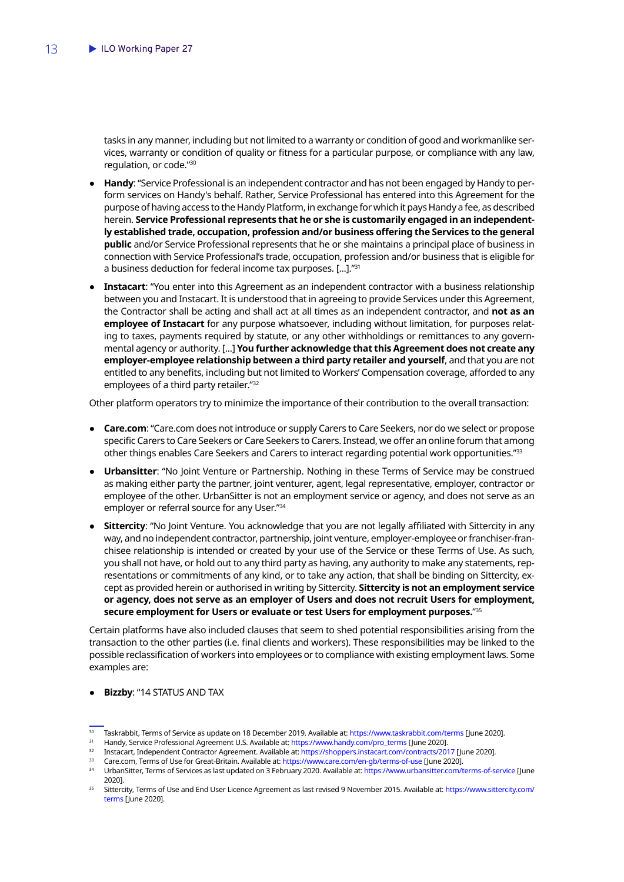tasks in any manner, including but not limited to a warranty or condition of good and workmanlike services, warranty or condition of quality or fitness for a particular purpose, or compliance with any law, regulation, or code."30

- **Handy:** "Service Professional is an independent contractor and has not been engaged by Handy to perform services on Handy's behalf. Rather, Service Professional has entered into this Agreement for the purpose of having access to the Handy Platform, in exchange for which it pays Handy a fee, as described herein. **Service Professional represents that he or she is customarily engaged in an independently established trade, occupation, profession and/or business offering the Services to the general public** and/or Service Professional represents that he or she maintains a principal place of business in connection with Service Professional's trade, occupation, profession and/or business that is eligible for a business deduction for federal income tax purposes. [...]."31
- Instacart: "You enter into this Agreement as an independent contractor with a business relationship between you and Instacart. It is understood that in agreeing to provide Services under this Agreement, the Contractor shall be acting and shall act at all times as an independent contractor, and **not as an employee of Instacart** for any purpose whatsoever, including without limitation, for purposes relating to taxes, payments required by statute, or any other withholdings or remittances to any governmental agency or authority. [...] **You further acknowledge that this Agreement does not create any employer-employee relationship between a third party retailer and yourself**, and that you are not entitled to any benefits, including but not limited to Workers' Compensation coverage, afforded to any employees of a third party retailer."32

Other platform operators try to minimize the importance of their contribution to the overall transaction:

- **Care.com**: "Care.com does not introduce or supply Carers to Care Seekers, nor do we select or propose specific Carers to Care Seekers or Care Seekers to Carers. Instead, we offer an online forum that among other things enables Care Seekers and Carers to interact regarding potential work opportunities."33
- **Urbansitter**: "No Joint Venture or Partnership. Nothing in these Terms of Service may be construed as making either party the partner, joint venturer, agent, legal representative, employer, contractor or employee of the other. UrbanSitter is not an employment service or agency, and does not serve as an employer or referral source for any User."34
- **Sittercity**: "No Joint Venture. You acknowledge that you are not legally affiliated with Sittercity in any way, and no independent contractor, partnership, joint venture, employer-employee or franchiser-franchisee relationship is intended or created by your use of the Service or these Terms of Use. As such, you shall not have, or hold out to any third party as having, any authority to make any statements, representations or commitments of any kind, or to take any action, that shall be binding on Sittercity, except as provided herein or authorised in writing by Sittercity. **Sittercity is not an employment service or agency, does not serve as an employer of Users and does not recruit Users for employment, secure employment for Users or evaluate or test Users for employment purposes.**"35

Certain platforms have also included clauses that seem to shed potential responsibilities arising from the transaction to the other parties (i.e. final clients and workers). These responsibilities may be linked to the possible reclassification of workers into employees or to compliance with existing employment laws. Some examples are:

#### ● **Bizzby**: "14 STATUS AND TAX

33 Care.com, Terms of Use for Great-Britain. Available at: <https://www.care.com/en-gb/terms-of-use>[June 2020].<br>34 LichanSitter Terms of Sengres as last undated on 3 February 2020, Available at: https://www.urbansitter.com

<sup>&</sup>lt;sup>30</sup> Taskrabbit, Terms of Service as update on 18 December 2019. Available at: <https://www.taskrabbit.com/terms> [June 2020].<br><sup>31</sup> Handy Service Professional Agreement LLS Available at: https://www.bandy.com/pro-terms [June

<sup>31</sup> Handy, Service Professional Agreement U.S. Available at: [https://www.handy.com/pro\\_terms](https://www.handy.com/pro_terms) [June 2020].

<sup>32</sup> Instacart, Independent Contractor Agreement. Available at:<https://shoppers.instacart.com/contracts/2017>[June 2020].

<sup>34</sup> UrbanSitter, Terms of Services as last updated on 3 February 2020. Available at:<https://www.urbansitter.com/terms-of-service>[June 2020].

<sup>35</sup> Sittercity, Terms of Use and End User Licence Agreement as last revised 9 November 2015. Available at: [https://www.sittercity.com/](https://www.sittercity.com/terms) [terms](https://www.sittercity.com/terms) [June 2020].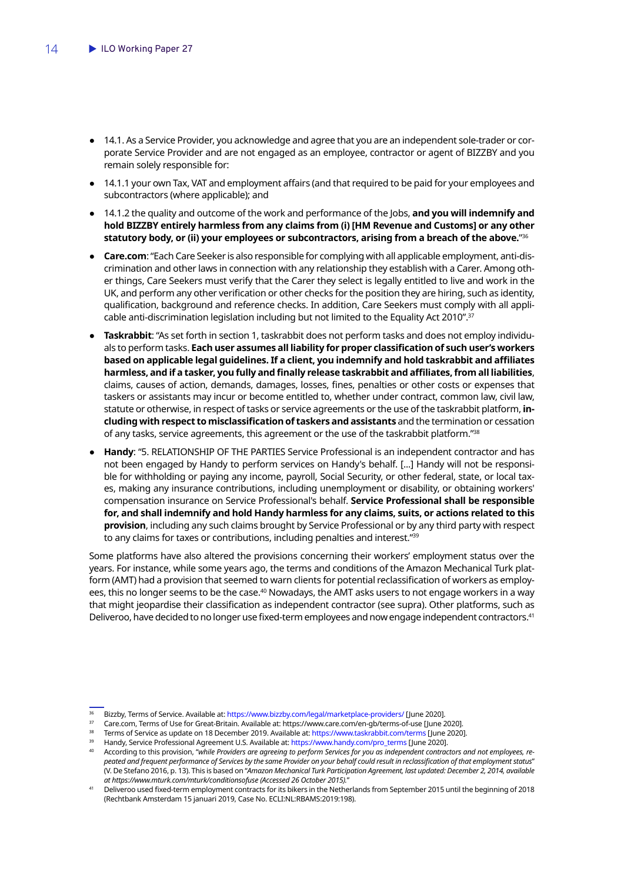- 14.1. As a Service Provider, you acknowledge and agree that you are an independent sole-trader or corporate Service Provider and are not engaged as an employee, contractor or agent of BIZZBY and you remain solely responsible for:
- 14.1.1 your own Tax, VAT and employment affairs (and that required to be paid for your employees and subcontractors (where applicable); and
- 14.1.2 the quality and outcome of the work and performance of the Jobs, **and you will indemnify and hold BIZZBY entirely harmless from any claims from (i) [HM Revenue and Customs] or any other statutory body, or (ii) your employees or subcontractors, arising from a breach of the above.**"36
- **Care.com**: "Each Care Seeker is also responsible for complying with all applicable employment, anti-discrimination and other laws in connection with any relationship they establish with a Carer. Among other things, Care Seekers must verify that the Carer they select is legally entitled to live and work in the UK, and perform any other verification or other checks for the position they are hiring, such as identity, qualification, background and reference checks. In addition, Care Seekers must comply with all applicable anti-discrimination legislation including but not limited to the Equality Act 2010".37
- **Taskrabbit**: "As set forth in section 1, taskrabbit does not perform tasks and does not employ individuals to perform tasks. **Each user assumes all liability for proper classification of such user's workers based on applicable legal guidelines. If a client, you indemnify and hold taskrabbit and affiliates harmless, and if a tasker, you fully and finally release taskrabbit and affiliates, from all liabilities**, claims, causes of action, demands, damages, losses, fines, penalties or other costs or expenses that taskers or assistants may incur or become entitled to, whether under contract, common law, civil law, statute or otherwise, in respect of tasks or service agreements or the use of the taskrabbit platform, **including with respect to misclassification of taskers and assistants** and the termination or cessation of any tasks, service agreements, this agreement or the use of the taskrabbit platform."38
- **Handy**: "5. RELATIONSHIP OF THE PARTIES Service Professional is an independent contractor and has not been engaged by Handy to perform services on Handy's behalf. [...] Handy will not be responsible for withholding or paying any income, payroll, Social Security, or other federal, state, or local taxes, making any insurance contributions, including unemployment or disability, or obtaining workers' compensation insurance on Service Professional's behalf. **Service Professional shall be responsible for, and shall indemnify and hold Handy harmless for any claims, suits, or actions related to this provision**, including any such claims brought by Service Professional or by any third party with respect to any claims for taxes or contributions, including penalties and interest."39

Some platforms have also altered the provisions concerning their workers' employment status over the years. For instance, while some years ago, the terms and conditions of the Amazon Mechanical Turk platform (AMT) had a provision that seemed to warn clients for potential reclassification of workers as employees, this no longer seems to be the case.<sup>40</sup> Nowadays, the AMT asks users to not engage workers in a way that might jeopardise their classification as independent contractor (see supra). Other platforms, such as Deliveroo, have decided to no longer use fixed-term employees and now engage independent contractors.<sup>41</sup>

<sup>36</sup> Bizzby, Terms of Service. Available at: <https://www.bizzby.com/legal/marketplace-providers/>[June 2020].

<sup>37</sup> Care.com, Terms of Use for Great-Britain. Available at: https://www.care.com/en-gb/terms-of-use [June 2020].

<sup>38</sup> Terms of Service as update on 18 December 2019. Available at: <https://www.taskrabbit.com/terms> [June 2020].

<sup>39</sup> Handy, Service Professional Agreement U.S. Available at: [https://www.handy.com/pro\\_terms](https://www.handy.com/pro_terms) [June 2020].

<sup>40</sup> According to this provision, "*while Providers are agreeing to perform Services for you as independent contractors and not employees, repeated and frequent performance of Services by the same Provider on your behalf could result in reclassification of that employment status*" (V. De Stefano 2016, p. 13). This is based on "*Amazon Mechanical Turk Participation Agreement, last updated: December 2, 2014, available at https://www.mturk.com/mturk/conditionsofuse (Accessed 26 October 2015).*"

<sup>41</sup> Deliveroo used fixed-term employment contracts for its bikers in the Netherlands from September 2015 until the beginning of 2018 (Rechtbank Amsterdam 15 januari 2019, Case No. ECLI:NL:RBAMS:2019:198).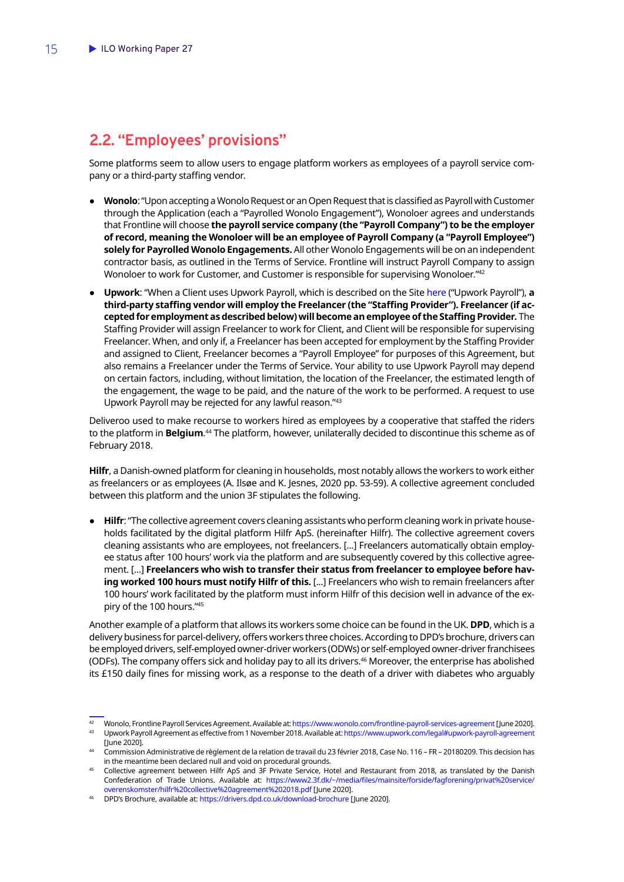### <span id="page-16-0"></span>**2.2. "Employees' provisions"**

Some platforms seem to allow users to engage platform workers as employees of a payroll service company or a third-party staffing vendor.

- Wonolo: "Upon accepting a Wonolo Request or an Open Request that is classified as Payroll with Customer through the Application (each a "Payrolled Wonolo Engagement"), Wonoloer agrees and understands that Frontline will choose **the payroll service company (the "Payroll Company") to be the employer of record, meaning the Wonoloer will be an employee of Payroll Company (a "Payroll Employee") solely for Payrolled Wonolo Engagements.** All other Wonolo Engagements will be on an independent contractor basis, as outlined in the Terms of Service. Frontline will instruct Payroll Company to assign Wonoloer to work for Customer, and Customer is responsible for supervising Wonoloer."42
- **Upwork**: "When a Client uses Upwork Payroll, which is described on the Sit[e here](https://www.upwork.com/i/payroll-client/) ("Upwork Payroll"), **a third-party staffing vendor will employ the Freelancer (the "Staffing Provider"). Freelancer (if accepted for employment as described below) will become an employee of the Staffing Provider.** The Staffing Provider will assign Freelancer to work for Client, and Client will be responsible for supervising Freelancer. When, and only if, a Freelancer has been accepted for employment by the Staffing Provider and assigned to Client, Freelancer becomes a "Payroll Employee" for purposes of this Agreement, but also remains a Freelancer under the Terms of Service. Your ability to use Upwork Payroll may depend on certain factors, including, without limitation, the location of the Freelancer, the estimated length of the engagement, the wage to be paid, and the nature of the work to be performed. A request to use Upwork Payroll may be rejected for any lawful reason."43

Deliveroo used to make recourse to workers hired as employees by a cooperative that staffed the riders to the platform in **Belgium**.<sup>44</sup> The platform, however, unilaterally decided to discontinue this scheme as of February 2018.

**Hilfr**, a Danish-owned platform for cleaning in households, most notably allows the workers to work either as freelancers or as employees (A. Ilsøe and K. Jesnes, 2020 pp. 53-59). A collective agreement concluded between this platform and the union 3F stipulates the following.

● **Hilfr**: "The collective agreement covers cleaning assistants who perform cleaning work in private households facilitated by the digital platform Hilfr ApS. (hereinafter Hilfr). The collective agreement covers cleaning assistants who are employees, not freelancers. [...] Freelancers automatically obtain employee status after 100 hours' work via the platform and are subsequently covered by this collective agreement. [...] **Freelancers who wish to transfer their status from freelancer to employee before having worked 100 hours must notify Hilfr of this.** [...] Freelancers who wish to remain freelancers after 100 hours' work facilitated by the platform must inform Hilfr of this decision well in advance of the expiry of the 100 hours."45

Another example of a platform that allows its workers some choice can be found in the UK. **DPD**, which is a delivery business for parcel-delivery, offers workers three choices. According to DPD's brochure, drivers can be employed drivers, self-employed owner-driver workers (ODWs) or self-employed owner-driver franchisees (ODFs). The company offers sick and holiday pay to all its drivers.46 Moreover, the enterprise has abolished its £150 daily fines for missing work, as a response to the death of a driver with diabetes who arguably

<sup>42</sup> Wonolo, Frontline Payroll Services Agreement. Available at:<https://www.wonolo.com/frontline-payroll-services-agreement> [June 2020]. <sup>43</sup> Upwork Payroll Agreement as effective from 1 November 2018. Available at: <https://www.upwork.com/legal#upwork-payroll-agreement>

<sup>[</sup>June 2020]. <sup>44</sup> Commission Administrative de règlement de la relation de travail du 23 février 2018, Case No. 116 – FR – 20180209. This decision has

in the meantime been declared null and void on procedural grounds.

<sup>45</sup> Collective agreement between Hilfr ApS and 3F Private Service, Hotel and Restaurant from 2018, as translated by the Danish Confederation of Trade Unions. Available at: [https://www2.3f.dk/~/media/files/mainsite/forside/fagforening/privat%20service/](https://www2.3f.dk/~/media/files/mainsite/forside/fagforening/privat%20service/overenskomster/hilfr%20collective%20agreement%202018.pdf) [overenskomster/hilfr%20collective%20agreement%202018.pdf](https://www2.3f.dk/~/media/files/mainsite/forside/fagforening/privat%20service/overenskomster/hilfr%20collective%20agreement%202018.pdf) [June 2020].

<sup>46</sup> DPD's Brochure, available at: <https://drivers.dpd.co.uk/download-brochure>[June 2020].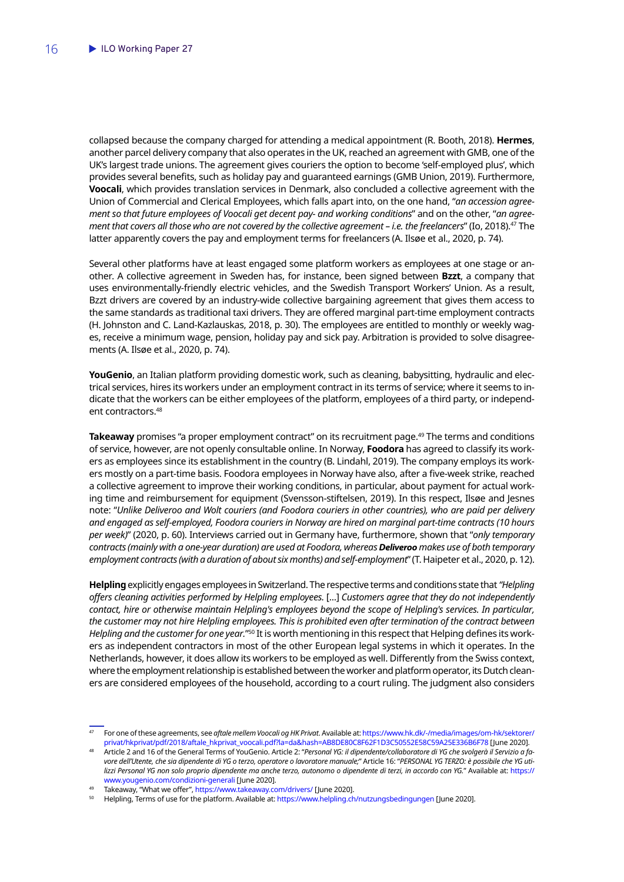collapsed because the company charged for attending a medical appointment (R. Booth, 2018). **Hermes**, another parcel delivery company that also operates in the UK, reached an agreement with GMB, one of the UK's largest trade unions. The agreement gives couriers the option to become 'self-employed plus', which provides several benefits, such as holiday pay and guaranteed earnings (GMB Union, 2019). Furthermore, **Voocali**, which provides translation services in Denmark, also concluded a collective agreement with the Union of Commercial and Clerical Employees, which falls apart into, on the one hand, "*an accession agreement so that future employees of Voocali get decent pay- and working conditions*" and on the other, "*an agreement that covers all those who are not covered by the collective agreement – i.e. the freelancers*" (Io, 2018).47 The latter apparently covers the pay and employment terms for freelancers (A. Ilsøe et al., 2020, p. 74).

Several other platforms have at least engaged some platform workers as employees at one stage or another. A collective agreement in Sweden has, for instance, been signed between **Bzzt**, a company that uses environmentally-friendly electric vehicles, and the Swedish Transport Workers' Union. As a result, Bzzt drivers are covered by an industry-wide collective bargaining agreement that gives them access to the same standards as traditional taxi drivers. They are offered marginal part-time employment contracts (H. Johnston and C. Land-Kazlauskas, 2018, p. 30). The employees are entitled to monthly or weekly wages, receive a minimum wage, pension, holiday pay and sick pay. Arbitration is provided to solve disagreements (A. Ilsøe et al., 2020, p. 74).

**YouGenio**, an Italian platform providing domestic work, such as cleaning, babysitting, hydraulic and electrical services, hires its workers under an employment contract in its terms of service; where it seems to indicate that the workers can be either employees of the platform, employees of a third party, or independent contractors.48

**Takeaway** promises "a proper employment contract" on its recruitment page.<sup>49</sup> The terms and conditions of service, however, are not openly consultable online. In Norway, **Foodora** has agreed to classify its workers as employees since its establishment in the country (B. Lindahl, 2019). The company employs its workers mostly on a part-time basis. Foodora employees in Norway have also, after a five-week strike, reached a collective agreement to improve their working conditions, in particular, about payment for actual working time and reimbursement for equipment (Svensson-stiftelsen, 2019). In this respect, Ilsøe and Jesnes note: "*Unlike Deliveroo and Wolt couriers (and Foodora couriers in other countries), who are paid per delivery and engaged as self-employed, Foodora couriers in Norway are hired on marginal part-time contracts (10 hours per week)*" (2020, p. 60). Interviews carried out in Germany have, furthermore, shown that "*only temporary contracts (mainly with a one-year duration) are used at Foodora, whereas Deliveroo makes use of both temporary employment contracts (with a duration of about six months) and self-employment*" (T. Haipeter et al., 2020, p. 12).

**Helpling** explicitly engages employees in Switzerland. The respective terms and conditions state that *"Helpling offers cleaning activities performed by Helpling employees.* [...] *Customers agree that they do not independently contact, hire or otherwise maintain Helpling's employees beyond the scope of Helpling's services. In particular,*  the customer may not hire Helpling employees. This is prohibited even after termination of the contract between *Helpling and the customer for one year.*"50 It is worth mentioning in this respect that Helping defines its workers as independent contractors in most of the other European legal systems in which it operates. In the Netherlands, however, it does allow its workers to be employed as well. Differently from the Swiss context, where the employment relationship is established between the worker and platform operator, its Dutch cleaners are considered employees of the household, according to a court ruling. The judgment also considers

<sup>47</sup> For one of these agreements, see *aftale mellem Voocali og HK Privat*. Available at: [https://www.hk.dk/-/media/images/om-hk/sektorer/](https://www.hk.dk/-/media/images/om-hk/sektorer/privat/hkprivat/pdf/2018/aftale_hkprivat_voocali.pdf?la=da&hash=AB8DE80C8F62F1D3C50552E58C59A25E336B6F78) [privat/hkprivat/pdf/2018/aftale\\_hkprivat\\_voocali.pdf?la=da&hash=AB8DE80C8F62F1D3C50552E58C59A25E336B6F78](https://www.hk.dk/-/media/images/om-hk/sektorer/privat/hkprivat/pdf/2018/aftale_hkprivat_voocali.pdf?la=da&hash=AB8DE80C8F62F1D3C50552E58C59A25E336B6F78) [June 2020].

<sup>48</sup> Article 2 and 16 of the General Terms of YouGenio. Article 2: "*Personal YG: il dipendente/collaboratore di YG che svolgerà il Servizio a favore dell'Utente, che sia dipendente di YG o terzo, operatore o lavoratore manuale;*" Article 16: "*PERSONAL YG TERZO: è possibile che YG utilizzi Personal YG non solo proprio dipendente ma anche terzo, autonomo o dipendente di terzi, in accordo con YG.*" Available at: [https://](https://www.yougenio.com/condizioni-generali)

[www.yougenio.com/condizioni-generali](https://www.yougenio.com/condizioni-generali) [June 2020].<br>Takeaway, "What we offer", https://www.takeaway.com/drivers/ [June 2020].

Helpling, Terms of use for the platform. Available at:<https://www.helpling.ch/nutzungsbedingungen> [June 2020].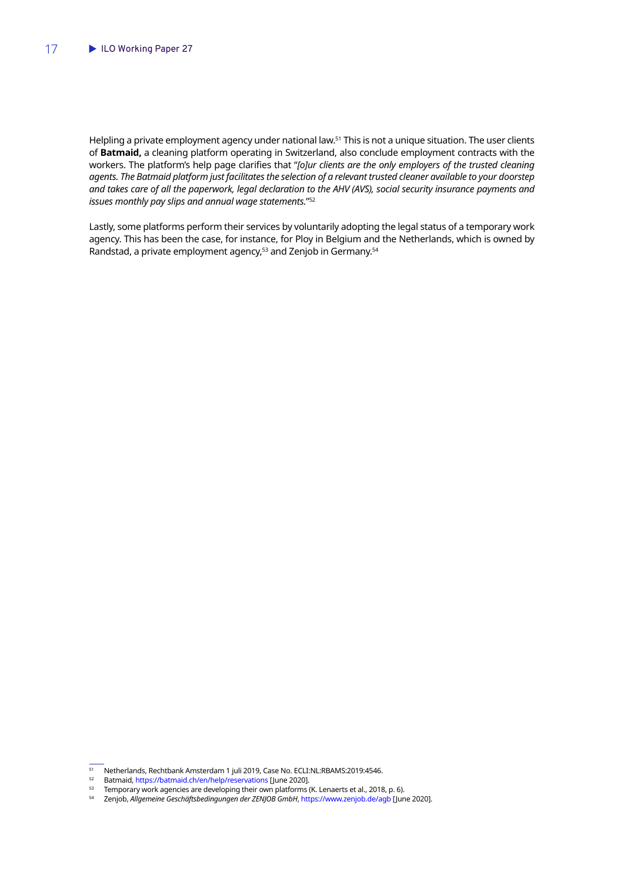Helpling a private employment agency under national law.<sup>51</sup> This is not a unique situation. The user clients of **Batmaid,** a cleaning platform operating in Switzerland, also conclude employment contracts with the workers. The platform's help page clarifies that "*[o]ur clients are the only employers of the trusted cleaning agents. The Batmaid platform just facilitates the selection of a relevant trusted cleaner available to your doorstep and takes care of all the paperwork, legal declaration to the AHV (AVS), social security insurance payments and issues monthly pay slips and annual wage statements.*"52

Lastly, some platforms perform their services by voluntarily adopting the legal status of a temporary work agency. This has been the case, for instance, for Ploy in Belgium and the Netherlands, which is owned by Randstad, a private employment agency,<sup>53</sup> and Zenjob in Germany.<sup>54</sup>

<sup>&</sup>lt;sup>51</sup> Netherlands, Rechtbank Amsterdam 1 juli 2019, Case No. ECLI:NL:RBAMS:2019:4546.<br><sup>52</sup> Batmaid https://batmaid.ch/en/help/resenvations [June 2020]

<sup>&</sup>lt;sup>52</sup> Batmaid,<https://batmaid.ch/en/help/reservations>[June 2020].<br><sup>53</sup> Temporary work agencies are developing their own platforms

<sup>&</sup>lt;sup>53</sup> Temporary work agencies are developing their own platforms (K. Lenaerts et al., 2018, p. 6).<br><sup>54</sup> Zeniob Allgemeine Geschäftshedingungen der ZENIOB GmbH, https://www.zeniob.de/agb.[Jun

<sup>54</sup> Zenjob, *Allgemeine Geschäftsbedingungen der ZENJOB GmbH*,<https://www.zenjob.de/agb> [June 2020].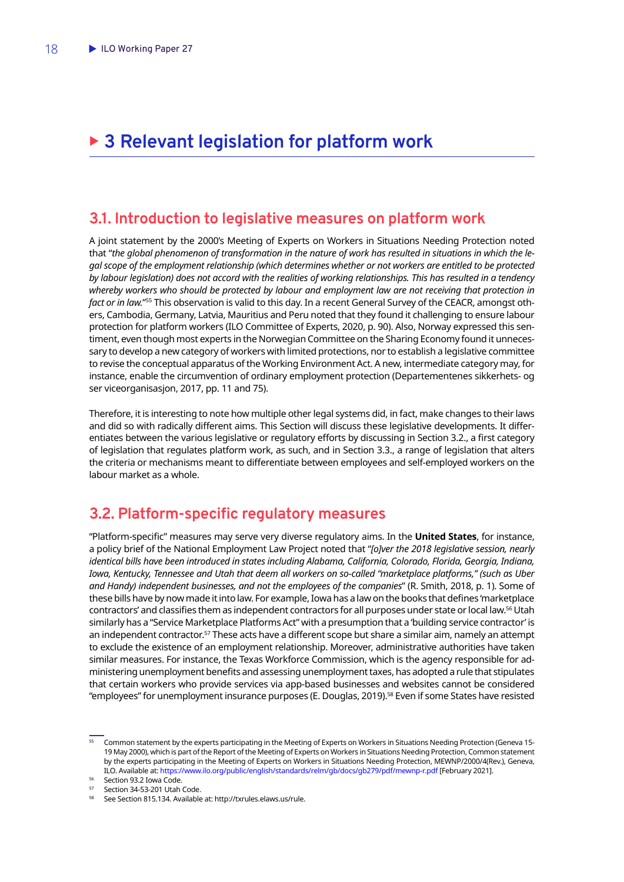# <span id="page-19-0"></span>▶ 3 Relevant legislation for platform work

#### **3.1. Introduction to legislative measures on platform work**

A joint statement by the 2000's Meeting of Experts on Workers in Situations Needing Protection noted that "*the global phenomenon of transformation in the nature of work has resulted in situations in which the legal scope of the employment relationship (which determines whether or not workers are entitled to be protected by labour legislation) does not accord with the realities of working relationships. This has resulted in a tendency whereby workers who should be protected by labour and employment law are not receiving that protection in fact or in law.*"55 This observation is valid to this day. In a recent General Survey of the CEACR, amongst others, Cambodia, Germany, Latvia, Mauritius and Peru noted that they found it challenging to ensure labour protection for platform workers (ILO Committee of Experts, 2020, p. 90). Also, Norway expressed this sentiment, even though most experts in the Norwegian Committee on the Sharing Economy found it unnecessary to develop a new category of workers with limited protections, nor to establish a legislative committee to revise the conceptual apparatus of the Working Environment Act. A new, intermediate category may, for instance, enable the circumvention of ordinary employment protection (Departementenes sikkerhets- og ser viceorganisasjon, 2017, pp. 11 and 75).

Therefore, it is interesting to note how multiple other legal systems did, in fact, make changes to their laws and did so with radically different aims. This Section will discuss these legislative developments. It differentiates between the various legislative or regulatory efforts by discussing in Section 3.2., a first category of legislation that regulates platform work, as such, and in Section 3.3., a range of legislation that alters the criteria or mechanisms meant to differentiate between employees and self-employed workers on the labour market as a whole.

### **3.2. Platform-specific regulatory measures**

"Platform-specific" measures may serve very diverse regulatory aims. In the **United States**, for instance, a policy brief of the National Employment Law Project noted that "*[o]ver the 2018 legislative session, nearly identical bills have been introduced in states including Alabama, California, Colorado, Florida, Georgia, Indiana, Iowa, Kentucky, Tennessee and Utah that deem all workers on so-called "marketplace platforms," (such as Uber and Handy) independent businesses, and not the employees of the companies*" (R. Smith, 2018, p. 1). Some of these bills have by now made it into law. For example, Iowa has a law on the books that defines 'marketplace contractors' and classifies them as independent contractors for all purposes under state or local law.56 Utah similarly has a "Service Marketplace Platforms Act" with a presumption that a 'building service contractor' is an independent contractor.<sup>57</sup> These acts have a different scope but share a similar aim, namely an attempt to exclude the existence of an employment relationship. Moreover, administrative authorities have taken similar measures. For instance, the Texas Workforce Commission, which is the agency responsible for administering unemployment benefits and assessing unemployment taxes, has adopted a rule that stipulates that certain workers who provide services via app-based businesses and websites cannot be considered "employees" for unemployment insurance purposes (E. Douglas, 2019).58 Even if some States have resisted

<sup>55</sup> Common statement by the experts participating in the Meeting of Experts on Workers in Situations Needing Protection (Geneva 15- 19 May 2000), which is part of the Report of the Meeting of Experts on Workers in Situations Needing Protection, Common statement by the experts participating in the Meeting of Experts on Workers in Situations Needing Protection, MEWNP/2000/4(Rev.), Geneva, ILO. Available at:<https://www.ilo.org/public/english/standards/relm/gb/docs/gb279/pdf/mewnp-r.pdf>[February 2021].

<sup>56</sup> Section 93.2 Iowa Code.

 $57$  Section 34-53-201 Utah Code.

<sup>58</sup> See Section 815.134. Available at: http://txrules.elaws.us/rule.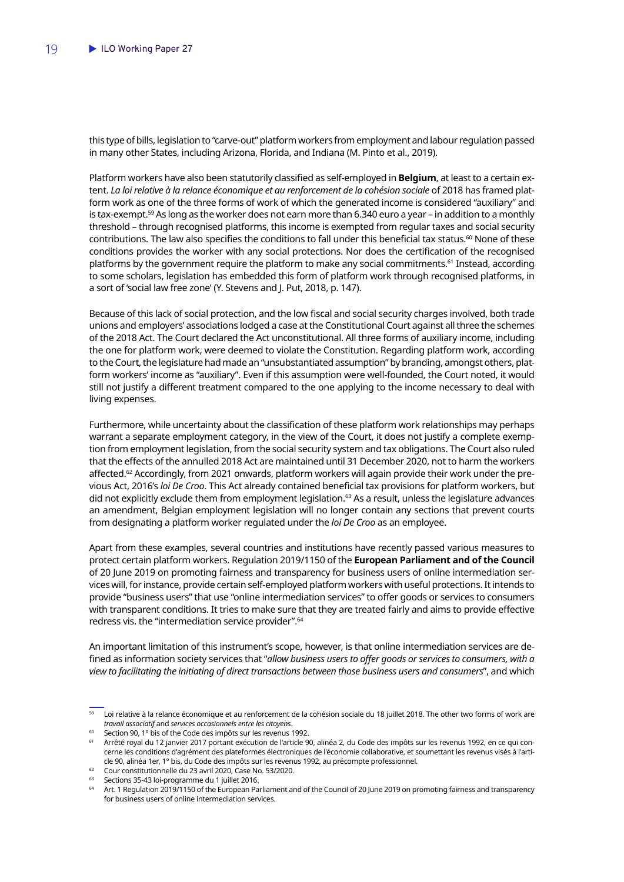this type of bills, legislation to "carve-out" platform workers from employment and labour regulation passed in many other States, including Arizona, Florida, and Indiana (M. Pinto et al., 2019).

Platform workers have also been statutorily classified as self-employed in **Belgium**, at least to a certain extent. *La loi relative à la relance économique et au renforcement de la cohésion sociale* of 2018 has framed platform work as one of the three forms of work of which the generated income is considered "auxiliary" and is tax-exempt.59 As long as the worker does not earn more than 6.340 euro a year – in addition to a monthly threshold – through recognised platforms, this income is exempted from regular taxes and social security contributions. The law also specifies the conditions to fall under this beneficial tax status.<sup>60</sup> None of these conditions provides the worker with any social protections. Nor does the certification of the recognised platforms by the government require the platform to make any social commitments.<sup>61</sup> Instead, according to some scholars, legislation has embedded this form of platform work through recognised platforms, in a sort of 'social law free zone' (Y. Stevens and J. Put, 2018, p. 147).

Because of this lack of social protection, and the low fiscal and social security charges involved, both trade unions and employers' associations lodged a case at the Constitutional Court against all three the schemes of the 2018 Act. The Court declared the Act unconstitutional. All three forms of auxiliary income, including the one for platform work, were deemed to violate the Constitution. Regarding platform work, according to the Court, the legislature had made an "unsubstantiated assumption" by branding, amongst others, platform workers' income as "auxiliary". Even if this assumption were well-founded, the Court noted, it would still not justify a different treatment compared to the one applying to the income necessary to deal with living expenses.

Furthermore, while uncertainty about the classification of these platform work relationships may perhaps warrant a separate employment category, in the view of the Court, it does not justify a complete exemption from employment legislation, from the social security system and tax obligations. The Court also ruled that the effects of the annulled 2018 Act are maintained until 31 December 2020, not to harm the workers affected.<sup>62</sup> Accordingly, from 2021 onwards, platform workers will again provide their work under the previous Act, 2016's *loi De Croo*. This Act already contained beneficial tax provisions for platform workers, but did not explicitly exclude them from employment legislation.<sup>63</sup> As a result, unless the legislature advances an amendment, Belgian employment legislation will no longer contain any sections that prevent courts from designating a platform worker regulated under the *loi De Croo* as an employee.

Apart from these examples, several countries and institutions have recently passed various measures to protect certain platform workers. Regulation 2019/1150 of the **European Parliament and of the Council** of 20 June 2019 on promoting fairness and transparency for business users of online intermediation services will, for instance, provide certain self-employed platform workers with useful protections. It intends to provide "business users" that use "online intermediation services" to offer goods or services to consumers with transparent conditions. It tries to make sure that they are treated fairly and aims to provide effective redress vis. the "intermediation service provider".<sup>64</sup>

An important limitation of this instrument's scope, however, is that online intermediation services are defined as information society services that "*allow business users to offer goods or services to consumers, with a view to facilitating the initiating of direct transactions between those business users and consumers*", and which

- <sup>62</sup> Cour constitutionnelle du 23 avril 2020, Case No. 53/2020.
- <sup>63</sup> Sections 35-43 loi-programme du 1 juillet 2016.

<sup>&</sup>lt;sup>59</sup> Loi relative à la relance économique et au renforcement de la cohésion sociale du 18 juillet 2018. The other two forms of work are *travail associatif* and *services occasionnels entre les citoyens*.

<sup>60</sup> Section 90, 1° bis of the Code des impôts sur les revenus 1992.

<sup>&</sup>lt;sup>61</sup> Arrêté royal du 12 janvier 2017 portant exécution de l'article 90, alinéa 2, du Code des impôts sur les revenus 1992, en ce qui concerne les conditions d'agrément des plateformes électroniques de l'économie collaborative, et soumettant les revenus visés à l'article 90, alinéa 1er, 1° bis, du Code des impôts sur les revenus 1992, au précompte professionnel.

Art. 1 Regulation 2019/1150 of the European Parliament and of the Council of 20 June 2019 on promoting fairness and transparency for business users of online intermediation services.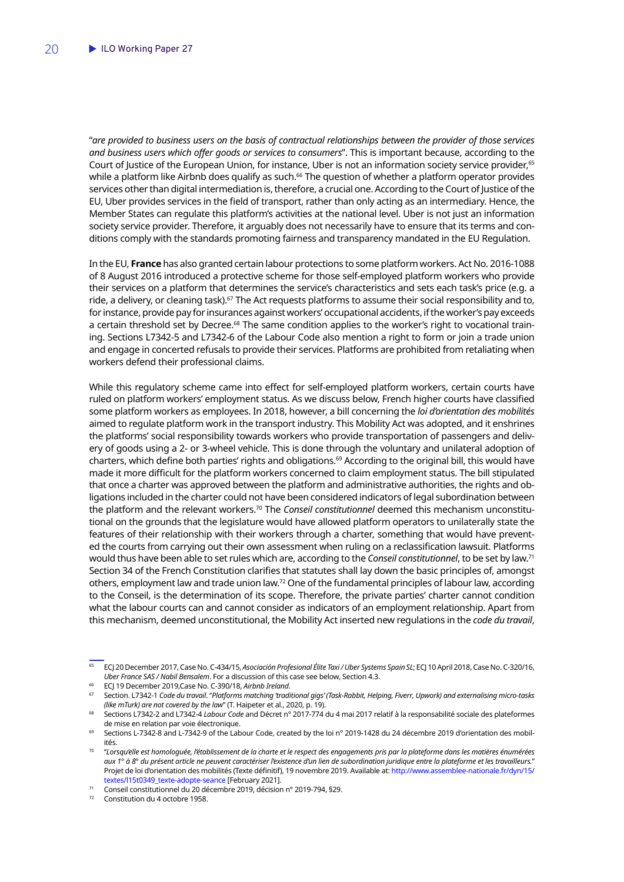"*are provided to business users on the basis of contractual relationships between the provider of those services and business users which offer goods or services to consumers*". This is important because, according to the Court of Justice of the European Union, for instance, Uber is not an information society service provider,<sup>65</sup> while a platform like Airbnb does qualify as such.<sup>66</sup> The question of whether a platform operator provides services other than digital intermediation is, therefore, a crucial one. According to the Court of Justice of the EU, Uber provides services in the field of transport, rather than only acting as an intermediary. Hence, the Member States can regulate this platform's activities at the national level. Uber is not just an information society service provider. Therefore, it arguably does not necessarily have to ensure that its terms and conditions comply with the standards promoting fairness and transparency mandated in the EU Regulation.

In the EU, **France** has also granted certain labour protections to some platform workers. Act No. 2016-1088 of 8 August 2016 introduced a protective scheme for those self-employed platform workers who provide their services on a platform that determines the service's characteristics and sets each task's price (e.g. a ride, a delivery, or cleaning task).<sup>67</sup> The Act requests platforms to assume their social responsibility and to, for instance, provide pay for insurances against workers' occupational accidents, if the worker's pay exceeds a certain threshold set by Decree.<sup>68</sup> The same condition applies to the worker's right to vocational training. Sections L7342-5 and L7342-6 of the Labour Code also mention a right to form or join a trade union and engage in concerted refusals to provide their services. Platforms are prohibited from retaliating when workers defend their professional claims.

While this regulatory scheme came into effect for self-employed platform workers, certain courts have ruled on platform workers' employment status. As we discuss below, French higher courts have classified some platform workers as employees. In 2018, however, a bill concerning the *loi d'orientation des mobilités* aimed to regulate platform work in the transport industry. This Mobility Act was adopted, and it enshrines the platforms' social responsibility towards workers who provide transportation of passengers and delivery of goods using a 2- or 3-wheel vehicle. This is done through the voluntary and unilateral adoption of charters, which define both parties' rights and obligations.<sup>69</sup> According to the original bill, this would have made it more difficult for the platform workers concerned to claim employment status. The bill stipulated that once a charter was approved between the platform and administrative authorities, the rights and obligations included in the charter could not have been considered indicators of legal subordination between the platform and the relevant workers.<sup>70</sup> The *Conseil constitutionnel* deemed this mechanism unconstitutional on the grounds that the legislature would have allowed platform operators to unilaterally state the features of their relationship with their workers through a charter, something that would have prevented the courts from carrying out their own assessment when ruling on a reclassification lawsuit. Platforms would thus have been able to set rules which are, according to the *Conseil constitutionnel*, to be set by law.71 Section 34 of the French Constitution clarifies that statutes shall lay down the basic principles of, amongst others, employment law and trade union law.72 One of the fundamental principles of labour law, according to the Conseil, is the determination of its scope. Therefore, the private parties' charter cannot condition what the labour courts can and cannot consider as indicators of an employment relationship. Apart from this mechanism, deemed unconstitutional, the Mobility Act inserted new regulations in the *code du travail*,

<sup>65</sup> ECJ 20 December 2017, Case No. C-434/15, *Asociación Profesional Élite Taxi / Uber Systems Spain SL*; ECJ 10 April 2018, Case No. C-320/16, *Uber France SAS / Nabil Bensalem*. For a discussion of this case see below, Section 4.3.

<sup>66</sup> ECJ 19 December 2019,Case No. C-390/18, *Airbnb Ireland*.

<sup>67</sup> Section. L7342-1 *Code du travail*. "*Platforms matching 'traditional gigs' (Task-Rabbit, Helping, Fiverr, Upwork) and externalising micro-tasks (like mTurk) are not covered by the law*" (T. Haipeter et al., 2020, p. 19).

<sup>68</sup> Sections L7342-2 and L7342-4 *Labour Code* and Décret n° 2017-774 du 4 mai 2017 relatif à la responsabilité sociale des plateformes de mise en relation par voie électronique.

<sup>69</sup> Sections L-7342-8 and L-7342-9 of the Labour Code, created by the loi n° 2019-1428 du 24 décembre 2019 d'orientation des mobilités.

<sup>70</sup> "*Lorsqu'elle est homologuée, l'établissement de la charte et le respect des engagements pris par la plateforme dans les matières énumérées aux 1° à 8° du présent article ne peuvent caractériser l'existence d'un lien de subordination juridique entre la plateforme et les travailleurs.*" Projet de loi d'orientation des mobilités (Texte définitif), 19 novembre 2019. Available at: [http://www.assemblee-nationale.fr/dyn/15/](http://www.assemblee-nationale.fr/dyn/15/textes/l15t0349_texte-adopte-seance) [textes/l15t0349\\_texte-adopte-seance](http://www.assemblee-nationale.fr/dyn/15/textes/l15t0349_texte-adopte-seance) [February 2021].

<sup>&</sup>lt;sup>71</sup> Conseil constitutionnel du 20 décembre 2019, décision n° 2019-794, §29.<br><sup>72</sup> Constitution du 4 octobre 1058

Constitution du 4 octobre 1958.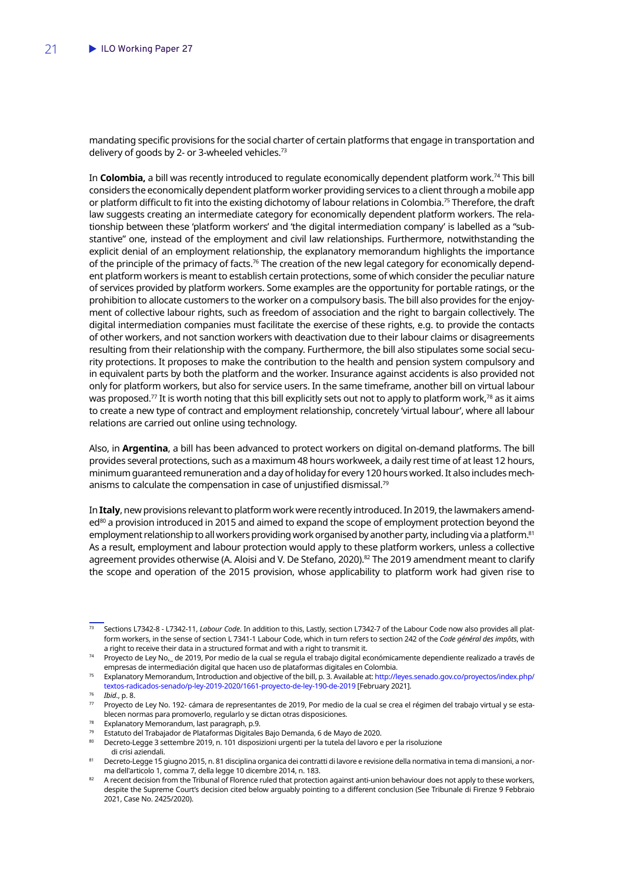mandating specific provisions for the social charter of certain platforms that engage in transportation and delivery of goods by 2- or 3-wheeled vehicles.<sup>73</sup>

In **Colombia,** a bill was recently introduced to regulate economically dependent platform work.74 This bill considers the economically dependent platform worker providing services to a client through a mobile app or platform difficult to fit into the existing dichotomy of labour relations in Colombia.<sup>75</sup> Therefore, the draft law suggests creating an intermediate category for economically dependent platform workers. The relationship between these 'platform workers' and 'the digital intermediation company' is labelled as a "substantive" one, instead of the employment and civil law relationships. Furthermore, notwithstanding the explicit denial of an employment relationship, the explanatory memorandum highlights the importance of the principle of the primacy of facts.<sup>76</sup> The creation of the new legal category for economically dependent platform workers is meant to establish certain protections, some of which consider the peculiar nature of services provided by platform workers. Some examples are the opportunity for portable ratings, or the prohibition to allocate customers to the worker on a compulsory basis. The bill also provides for the enjoyment of collective labour rights, such as freedom of association and the right to bargain collectively. The digital intermediation companies must facilitate the exercise of these rights, e.g. to provide the contacts of other workers, and not sanction workers with deactivation due to their labour claims or disagreements resulting from their relationship with the company. Furthermore, the bill also stipulates some social security protections. It proposes to make the contribution to the health and pension system compulsory and in equivalent parts by both the platform and the worker. Insurance against accidents is also provided not only for platform workers, but also for service users. In the same timeframe, another bill on virtual labour was proposed.<sup>77</sup> It is worth noting that this bill explicitly sets out not to apply to platform work,<sup>78</sup> as it aims to create a new type of contract and employment relationship, concretely 'virtual labour', where all labour relations are carried out online using technology.

Also, in **Argentina**, a bill has been advanced to protect workers on digital on-demand platforms. The bill provides several protections, such as a maximum 48 hours workweek, a daily rest time of at least 12 hours, minimum guaranteed remuneration and a day of holiday for every 120 hours worked. It also includes mechanisms to calculate the compensation in case of unjustified dismissal.<sup>79</sup>

In **Italy**, new provisions relevant to platform work were recently introduced. In 2019, the lawmakers amended<sup>80</sup> a provision introduced in 2015 and aimed to expand the scope of employment protection beyond the employment relationship to all workers providing work organised by another party, including via a platform.<sup>81</sup> As a result, employment and labour protection would apply to these platform workers, unless a collective agreement provides otherwise (A. Aloisi and V. De Stefano, 2020).<sup>82</sup> The 2019 amendment meant to clarify the scope and operation of the 2015 provision, whose applicability to platform work had given rise to

- Explanatory Memorandum, last paragraph, p.9.
- <sup>79</sup> Estatuto del Trabajador de Plataformas Digitales Bajo Demanda, 6 de Mayo de 2020.
- <sup>80</sup> Decreto-Legge 3 settembre 2019, n. 101 disposizioni urgenti per la tutela del lavoro e per la risoluzione
- di crisi aziendali. <sup>81</sup> Decreto-Legge 15 giugno 2015, n. 81 disciplina organica dei contratti di lavore e revisione della normativa in tema di mansioni, a norma dell'articolo 1, comma 7, della legge 10 dicembre 2014, n. 183.

<sup>73</sup> Sections L7342-8 - L7342-11, *Labour Code*. In addition to this, Lastly, section L7342-7 of the Labour Code now also provides all platform workers, in the sense of section L 7341-1 Labour Code, which in turn refers to section 242 of the *Code général des impôts*, with a right to receive their data in a structured format and with a right to transmit it.

<sup>74</sup> Proyecto de Ley No,\_ de 2019, Por medio de la cual se regula el trabajo digital económicamente dependiente realizado a través de empresas de intermediación digital que hacen uso de plataformas digitales en Colombia.

<sup>75</sup> Explanatory Memorandum, Introduction and objective of the bill, p. 3. Available at: [http://leyes.senado.gov.co/proyectos/index.php/](http://leyes.senado.gov.co/proyectos/index.php/textos-radicados-senado/p-ley-2019-2020/1661-proyecto-de-ley-190-de-2019) [textos-radicados-senado/p-ley-2019-2020/1661-proyecto-de-ley-190-de-2019](http://leyes.senado.gov.co/proyectos/index.php/textos-radicados-senado/p-ley-2019-2020/1661-proyecto-de-ley-190-de-2019) [February 2021].

<sup>76</sup> *Ibid*., p. 8.

 $77$  Proyecto de Ley No. 192- cámara de representantes de 2019, Por medio de la cual se crea el régimen del trabajo virtual y se establecen normas para promoverlo, regularlo y se dictan otras disposiciones.

<sup>82</sup> A recent decision from the Tribunal of Florence ruled that protection against anti-union behaviour does not apply to these workers, despite the Supreme Court's decision cited below arguably pointing to a different conclusion (See Tribunale di Firenze 9 Febbraio 2021, Case No. 2425/2020).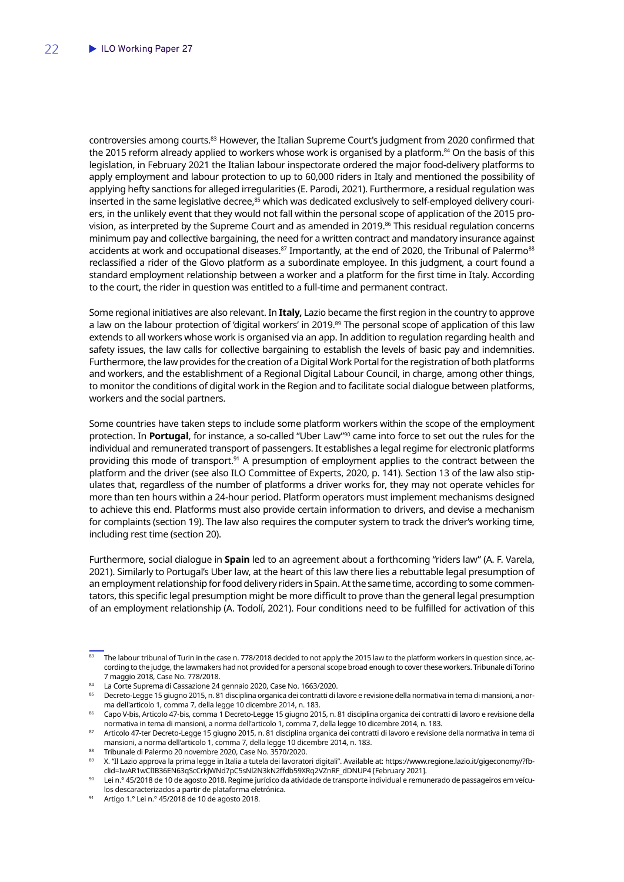controversies among courts.<sup>83</sup> However, the Italian Supreme Court's judgment from 2020 confirmed that the 2015 reform already applied to workers whose work is organised by a platform.<sup>84</sup> On the basis of this legislation, in February 2021 the Italian labour inspectorate ordered the major food-delivery platforms to apply employment and labour protection to up to 60,000 riders in Italy and mentioned the possibility of applying hefty sanctions for alleged irregularities (E. Parodi, 2021). Furthermore, a residual regulation was inserted in the same legislative decree,<sup>85</sup> which was dedicated exclusively to self-employed delivery couriers, in the unlikely event that they would not fall within the personal scope of application of the 2015 provision, as interpreted by the Supreme Court and as amended in 2019.<sup>86</sup> This residual regulation concerns minimum pay and collective bargaining, the need for a written contract and mandatory insurance against accidents at work and occupational diseases.<sup>87</sup> Importantly, at the end of 2020, the Tribunal of Palermo<sup>88</sup> reclassified a rider of the Glovo platform as a subordinate employee. In this judgment, a court found a standard employment relationship between a worker and a platform for the first time in Italy. According to the court, the rider in question was entitled to a full-time and permanent contract.

Some regional initiatives are also relevant. In **Italy,** Lazio became the first region in the country to approve a law on the labour protection of 'digital workers' in 2019.<sup>89</sup> The personal scope of application of this law extends to all workers whose work is organised via an app. In addition to regulation regarding health and safety issues, the law calls for collective bargaining to establish the levels of basic pay and indemnities. Furthermore, the law provides for the creation of a Digital Work Portal for the registration of both platforms and workers, and the establishment of a Regional Digital Labour Council, in charge, among other things, to monitor the conditions of digital work in the Region and to facilitate social dialogue between platforms, workers and the social partners.

Some countries have taken steps to include some platform workers within the scope of the employment protection. In **Portugal**, for instance, a so-called "Uber Law"90 came into force to set out the rules for the individual and remunerated transport of passengers. It establishes a legal regime for electronic platforms providing this mode of transport.<sup>91</sup> A presumption of employment applies to the contract between the platform and the driver (see also ILO Committee of Experts, 2020, p. 141). Section 13 of the law also stipulates that, regardless of the number of platforms a driver works for, they may not operate vehicles for more than ten hours within a 24-hour period. Platform operators must implement mechanisms designed to achieve this end. Platforms must also provide certain information to drivers, and devise a mechanism for complaints (section 19). The law also requires the computer system to track the driver's working time, including rest time (section 20).

Furthermore, social dialogue in **Spain** led to an agreement about a forthcoming "riders law" (A. F. Varela, 2021). Similarly to Portugal's Uber law, at the heart of this law there lies a rebuttable legal presumption of an employment relationship for food delivery riders in Spain. At the same time, according to some commentators, this specific legal presumption might be more difficult to prove than the general legal presumption of an employment relationship (A. Todolí, 2021). Four conditions need to be fulfilled for activation of this

<sup>83</sup> The labour tribunal of Turin in the case n. 778/2018 decided to not apply the 2015 law to the platform workers in question since, according to the judge, the lawmakers had not provided for a personal scope broad enough to cover these workers. Tribunale di Torino 7 maggio 2018, Case No. 778/2018.

<sup>84</sup> La Corte Suprema di Cassazione 24 gennaio 2020, Case No. 1663/2020.

<sup>85</sup> Decreto-Legge 15 giugno 2015, n. 81 disciplina organica dei contratti di lavore e revisione della normativa in tema di mansioni, a norma dell'articolo 1, comma 7, della legge 10 dicembre 2014, n. 183.

<sup>86</sup> Capo V-bis, Articolo 47-bis, comma 1 Decreto-Legge 15 giugno 2015, n. 81 disciplina organica dei contratti di lavoro e revisione della normativa in tema di mansioni, a norma dell'articolo 1, comma 7, della legge 10 dicembre 2014, n. 183.

<sup>87</sup> Articolo 47-ter Decreto-Legge 15 giugno 2015, n. 81 disciplina organica dei contratti di lavoro e revisione della normativa in tema di mansioni, a norma dell'articolo 1, comma 7, della legge 10 dicembre 2014, n. 183.

<sup>88</sup> Tribunale di Palermo 20 novembre 2020, Case No. 3570/2020.

<sup>89</sup> X. "Il Lazio approva la prima legge in Italia a tutela dei lavoratori digitali". Available at: https://www.regione.lazio.it/gigeconomy/?fbclid=IwAR1wClIB36EN63qScCrkJWNd7pC5sNl2N3kN2ffdb59XRq2VZnRF\_dDNUP4 [February 2021].

Lei n.º 45/2018 de 10 de agosto 2018. Regime jurídico da atividade de transporte individual e remunerado de passageiros em veículos descaracterizados a partir de plataforma eletrónica.

<sup>91</sup> Artigo 1.° Lei n.° 45/2018 de 10 de agosto 2018.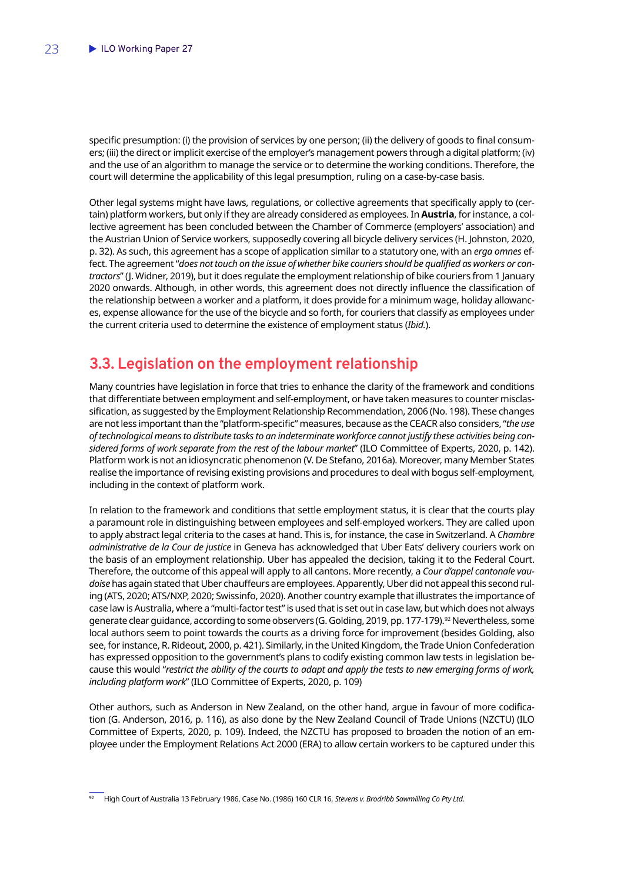<span id="page-24-0"></span>specific presumption: (i) the provision of services by one person; (ii) the delivery of goods to final consumers; (iii) the direct or implicit exercise of the employer's management powers through a digital platform; (iv) and the use of an algorithm to manage the service or to determine the working conditions. Therefore, the court will determine the applicability of this legal presumption, ruling on a case-by-case basis.

Other legal systems might have laws, regulations, or collective agreements that specifically apply to (certain) platform workers, but only if they are already considered as employees. In **Austria**, for instance, a collective agreement has been concluded between the Chamber of Commerce (employers' association) and the Austrian Union of Service workers, supposedly covering all bicycle delivery services (H. Johnston, 2020, p. 32). As such, this agreement has a scope of application similar to a statutory one, with an *erga omnes* effect. The agreement "*does not touch on the issue of whether bike couriers should be qualified as workers or contractors*" (J. Widner, 2019), but it does regulate the employment relationship of bike couriers from 1 January 2020 onwards. Although, in other words, this agreement does not directly influence the classification of the relationship between a worker and a platform, it does provide for a minimum wage, holiday allowances, expense allowance for the use of the bicycle and so forth, for couriers that classify as employees under the current criteria used to determine the existence of employment status (*Ibid.*).

# **3.3. Legislation on the employment relationship**

Many countries have legislation in force that tries to enhance the clarity of the framework and conditions that differentiate between employment and self-employment, or have taken measures to counter misclassification, as suggested by the Employment Relationship Recommendation, 2006 (No. 198). These changes are not less important than the "platform-specific" measures, because as the CEACR also considers, "*the use of technological means to distribute tasks to an indeterminate workforce cannot justify these activities being considered forms of work separate from the rest of the labour market*" (ILO Committee of Experts, 2020, p. 142). Platform work is not an idiosyncratic phenomenon (V. De Stefano, 2016a). Moreover, many Member States realise the importance of revising existing provisions and procedures to deal with bogus self-employment, including in the context of platform work.

In relation to the framework and conditions that settle employment status, it is clear that the courts play a paramount role in distinguishing between employees and self-employed workers. They are called upon to apply abstract legal criteria to the cases at hand. This is, for instance, the case in Switzerland. A *Chambre administrative de la Cour de justice* in Geneva has acknowledged that Uber Eats' delivery couriers work on the basis of an employment relationship. Uber has appealed the decision, taking it to the Federal Court. Therefore, the outcome of this appeal will apply to all cantons. More recently, a *Cour d'appel cantonale vaudoise* has again stated that Uber chauffeurs are employees. Apparently, Uber did not appeal this second ruling (ATS, 2020; ATS/NXP, 2020; Swissinfo, 2020). Another country example that illustrates the importance of case law is Australia, where a "multi-factor test" is used that is set out in case law, but which does not always generate clear guidance, according to some observers (G. Golding, 2019, pp. 177-179).<sup>92</sup> Nevertheless, some local authors seem to point towards the courts as a driving force for improvement (besides Golding, also see, for instance, R. Rideout, 2000, p. 421). Similarly, in the United Kingdom, the Trade Union Confederation has expressed opposition to the government's plans to codify existing common law tests in legislation because this would "*restrict the ability of the courts to adapt and apply the tests to new emerging forms of work, including platform work*" (ILO Committee of Experts, 2020, p. 109)

Other authors, such as Anderson in New Zealand, on the other hand, argue in favour of more codification (G. Anderson, 2016, p. 116), as also done by the New Zealand Council of Trade Unions (NZCTU) (ILO Committee of Experts, 2020, p. 109). Indeed, the NZCTU has proposed to broaden the notion of an employee under the Employment Relations Act 2000 (ERA) to allow certain workers to be captured under this

<sup>92</sup> High Court of Australia 13 February 1986, Case No. (1986) 160 CLR 16, *Stevens v. Brodribb Sawmilling Co Pty Ltd*.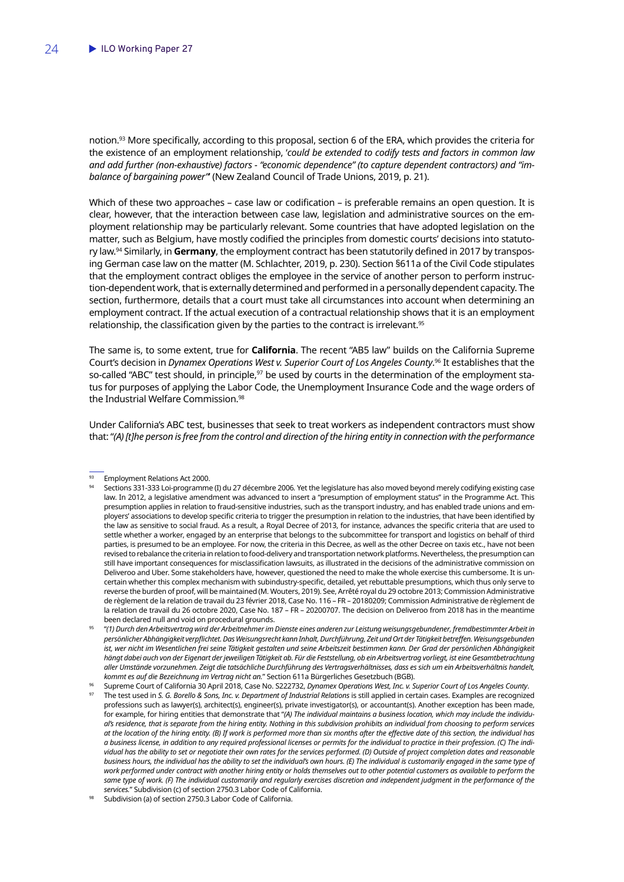notion.93 More specifically, according to this proposal, section 6 of the ERA, which provides the criteria for the existence of an employment relationship, '*could be extended to codify tests and factors in common law and add further (non-exhaustive) factors - "economic dependence" (to capture dependent contractors) and "imbalance of bargaining power"*' (New Zealand Council of Trade Unions, 2019, p. 21).

Which of these two approaches – case law or codification – is preferable remains an open question. It is clear, however, that the interaction between case law, legislation and administrative sources on the employment relationship may be particularly relevant. Some countries that have adopted legislation on the matter, such as Belgium, have mostly codified the principles from domestic courts' decisions into statutory law.94 Similarly, in **Germany**, the employment contract has been statutorily defined in 2017 by transposing German case law on the matter (M. Schlachter, 2019, p. 230). Section §611a of the Civil Code stipulates that the employment contract obliges the employee in the service of another person to perform instruction-dependent work, that is externally determined and performed in a personally dependent capacity. The section, furthermore, details that a court must take all circumstances into account when determining an employment contract. If the actual execution of a contractual relationship shows that it is an employment relationship, the classification given by the parties to the contract is irrelevant.<sup>95</sup>

The same is, to some extent, true for **California**. The recent "AB5 law" builds on the California Supreme Court's decision in *Dynamex Operations West v. Superior Court of Los Angeles County*. 96 It establishes that the so-called "ABC" test should, in principle,<sup>97</sup> be used by courts in the determination of the employment status for purposes of applying the Labor Code, the Unemployment Insurance Code and the wage orders of the Industrial Welfare Commission.<sup>98</sup>

Under California's ABC test, businesses that seek to treat workers as independent contractors must show that: "*(A) [t]he person is free from the control and direction of the hiring entity in connection with the performance* 

<sup>93</sup> Employment Relations Act 2000.

<sup>94</sup> Sections 331-333 Loi-programme (I) du 27 décembre 2006*.* Yet the legislature has also moved beyond merely codifying existing case law. In 2012, a legislative amendment was advanced to insert a "presumption of employment status" in the Programme Act. This presumption applies in relation to fraud-sensitive industries, such as the transport industry, and has enabled trade unions and employers' associations to develop specific criteria to trigger the presumption in relation to the industries, that have been identified by the law as sensitive to social fraud. As a result, a Royal Decree of 2013, for instance, advances the specific criteria that are used to settle whether a worker, engaged by an enterprise that belongs to the subcommittee for transport and logistics on behalf of third parties, is presumed to be an employee. For now, the criteria in this Decree, as well as the other Decree on taxis etc., have not been revised to rebalance the criteria in relation to food-delivery and transportation network platforms. Nevertheless, the presumption can still have important consequences for misclassification lawsuits, as illustrated in the decisions of the administrative commission on Deliveroo and Uber. Some stakeholders have, however, questioned the need to make the whole exercise this cumbersome. It is uncertain whether this complex mechanism with subindustry-specific, detailed, yet rebuttable presumptions, which thus only serve to reverse the burden of proof, will be maintained (M. Wouters, 2019). See, Arrêté royal du 29 octobre 2013; Commission Administrative de règlement de la relation de travail du 23 février 2018, Case No. 116 – FR – 20180209; Commission Administrative de règlement de la relation de travail du 26 octobre 2020, Case No. 187 – FR – 20200707. The decision on Deliveroo from 2018 has in the meantime been declared null and void on procedural grounds.

<sup>95</sup> "*(1) Durch den Arbeitsvertrag wird der Arbeitnehmer im Dienste eines anderen zur Leistung weisungsgebundener, fremdbestimmter Arbeit in persönlicher Abhängigkeit verpflichtet. Das Weisungsrecht kann Inhalt, Durchführung, Zeit und Ort der Tätigkeit betreffen. Weisungsgebunden*  ist, wer nicht im Wesentlichen frei seine Tätigkeit gestalten und seine Arbeitszeit bestimmen kann. Der Grad der persönlichen Abhängigkeit *hängt dabei auch von der Eigenart der jeweiligen Tätigkeit ab. Für die Feststellung, ob ein Arbeitsvertrag vorliegt, ist eine Gesamtbetrachtung aller Umstände vorzunehmen. Zeigt die tatsächliche Durchführung des Vertragsverhältnisses, dass es sich um ein Arbeitsverhältnis handelt, kommt es auf die Bezeichnung im Vertrag nicht an.*" Section 611a Bürgerliches Gesetzbuch (BGB).

<sup>96</sup> Supreme Court of California 30 April 2018, Case No. S222732, *Dynamex Operations West, Inc. v. Superior Court of Los Angeles County*. The test used in *S. G. Borello & Sons, Inc. v. Department of Industrial Relations* is still applied in certain cases. Examples are recognized professions such as lawyer(s), architect(s), engineer(s), private investigator(s), or accountant(s). Another exception has been made, for example, for hiring entities that demonstrate that "*(A) The individual maintains a business location, which may include the individual's residence, that is separate from the hiring entity. Nothing in this subdivision prohibits an individual from choosing to perform services at the location of the hiring entity. (B) If work is performed more than six months after the effective date of this section, the individual has a business license, in addition to any required professional licenses or permits for the individual to practice in their profession. (C) The individual has the ability to set or negotiate their own rates for the services performed. (D) Outside of project completion dates and reasonable business hours, the individual has the ability to set the individual's own hours. (E) The individual is customarily engaged in the same type of work performed under contract with another hiring entity or holds themselves out to other potential customers as available to perform the same type of work. (F) The individual customarily and regularly exercises discretion and independent judgment in the performance of the services.*" Subdivision (c) of section 2750.3 Labor Code of California.

Subdivision (a) of section 2750.3 Labor Code of California.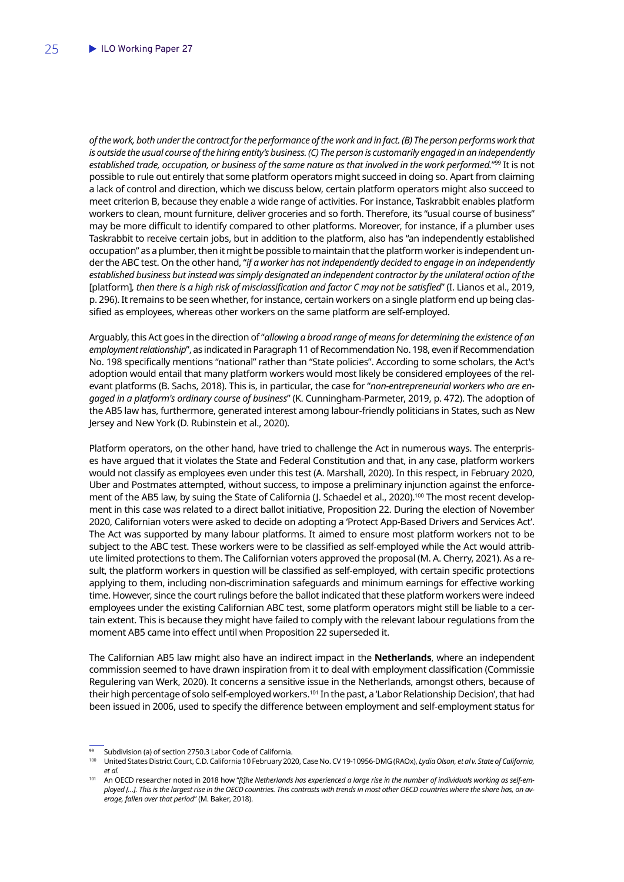*of the work, both under the contract for the performance of the work and in fact. (B) The person performs work that is outside the usual course of the hiring entity's business. (C) The person is customarily engaged in an independently established trade, occupation, or business of the same nature as that involved in the work performed.*"99 It is not possible to rule out entirely that some platform operators might succeed in doing so. Apart from claiming a lack of control and direction, which we discuss below, certain platform operators might also succeed to meet criterion B, because they enable a wide range of activities. For instance, Taskrabbit enables platform workers to clean, mount furniture, deliver groceries and so forth. Therefore, its "usual course of business" may be more difficult to identify compared to other platforms. Moreover, for instance, if a plumber uses Taskrabbit to receive certain jobs, but in addition to the platform, also has "an independently established occupation" as a plumber, then it might be possible to maintain that the platform worker is independent under the ABC test. On the other hand, "*if a worker has not independently decided to engage in an independently established business but instead was simply designated an independent contractor by the unilateral action of the*  [platform]*, then there is a high risk of misclassification and factor C may not be satisfied*" (I. Lianos et al., 2019, p. 296). It remains to be seen whether, for instance, certain workers on a single platform end up being classified as employees, whereas other workers on the same platform are self-employed.

Arguably, this Act goes in the direction of "*allowing a broad range of means for determining the existence of an employment relationship*", as indicated in Paragraph 11 of Recommendation No. 198, even if Recommendation No. 198 specifically mentions "national" rather than "State policies". According to some scholars, the Act's adoption would entail that many platform workers would most likely be considered employees of the relevant platforms (B. Sachs, 2018). This is, in particular, the case for "*non-entrepreneurial workers who are engaged in a platform's ordinary course of business*" (K. Cunningham-Parmeter, 2019, p. 472). The adoption of the AB5 law has, furthermore, generated interest among labour-friendly politicians in States, such as New Jersey and New York (D. Rubinstein et al., 2020).

Platform operators, on the other hand, have tried to challenge the Act in numerous ways. The enterprises have argued that it violates the State and Federal Constitution and that, in any case, platform workers would not classify as employees even under this test (A. Marshall, 2020). In this respect, in February 2020, Uber and Postmates attempted, without success, to impose a preliminary injunction against the enforcement of the AB5 law, by suing the State of California (J. Schaedel et al., 2020).<sup>100</sup> The most recent development in this case was related to a direct ballot initiative, Proposition 22. During the election of November 2020, Californian voters were asked to decide on adopting a 'Protect App-Based Drivers and Services Act'. The Act was supported by many labour platforms. It aimed to ensure most platform workers not to be subject to the ABC test. These workers were to be classified as self-employed while the Act would attribute limited protections to them. The Californian voters approved the proposal (M. A. Cherry, 2021). As a result, the platform workers in question will be classified as self-employed, with certain specific protections applying to them, including non-discrimination safeguards and minimum earnings for effective working time. However, since the court rulings before the ballot indicated that these platform workers were indeed employees under the existing Californian ABC test, some platform operators might still be liable to a certain extent. This is because they might have failed to comply with the relevant labour regulations from the moment AB5 came into effect until when Proposition 22 superseded it.

The Californian AB5 law might also have an indirect impact in the **Netherlands**, where an independent commission seemed to have drawn inspiration from it to deal with employment classification (Commissie Regulering van Werk, 2020). It concerns a sensitive issue in the Netherlands, amongst others, because of their high percentage of solo self-employed workers.<sup>101</sup> In the past, a 'Labor Relationship Decision', that had been issued in 2006, used to specify the difference between employment and self-employment status for

Subdivision (a) of section 2750.3 Labor Code of California.

<sup>&</sup>lt;sup>100</sup> United States District Court, C.D. California 10 February 2020, Case No. CV 19-10956-DMG (RAOx), Lydia Olson, et al v. State of California, *et al.*

<sup>&</sup>lt;sup>101</sup> An OECD researcher noted in 2018 how "[t]he Netherlands has experienced a large rise in the number of individuals working as self-em*ployed […]. This is the largest rise in the OECD countries. This contrasts with trends in most other OECD countries where the share has, on average, fallen over that period*" (M. Baker, 2018).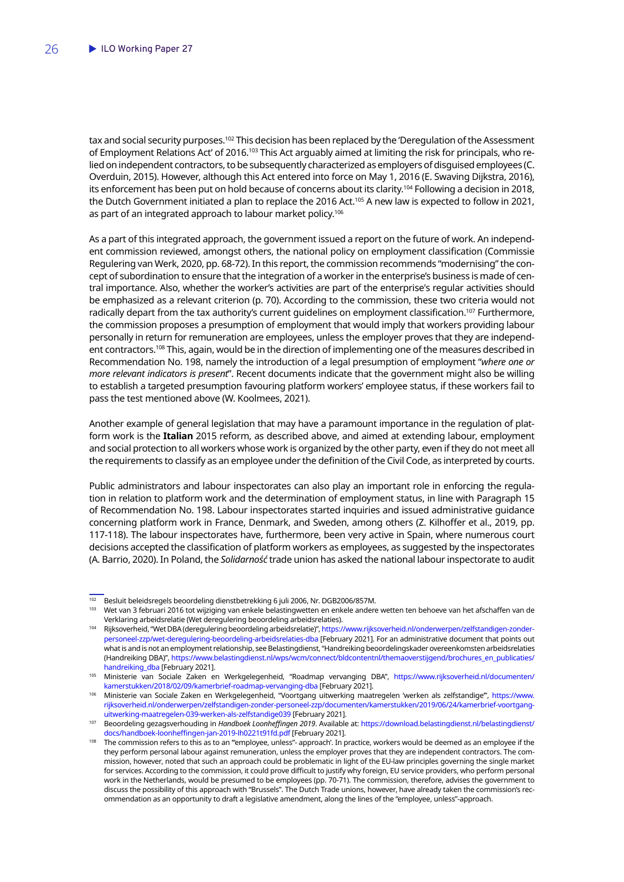tax and social security purposes.<sup>102</sup> This decision has been replaced by the 'Deregulation of the Assessment of Employment Relations Act' of 2016.<sup>103</sup> This Act arguably aimed at limiting the risk for principals, who relied on independent contractors, to be subsequently characterized as employers of disguised employees (C. Overduin, 2015). However, although this Act entered into force on May 1, 2016 (E. Swaving Dijkstra, 2016), its enforcement has been put on hold because of concerns about its clarity.104 Following a decision in 2018, the Dutch Government initiated a plan to replace the 2016 Act.105 A new law is expected to follow in 2021, as part of an integrated approach to labour market policy.<sup>106</sup>

As a part of this integrated approach, the government issued a report on the future of work. An independent commission reviewed, amongst others, the national policy on employment classification (Commissie Regulering van Werk, 2020, pp. 68-72). In this report, the commission recommends "modernising" the concept of subordination to ensure that the integration of a worker in the enterprise's business is made of central importance. Also, whether the worker's activities are part of the enterprise's regular activities should be emphasized as a relevant criterion (p. 70). According to the commission, these two criteria would not radically depart from the tax authority's current guidelines on employment classification.<sup>107</sup> Furthermore, the commission proposes a presumption of employment that would imply that workers providing labour personally in return for remuneration are employees, unless the employer proves that they are independent contractors.<sup>108</sup> This, again, would be in the direction of implementing one of the measures described in Recommendation No. 198, namely the introduction of a legal presumption of employment "*where one or more relevant indicators is present*". Recent documents indicate that the government might also be willing to establish a targeted presumption favouring platform workers' employee status, if these workers fail to pass the test mentioned above (W. Koolmees, 2021).

Another example of general legislation that may have a paramount importance in the regulation of platform work is the **Italian** 2015 reform, as described above, and aimed at extending labour, employment and social protection to all workers whose work is organized by the other party, even if they do not meet all the requirements to classify as an employee under the definition of the Civil Code, as interpreted by courts.

Public administrators and labour inspectorates can also play an important role in enforcing the regulation in relation to platform work and the determination of employment status, in line with Paragraph 15 of Recommendation No. 198. Labour inspectorates started inquiries and issued administrative guidance concerning platform work in France, Denmark, and Sweden, among others (Z. Kilhoffer et al., 2019, pp. 117-118). The labour inspectorates have, furthermore, been very active in Spain, where numerous court decisions accepted the classification of platform workers as employees, as suggested by the inspectorates (A. Barrio, 2020). In Poland, the *Solidarność* trade union has asked the national labour inspectorate to audit

<sup>&</sup>lt;sup>102</sup> Besluit beleidsregels beoordeling dienstbetrekking 6 juli 2006, Nr. DGB2006/857M.

<sup>&</sup>lt;sup>103</sup> Wet van 3 februari 2016 tot wijziging van enkele belastingwetten en enkele andere wetten ten behoeve van het afschaffen van de Verklaring arbeidsrelatie (Wet deregulering beoordeling arbeidsrelaties).

<sup>104</sup> Rijksoverheid, "Wet DBA (deregulering beoordeling arbeidsrelatie)", [https://www.rijksoverheid.nl/onderwerpen/zelfstandigen-zonder](https://www.rijksoverheid.nl/onderwerpen/zelfstandigen-zonder-personeel-zzp/wet-deregulering-beoordeling-arbeidsrelaties-dba)[personeel-zzp/wet-deregulering-beoordeling-arbeidsrelaties-dba](https://www.rijksoverheid.nl/onderwerpen/zelfstandigen-zonder-personeel-zzp/wet-deregulering-beoordeling-arbeidsrelaties-dba) [February 2021]. For an administrative document that points out what is and is not an employment relationship, see Belastingdienst, "Handreiking beoordelingskader overeenkomsten arbeidsrelaties (Handreiking DBA)", [https://www.belastingdienst.nl/wps/wcm/connect/bldcontentnl/themaoverstijgend/brochures\\_en\\_publicaties/](https://www.belastingdienst.nl/wps/wcm/connect/bldcontentnl/themaoverstijgend/brochures_en_publicaties/handreiking_dba) [handreiking\\_dba](https://www.belastingdienst.nl/wps/wcm/connect/bldcontentnl/themaoverstijgend/brochures_en_publicaties/handreiking_dba) [February 2021].

<sup>105</sup> Ministerie van Sociale Zaken en Werkgelegenheid, "Roadmap vervanging DBA", [https://www.rijksoverheid.nl/documenten/](https://www.rijksoverheid.nl/documenten/kamerstukken/2018/02/09/kamerbrief-roadmap-vervanging-dba) [kamerstukken/2018/02/09/kamerbrief-roadmap-vervanging-dba](https://www.rijksoverheid.nl/documenten/kamerstukken/2018/02/09/kamerbrief-roadmap-vervanging-dba) [February 2021].

<sup>106</sup> Ministerie van Sociale Zaken en Werkgelegenheid, "Voortgang uitwerking maatregelen 'werken als zelfstandige'", [https://www.](https://www.rijksoverheid.nl/onderwerpen/zelfstandigen-zonder-personeel-zzp/documenten/kamerstukken/2019/06/24/kamerbrief-voortgang-uitwerking-maatregelen-039-werken-als-zelfstandige039) [rijksoverheid.nl/onderwerpen/zelfstandigen-zonder-personeel-zzp/documenten/kamerstukken/2019/06/24/kamerbrief-voortgang](https://www.rijksoverheid.nl/onderwerpen/zelfstandigen-zonder-personeel-zzp/documenten/kamerstukken/2019/06/24/kamerbrief-voortgang-uitwerking-maatregelen-039-werken-als-zelfstandige039)[uitwerking-maatregelen-039-werken-als-zelfstandige039](https://www.rijksoverheid.nl/onderwerpen/zelfstandigen-zonder-personeel-zzp/documenten/kamerstukken/2019/06/24/kamerbrief-voortgang-uitwerking-maatregelen-039-werken-als-zelfstandige039) [February 2021].

<sup>107</sup> Beoordeling gezagsverhouding in *Handboek Loonheffingen 2019*. Available at: [https://download.belastingdienst.nl/belastingdienst/](https://download.belastingdienst.nl/belastingdienst/docs/handboek-loonheffingen-jan-2019-lh0221t91fd.pdf) [docs/handboek-loonheffingen-jan-2019-lh0221t91fd.pdf](https://download.belastingdienst.nl/belastingdienst/docs/handboek-loonheffingen-jan-2019-lh0221t91fd.pdf) [February 2021].

The commission refers to this as to an "employee, unless"- approach'. In practice, workers would be deemed as an employee if the they perform personal labour against remuneration, unless the employer proves that they are independent contractors. The commission, however, noted that such an approach could be problematic in light of the EU-law principles governing the single market for services. According to the commission, it could prove difficult to justify why foreign, EU service providers, who perform personal work in the Netherlands, would be presumed to be employees (pp. 70-71). The commission, therefore, advises the government to discuss the possibility of this approach with "Brussels". The Dutch Trade unions, however, have already taken the commission's recommendation as an opportunity to draft a legislative amendment, along the lines of the "employee, unless"-approach.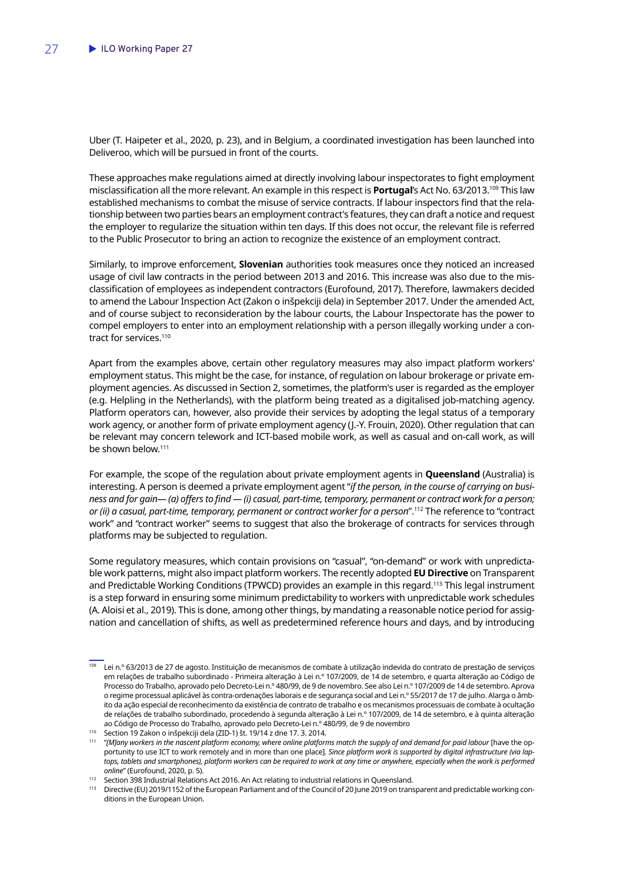Uber (T. Haipeter et al., 2020, p. 23), and in Belgium, a coordinated investigation has been launched into Deliveroo, which will be pursued in front of the courts.

These approaches make regulations aimed at directly involving labour inspectorates to fight employment misclassification all the more relevant. An example in this respect is **Portugal**'s Act No. 63/2013.109 This law established mechanisms to combat the misuse of service contracts. If labour inspectors find that the relationship between two parties bears an employment contract's features, they can draft a notice and request the employer to regularize the situation within ten days. If this does not occur, the relevant file is referred to the Public Prosecutor to bring an action to recognize the existence of an employment contract.

Similarly, to improve enforcement, **Slovenian** authorities took measures once they noticed an increased usage of civil law contracts in the period between 2013 and 2016. This increase was also due to the misclassification of employees as independent contractors (Eurofound, 2017). Therefore, lawmakers decided to amend the Labour Inspection Act (Zakon o inšpekciji dela) in September 2017. Under the amended Act, and of course subject to reconsideration by the labour courts, the Labour Inspectorate has the power to compel employers to enter into an employment relationship with a person illegally working under a contract for services.<sup>110</sup>

Apart from the examples above, certain other regulatory measures may also impact platform workers' employment status. This might be the case, for instance, of regulation on labour brokerage or private employment agencies. As discussed in Section 2, sometimes, the platform's user is regarded as the employer (e.g. Helpling in the Netherlands), with the platform being treated as a digitalised job-matching agency. Platform operators can, however, also provide their services by adopting the legal status of a temporary work agency, or another form of private employment agency (J.-Y. Frouin, 2020). Other regulation that can be relevant may concern telework and ICT-based mobile work, as well as casual and on-call work, as will be shown below.<sup>111</sup>

For example, the scope of the regulation about private employment agents in **Queensland** (Australia) is interesting. A person is deemed a private employment agent "*if the person, in the course of carrying on business and for gain— (a) offers to find — (i) casual, part-time, temporary, permanent or contract work for a person; or (ii) a casual, part-time, temporary, permanent or contract worker for a person*".112 The reference to "contract work" and "contract worker" seems to suggest that also the brokerage of contracts for services through platforms may be subjected to regulation.

Some regulatory measures, which contain provisions on "casual", "on-demand" or work with unpredictable work patterns, might also impact platform workers. The recently adopted **EU Directive** on Transparent and Predictable Working Conditions (TPWCD) provides an example in this regard.<sup>113</sup> This legal instrument is a step forward in ensuring some minimum predictability to workers with unpredictable work schedules (A. Aloisi et al., 2019). This is done, among other things, by mandating a reasonable notice period for assignation and cancellation of shifts, as well as predetermined reference hours and days, and by introducing

<sup>109</sup> Lei n.º 63/2013 de 27 de agosto. Instituição de mecanismos de combate à utilização indevida do contrato de prestação de serviços em relações de trabalho subordinado - Primeira alteração à Lei n.º 107/2009, de 14 de setembro, e quarta alteração ao Código de Processo do Trabalho, aprovado pelo Decreto-Lei n.º 480/99, de 9 de novembro. See also Lei n.º 107/2009 de 14 de setembro. Aprova o regime processual aplicável às contra-ordenações laborais e de segurança social and Lei n.º 55/2017 de 17 de julho. Alarga o âmbito da ação especial de reconhecimento da existência de contrato de trabalho e os mecanismos processuais de combate à ocultação de relações de trabalho subordinado, procedendo à segunda alteração à Lei n.º 107/2009, de 14 de setembro, e à quinta alteração ao Código de Processo do Trabalho, aprovado pelo Decreto-Lei n.º 480/99, de 9 de novembro

<sup>110</sup> Section 19 Zakon o inšpekciji dela (ZID-1) št. 19/14 z dne 17. 3. 2014.

<sup>&</sup>lt;sup>111</sup> "[M]any workers in the nascent platform economy, where online platforms match the supply of and demand for paid labour [have the opportunity to use ICT to work remotely and in more than one place]*. Since platform work is supported by digital infrastructure (via lap*tops, tablets and smartphones), platform workers can be required to work at any time or anywhere, especially when the work is performed *online*" (Eurofound, 2020, p. 5).

<sup>&</sup>lt;sup>112</sup> Section 398 Industrial Relations Act 2016. An Act relating to industrial relations in Queensland.

<sup>113</sup> Directive (EU) 2019/1152 of the European Parliament and of the Council of 20 June 2019 on transparent and predictable working conditions in the European Union.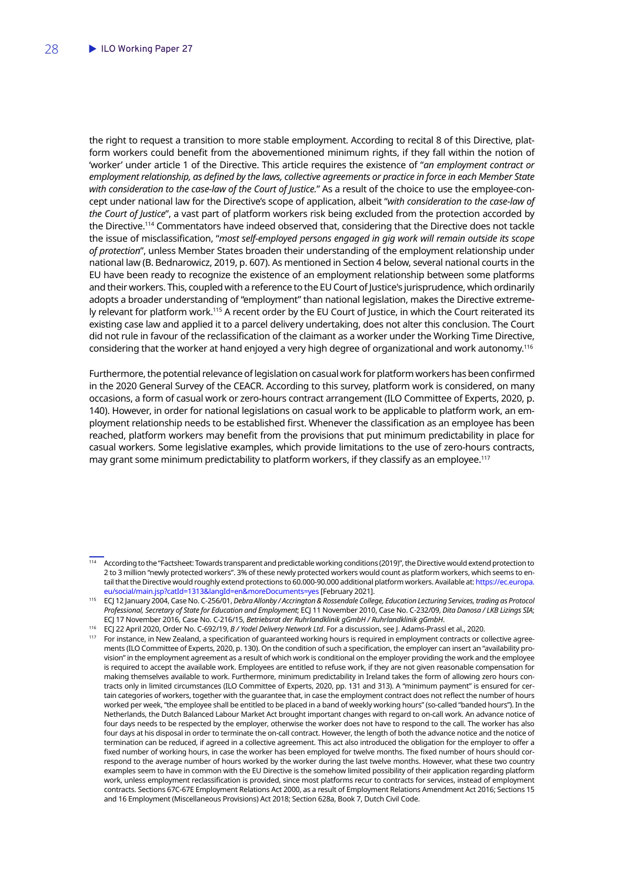the right to request a transition to more stable employment. According to recital 8 of this Directive, platform workers could benefit from the abovementioned minimum rights, if they fall within the notion of 'worker' under article 1 of the Directive. This article requires the existence of "*an employment contract or employment relationship, as defined by the laws, collective agreements or practice in force in each Member State with consideration to the case-law of the Court of Justice.*" As a result of the choice to use the employee-concept under national law for the Directive's scope of application, albeit "*with consideration to the case-law of the Court of Justice*", a vast part of platform workers risk being excluded from the protection accorded by the Directive.114 Commentators have indeed observed that, considering that the Directive does not tackle the issue of misclassification, "*most self-employed persons engaged in gig work will remain outside its scope of protection*", unless Member States broaden their understanding of the employment relationship under national law (B. Bednarowicz, 2019, p. 607). As mentioned in Section 4 below, several national courts in the EU have been ready to recognize the existence of an employment relationship between some platforms and their workers. This, coupled with a reference to the EU Court of Justice's jurisprudence, which ordinarily adopts a broader understanding of "employment" than national legislation, makes the Directive extremely relevant for platform work.115 A recent order by the EU Court of Justice, in which the Court reiterated its existing case law and applied it to a parcel delivery undertaking, does not alter this conclusion. The Court did not rule in favour of the reclassification of the claimant as a worker under the Working Time Directive, considering that the worker at hand enjoyed a very high degree of organizational and work autonomy.116

Furthermore, the potential relevance of legislation on casual work for platform workers has been confirmed in the 2020 General Survey of the CEACR. According to this survey, platform work is considered, on many occasions, a form of casual work or zero-hours contract arrangement (ILO Committee of Experts, 2020, p. 140). However, in order for national legislations on casual work to be applicable to platform work, an employment relationship needs to be established first. Whenever the classification as an employee has been reached, platform workers may benefit from the provisions that put minimum predictability in place for casual workers. Some legislative examples, which provide limitations to the use of zero-hours contracts, may grant some minimum predictability to platform workers, if they classify as an employee.<sup>117</sup>

<sup>114</sup> According to the "Factsheet: Towards transparent and predictable working conditions (2019)", the Directive would extend protection to 2 to 3 million "newly protected workers". 3% of these newly protected workers would count as platform workers, which seems to entail that the Directive would roughly extend protections to 60.000-90.000 additional platform workers. Available at: [https://ec.europa.](https://ec.europa.eu/social/main.jsp?catId=1313&langId=en&moreDocuments=yes) [eu/social/main.jsp?catId=1313&langId=en&moreDocuments=yes](https://ec.europa.eu/social/main.jsp?catId=1313&langId=en&moreDocuments=yes) [February 2021].

<sup>115</sup> ECJ 12 January 2004, Case No. C-256/01, *Debra Allonby / Accrington & Rossendale College, Education Lecturing Services, trading as Protocol Professional, Secretary of State for Education and Employment*; ECJ 11 November 2010, Case No. C-232/09, *Dita Danosa / LKB Lizings SIA*; ECJ 17 November 2016, Case No. C-216/15, *Betriebsrat der Ruhrlandklinik gGmbH / Ruhrlandklinik gGmbH*.

<sup>116</sup> ECJ 22 April 2020, Order No. C-692/19, *B / Yodel Delivery Network Ltd*. For a discussion, see J. Adams-Prassl et al., 2020.

<sup>&</sup>lt;sup>117</sup> For instance, in New Zealand, a specification of guaranteed working hours is required in employment contracts or collective agreements (ILO Committee of Experts, 2020, p. 130). On the condition of such a specification, the employer can insert an "availability provision" in the employment agreement as a result of which work is conditional on the employer providing the work and the employee is required to accept the available work. Employees are entitled to refuse work, if they are not given reasonable compensation for making themselves available to work. Furthermore, minimum predictability in Ireland takes the form of allowing zero hours contracts only in limited circumstances (ILO Committee of Experts, 2020, pp. 131 and 313). A "minimum payment" is ensured for certain categories of workers, together with the guarantee that, in case the employment contract does not reflect the number of hours worked per week, "the employee shall be entitled to be placed in a band of weekly working hours" (so-called "banded hours"). In the Netherlands, the Dutch Balanced Labour Market Act brought important changes with regard to on-call work. An advance notice of four days needs to be respected by the employer, otherwise the worker does not have to respond to the call. The worker has also four days at his disposal in order to terminate the on-call contract. However, the length of both the advance notice and the notice of termination can be reduced, if agreed in a collective agreement. This act also introduced the obligation for the employer to offer a fixed number of working hours, in case the worker has been employed for twelve months. The fixed number of hours should correspond to the average number of hours worked by the worker during the last twelve months. However, what these two country examples seem to have in common with the EU Directive is the somehow limited possibility of their application regarding platform work, unless employment reclassification is provided, since most platforms recur to contracts for services, instead of employment contracts. Sections 67C-67E Employment Relations Act 2000, as a result of Employment Relations Amendment Act 2016; Sections 15 and 16 Employment (Miscellaneous Provisions) Act 2018; Section 628a, Book 7, Dutch Civil Code.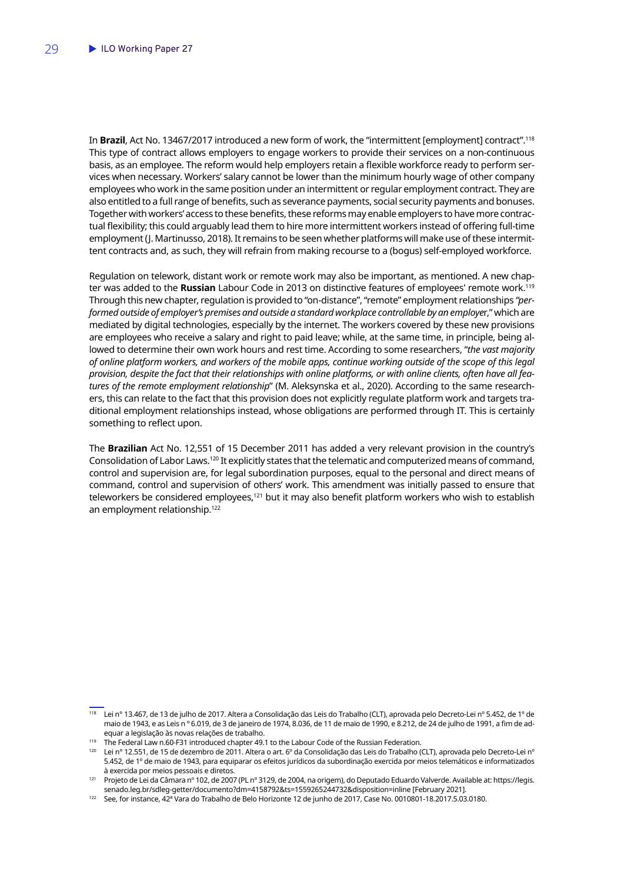In **Brazil**, Act No. 13467/2017 introduced a new form of work, the "intermittent [employment] contract".118 This type of contract allows employers to engage workers to provide their services on a non-continuous basis, as an employee. The reform would help employers retain a flexible workforce ready to perform services when necessary. Workers' salary cannot be lower than the minimum hourly wage of other company employees who work in the same position under an intermittent or regular employment contract. They are also entitled to a full range of benefits, such as severance payments, social security payments and bonuses. Together with workers' access to these benefits, these reforms may enable employers to have more contractual flexibility; this could arguably lead them to hire more intermittent workers instead of offering full-time employment (J. Martinusso, 2018). It remains to be seen whether platforms will make use of these intermittent contracts and, as such, they will refrain from making recourse to a (bogus) self-employed workforce.

Regulation on telework, distant work or remote work may also be important, as mentioned. A new chapter was added to the **Russian** Labour Code in 2013 on distinctive features of employees' remote work.119 Through this new chapter, regulation is provided to "on-distance", "remote" employment relationships *"performed outside of employer's premises and outside a standard workplace controllable by an employe*r," which are mediated by digital technologies, especially by the internet. The workers covered by these new provisions are employees who receive a salary and right to paid leave; while, at the same time, in principle, being allowed to determine their own work hours and rest time. According to some researchers, "*the vast majority of online platform workers, and workers of the mobile apps, continue working outside of the scope of this legal provision, despite the fact that their relationships with online platforms, or with online clients, often have all features of the remote employment relationship*" (M. Aleksynska et al., 2020). According to the same researchers, this can relate to the fact that this provision does not explicitly regulate platform work and targets traditional employment relationships instead, whose obligations are performed through IT. This is certainly something to reflect upon.

The **Brazilian** Act No. 12,551 of 15 December 2011 has added a very relevant provision in the country's Consolidation of Labor Laws.120 It explicitly states that the telematic and computerized means of command, control and supervision are, for legal subordination purposes, equal to the personal and direct means of command, control and supervision of others' work. This amendment was initially passed to ensure that teleworkers be considered employees,<sup>121</sup> but it may also benefit platform workers who wish to establish an employment relationship.<sup>122</sup>

<sup>118</sup> Lei n° 13.467, de 13 de julho de 2017. Altera a Consolidação das Leis do Trabalho (CLT), aprovada pelo Decreto-Lei nº 5.452, de 1º de maio de 1943, e as Leis n º 6.019, de 3 de janeiro de 1974, 8.036, de 11 de maio de 1990, e 8.212, de 24 de julho de 1991, a fim de adequar a legislação às novas relações de trabalho.

<sup>&</sup>lt;sup>119</sup> The Federal Law n.60-F31 introduced chapter 49.1 to the Labour Code of the Russian Federation.

<sup>120</sup> Lei nº 12.551, de 15 de dezembro de 2011. Altera o art. 6º da Consolidação das Leis do Trabalho (CLT), aprovada pelo Decreto-Lei nº 5.452, de 1º de maio de 1943, para equiparar os efeitos jurídicos da subordinação exercida por meios telemáticos e informatizados à exercida por meios pessoais e diretos.

<sup>121</sup> Projeto de Lei da Câmara nº 102, de 2007 (PL nº 3129, de 2004, na origem), do Deputado Eduardo Valverde. Available at: https://legis. senado.leg.br/sdleg-getter/documento?dm=4158792&ts=1559265244732&disposition=inline [February 2021].

<sup>122</sup> See, for instance, 42ª Vara do Trabalho de Belo Horizonte 12 de junho de 2017, Case No. 0010801-18.2017.5.03.0180.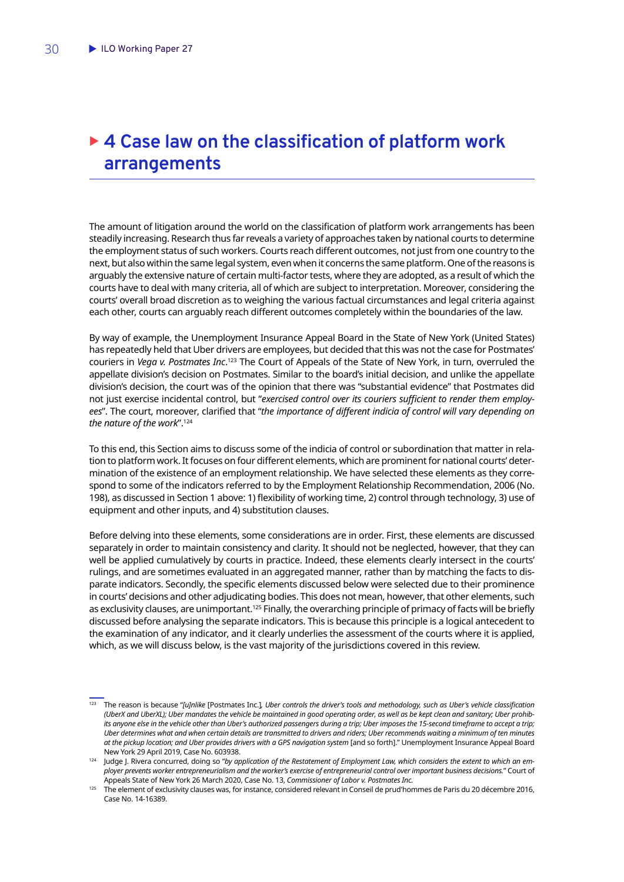# <span id="page-31-0"></span>▶ 4 Case law on the classification of platform work **arrangements**

The amount of litigation around the world on the classification of platform work arrangements has been steadily increasing. Research thus far reveals a variety of approaches taken by national courts to determine the employment status of such workers. Courts reach different outcomes, not just from one country to the next, but also within the same legal system, even when it concerns the same platform. One of the reasons is arguably the extensive nature of certain multi-factor tests, where they are adopted, as a result of which the courts have to deal with many criteria, all of which are subject to interpretation. Moreover, considering the courts' overall broad discretion as to weighing the various factual circumstances and legal criteria against each other, courts can arguably reach different outcomes completely within the boundaries of the law.

By way of example, the Unemployment Insurance Appeal Board in the State of New York (United States) has repeatedly held that Uber drivers are employees, but decided that this was not the case for Postmates' couriers in *Vega v. Postmates Inc*. 123 The Court of Appeals of the State of New York, in turn, overruled the appellate division's decision on Postmates. Similar to the board's initial decision, and unlike the appellate division's decision, the court was of the opinion that there was "substantial evidence" that Postmates did not just exercise incidental control, but "*exercised control over its couriers sufficient to render them employees*". The court, moreover, clarified that "*the importance of different indicia of control will vary depending on the nature of the work*".124

To this end, this Section aims to discuss some of the indicia of control or subordination that matter in relation to platform work. It focuses on four different elements, which are prominent for national courts' determination of the existence of an employment relationship. We have selected these elements as they correspond to some of the indicators referred to by the Employment Relationship Recommendation, 2006 (No. 198), as discussed in Section 1 above: 1) flexibility of working time, 2) control through technology, 3) use of equipment and other inputs, and 4) substitution clauses.

Before delving into these elements, some considerations are in order. First, these elements are discussed separately in order to maintain consistency and clarity. It should not be neglected, however, that they can well be applied cumulatively by courts in practice. Indeed, these elements clearly intersect in the courts' rulings, and are sometimes evaluated in an aggregated manner, rather than by matching the facts to disparate indicators. Secondly, the specific elements discussed below were selected due to their prominence in courts' decisions and other adjudicating bodies. This does not mean, however, that other elements, such as exclusivity clauses, are unimportant.<sup>125</sup> Finally, the overarching principle of primacy of facts will be briefly discussed before analysing the separate indicators. This is because this principle is a logical antecedent to the examination of any indicator, and it clearly underlies the assessment of the courts where it is applied, which, as we will discuss below, is the vast majority of the jurisdictions covered in this review.

<sup>123</sup> The reason is because "*[u]nlike* [Postmates Inc.]*, Uber controls the driver's tools and methodology, such as Uber's vehicle classification (UberX and UberXL); Uber mandates the vehicle be maintained in good operating order, as well as be kept clean and sanitary; Uber prohibits anyone else in the vehicle other than Uber's authorized passengers during a trip; Uber imposes the 15-second timeframe to accept a trip; Uber determines what and when certain details are transmitted to drivers and riders; Uber recommends waiting a minimum of ten minutes at the pickup location; and Uber provides drivers with a GPS navigation system* [and so forth]." Unemployment Insurance Appeal Board New York 29 April 2019, Case No. 603938.

<sup>&</sup>lt;sup>124</sup> Judge J. Rivera concurred, doing so "by application of the Restatement of Employment Law, which considers the extent to which an em*ployer prevents worker entrepreneurialism and the worker's exercise of entrepreneurial control over important business decisions.*" Court of Appeals State of New York 26 March 2020, Case No. 13, *Commissioner of Labor v. Postmates Inc.*

<sup>125</sup> The element of exclusivity clauses was, for instance, considered relevant in Conseil de prud'hommes de Paris du 20 décembre 2016, Case No. 14-16389.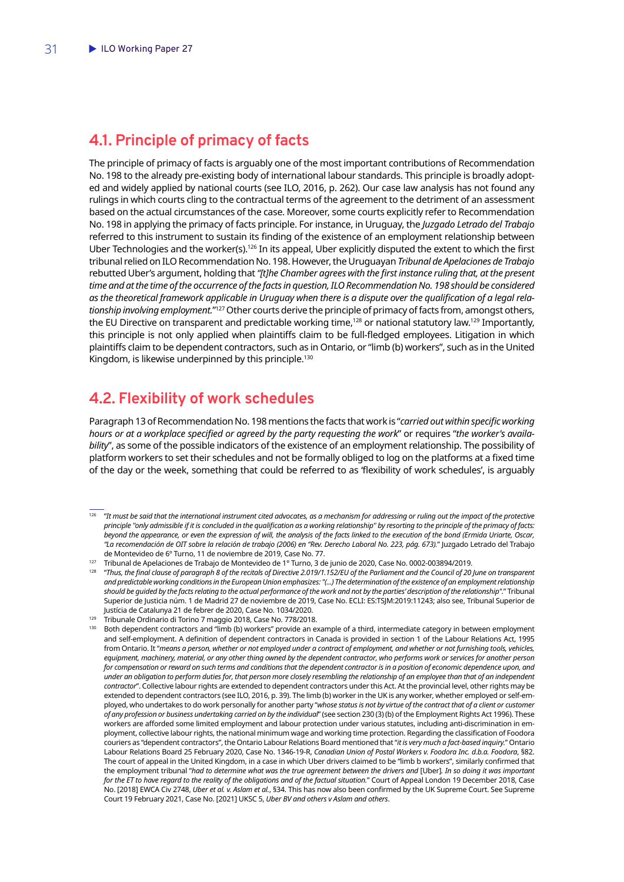### <span id="page-32-0"></span>**4.1. Principle of primacy of facts**

The principle of primacy of facts is arguably one of the most important contributions of Recommendation No. 198 to the already pre-existing body of international labour standards. This principle is broadly adopted and widely applied by national courts (see ILO, 2016, p. 262). Our case law analysis has not found any rulings in which courts cling to the contractual terms of the agreement to the detriment of an assessment based on the actual circumstances of the case. Moreover, some courts explicitly refer to Recommendation No. 198 in applying the primacy of facts principle. For instance, in Uruguay, the *Juzgado Letrado del Trabajo* referred to this instrument to sustain its finding of the existence of an employment relationship between Uber Technologies and the worker(s).126 In its appeal, Uber explicitly disputed the extent to which the first tribunal relied on ILO Recommendation No. 198. However, the Uruguayan *Tribunal de Apelaciones de Trabajo*  rebutted Uber's argument, holding that *"[t]he Chamber agrees with the first instance ruling that, at the present*  time and at the time of the occurrence of the facts in question, ILO Recommendation No. 198 should be considered *as the theoretical framework applicable in Uruguay when there is a dispute over the qualification of a legal relationship involving employment.*"127 Other courts derive the principle of primacy of facts from, amongst others, the EU Directive on transparent and predictable working time,<sup>128</sup> or national statutory law.<sup>129</sup> Importantly, this principle is not only applied when plaintiffs claim to be full-fledged employees. Litigation in which plaintiffs claim to be dependent contractors, such as in Ontario, or "limb (b) workers", such as in the United Kingdom, is likewise underpinned by this principle.<sup>130</sup>

### **4.2. Flexibility of work schedules**

Paragraph 13 of Recommendation No. 198 mentions the facts that work is "*carried out within specific working hours or at a workplace specified or agreed by the party requesting the work*" or requires "*the worker's availability*", as some of the possible indicators of the existence of an employment relationship. The possibility of platform workers to set their schedules and not be formally obliged to log on the platforms at a fixed time of the day or the week, something that could be referred to as 'flexibility of work schedules', is arguably

- <sup>126</sup> "It must be said that the international instrument cited advocates, as a mechanism for addressing or ruling out the impact of the protective *principle ''only admissible if it is concluded in the qualification as a working relationship'' by resorting to the principle of the primacy of facts: beyond the appearance, or even the expression of will, the analysis of the facts linked to the execution of the bond (Ermida Uriarte, Oscar, "La recomendación de OIT sobre la relación de trabajo (2006) en "Rev. Derecho Laboral No. 223, pág. 673).*" Juzgado Letrado del Trabajo de Montevideo de 6º Turno, 11 de noviembre de 2019, Case No. 77.
- <sup>127</sup> Tribunal de Apelaciones de Trabajo de Montevideo de 1° Turno, 3 de junio de 2020, Case No. 0002-003894/2019.
- <sup>128</sup> "Thus, the final clause of paragraph 8 of the recitals of Directive 2.019/1.152/EU of the Parliament and the Council of 20 June on transparent *and predictable working conditions in the European Union emphasizes: "(...) The determination of the existence of an employment relationship should be guided by the facts relating to the actual performance of the work and not by the parties' description of the relationship".*" Tribunal Superior de Justicia núm. 1 de Madrid 27 de noviembre de 2019, Case No. ECLI: ES:TSJM:2019:11243; also see, Tribunal Superior de Justícia de Catalunya 21 de febrer de 2020, Case No. 1034/2020.
- <sup>129</sup> Tribunale Ordinario di Torino 7 maggio 2018, Case No. 778/2018.

Both dependent contractors and "limb (b) workers" provide an example of a third, intermediate category in between employment and self-employment. A definition of dependent contractors in Canada is provided in section 1 of the Labour Relations Act, 1995 from Ontario. It "*means a person, whether or not employed under a contract of employment, and whether or not furnishing tools, vehicles, equipment, machinery, material, or any other thing owned by the dependent contractor, who performs work or services for another person for compensation or reward on such terms and conditions that the dependent contractor is in a position of economic dependence upon, and under an obligation to perform duties for, that person more closely resembling the relationship of an employee than that of an independent contractor*". Collective labour rights are extended to dependent contractors under this Act. At the provincial level, other rights may be extended to dependent contractors (see ILO, 2016, p. 39). The limb (b) worker in the UK is any worker, whether employed or self-employed, who undertakes to do work personally for another party "*whose status is not by virtue of the contract that of a client or customer of any profession or business undertaking carried on by the individual*" (see section 230 (3) (b) of the Employment Rights Act 1996). These workers are afforded some limited employment and labour protection under various statutes, including anti-discrimination in employment, collective labour rights, the national minimum wage and working time protection. Regarding the classification of Foodora couriers as "dependent contractors", the Ontario Labour Relations Board mentioned that "*it is very much a fact-based inquiry.*" Ontario Labour Relations Board 25 February 2020, Case No. 1346-19-R, *Canadian Union of Postal Workers v. Foodora Inc. d.b.a. Foodora*, §82. The court of appeal in the United Kingdom, in a case in which Uber drivers claimed to be "limb b workers", similarly confirmed that the employment tribunal "*had to determine what was the true agreement between the drivers and* [Uber]*. In so doing it was important for the ET to have regard to the reality of the obligations and of the factual situation.*" Court of Appeal London 19 December 2018, Case No. [2018] EWCA Civ 2748, *Uber et al. v. Aslam et al.*, §34. This has now also been confirmed by the UK Supreme Court. See Supreme Court 19 February 2021, Case No. [2021] UKSC 5, *Uber BV and others v Aslam and others*.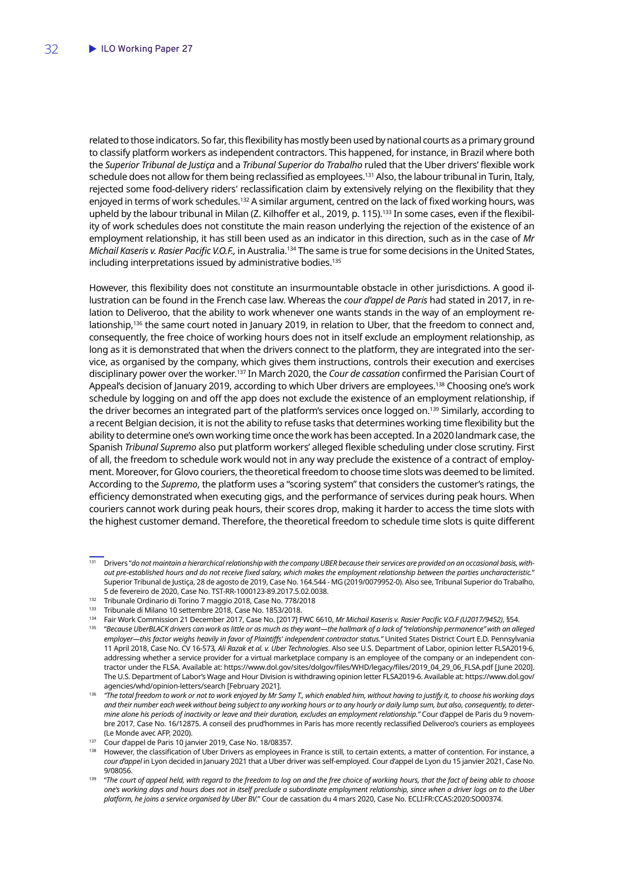related to those indicators. So far, this flexibility has mostly been used by national courts as a primary ground to classify platform workers as independent contractors. This happened, for instance, in Brazil where both the *Superior Tribunal de Justiça* and a *Tribunal Superior do Trabalho* ruled that the Uber drivers' flexible work schedule does not allow for them being reclassified as employees.<sup>131</sup> Also, the labour tribunal in Turin, Italy, rejected some food-delivery riders' reclassification claim by extensively relying on the flexibility that they enjoyed in terms of work schedules.132 A similar argument, centred on the lack of fixed working hours, was upheld by the labour tribunal in Milan (Z. Kilhoffer et al., 2019, p. 115).<sup>133</sup> In some cases, even if the flexibility of work schedules does not constitute the main reason underlying the rejection of the existence of an employment relationship, it has still been used as an indicator in this direction, such as in the case of *Mr Michail Kaseris v. Rasier Pacific V.O.F.,* in Australia.134 The same is true for some decisions in the United States, including interpretations issued by administrative bodies.<sup>135</sup>

However, this flexibility does not constitute an insurmountable obstacle in other jurisdictions. A good illustration can be found in the French case law. Whereas the *cour d'appel de Paris* had stated in 2017, in relation to Deliveroo, that the ability to work whenever one wants stands in the way of an employment relationship,<sup>136</sup> the same court noted in January 2019, in relation to Uber, that the freedom to connect and, consequently, the free choice of working hours does not in itself exclude an employment relationship, as long as it is demonstrated that when the drivers connect to the platform, they are integrated into the service, as organised by the company, which gives them instructions, controls their execution and exercises disciplinary power over the worker.137 In March 2020, the *Cour de cassation* confirmed the Parisian Court of Appeal's decision of January 2019, according to which Uber drivers are employees.<sup>138</sup> Choosing one's work schedule by logging on and off the app does not exclude the existence of an employment relationship, if the driver becomes an integrated part of the platform's services once logged on.<sup>139</sup> Similarly, according to a recent Belgian decision, it is not the ability to refuse tasks that determines working time flexibility but the ability to determine one's own working time once the work has been accepted. In a 2020 landmark case, the Spanish *Tribunal Supremo* also put platform workers' alleged flexible scheduling under close scrutiny. First of all, the freedom to schedule work would not in any way preclude the existence of a contract of employment. Moreover, for Glovo couriers, the theoretical freedom to choose time slots was deemed to be limited. According to the *Supremo*, the platform uses a "scoring system" that considers the customer's ratings, the efficiency demonstrated when executing gigs, and the performance of services during peak hours. When couriers cannot work during peak hours, their scores drop, making it harder to access the time slots with the highest customer demand. Therefore, the theoretical freedom to schedule time slots is quite different

<sup>131</sup> Drivers "*do not maintain a hierarchical relationship with the company UBER because their services are provided on an occasional basis, without pre-established hours and do not receive fixed salary, which makes the employment relationship between the parties uncharacteristic.*" Superior Tribunal de Justiça, 28 de agosto de 2019, Case No. 164.544 - MG (2019/0079952-0). Also see, Tribunal Superior do Trabalho, 5 de fevereiro de 2020, Case No. TST-RR-1000123-89.2017.5.02.0038.

<sup>132</sup> Tribunale Ordinario di Torino 7 maggio 2018, Case No. 778/2018

<sup>133</sup> Tribunale di Milano 10 settembre 2018, Case No. 1853/2018.

<sup>134</sup> Fair Work Commission 21 December 2017, Case No. [2017] FWC 6610, *Mr Michail Kaseris v. Rasier Pacific V.O.F (U2017/9452)*, §54.

<sup>135</sup> "*Because UberBLACK drivers can work as little or as much as they want—the hallmark of a lack of "relationship permanence" with an alleged employer—this factor weighs heavily in favor of Plaintiffs' independent contractor status."* United States District Court E.D. Pennsylvania 11 April 2018, Case No. CV 16-573*, Ali Razak et al. v. Uber Technologies*. Also see U.S. Department of Labor, opinion letter FLSA2019-6, addressing whether a service provider for a virtual marketplace company is an employee of the company or an independent contractor under the FLSA. Available at: https://www.dol.gov/sites/dolgov/files/WHD/legacy/files/2019\_04\_29\_06\_FLSA.pdf [June 2020]. The U.S. Department of Labor's Wage and Hour Division is withdrawing opinion letter FLSA2019-6. Available at: https://www.dol.gov/ agencies/whd/opinion-letters/search [February 2021].

<sup>136</sup> *"The total freedom to work or not to work enjoyed by Mr Samy T., which enabled him, without having to justify it, to choose his working days and their number each week without being subject to any working hours or to any hourly or daily lump sum, but also, consequently, to determine alone his periods of inactivity or leave and their duration, excludes an employment relationship."* Cour d'appel de Paris du 9 novembre 2017, Case No. 16/12875. A conseil des prud'hommes in Paris has more recently reclassified Deliveroo's couriers as employees (Le Monde avec AFP, 2020).

<sup>137</sup> Cour d'appel de Paris 10 janvier 2019, Case No. 18/08357.

<sup>138</sup> However, the classification of Uber Drivers as employees in France is still, to certain extents, a matter of contention. For instance, a *cour d'appel* in Lyon decided in January 2021 that a Uber driver was self-employed. Cour d'appel de Lyon du 15 janvier 2021, Case No. 9/08056.

<sup>&</sup>lt;sup>139</sup> "The court of appeal held, with regard to the freedom to log on and the free choice of working hours, that the fact of being able to choose *one's working days and hours does not in itself preclude a subordinate employment relationship, since when a driver logs on to the Uber platform, he joins a service organised by Uber BV.*" Cour de cassation du 4 mars 2020, Case No. ECLI:FR:CCAS:2020:SO00374.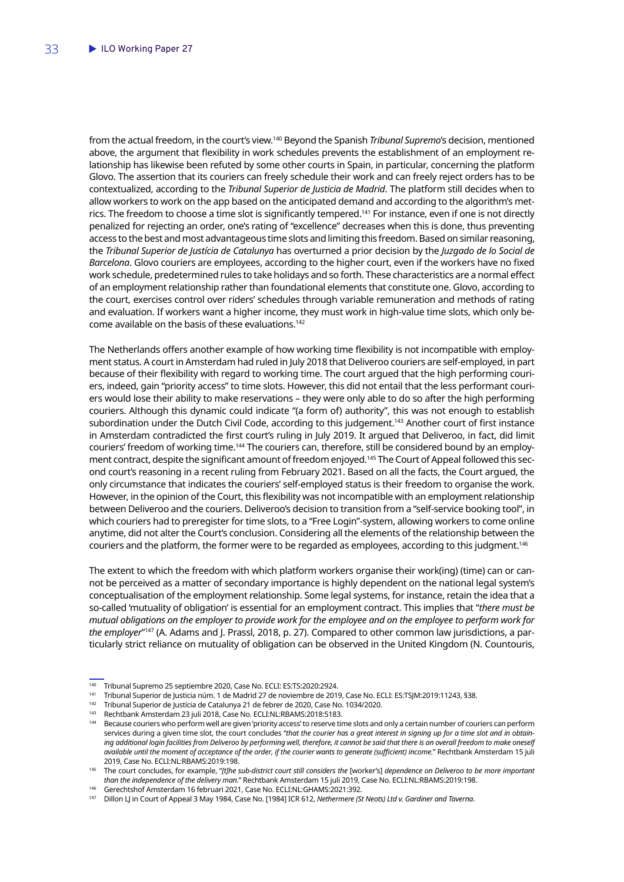from the actual freedom, in the court's view.140 Beyond the Spanish *Tribunal Supremo*'s decision, mentioned above, the argument that flexibility in work schedules prevents the establishment of an employment relationship has likewise been refuted by some other courts in Spain, in particular, concerning the platform Glovo. The assertion that its couriers can freely schedule their work and can freely reject orders has to be contextualized, according to the *Tribunal Superior de Justicia de Madrid*. The platform still decides when to allow workers to work on the app based on the anticipated demand and according to the algorithm's metrics. The freedom to choose a time slot is significantly tempered.141 For instance, even if one is not directly penalized for rejecting an order, one's rating of "excellence" decreases when this is done, thus preventing access to the best and most advantageous time slots and limiting this freedom. Based on similar reasoning, the *Tribunal Superior de Justícia de Catalunya* has overturned a prior decision by the *Juzgado de lo Social de Barcelona*. Glovo couriers are employees, according to the higher court, even if the workers have no fixed work schedule, predetermined rules to take holidays and so forth. These characteristics are a normal effect of an employment relationship rather than foundational elements that constitute one. Glovo, according to the court, exercises control over riders' schedules through variable remuneration and methods of rating and evaluation. If workers want a higher income, they must work in high-value time slots, which only become available on the basis of these evaluations.142

The Netherlands offers another example of how working time flexibility is not incompatible with employment status. A court in Amsterdam had ruled in July 2018 that Deliveroo couriers are self-employed, in part because of their flexibility with regard to working time. The court argued that the high performing couriers, indeed, gain "priority access" to time slots. However, this did not entail that the less performant couriers would lose their ability to make reservations – they were only able to do so after the high performing couriers. Although this dynamic could indicate "(a form of) authority", this was not enough to establish subordination under the Dutch Civil Code, according to this judgement.<sup>143</sup> Another court of first instance in Amsterdam contradicted the first court's ruling in July 2019. It argued that Deliveroo, in fact, did limit couriers' freedom of working time.<sup>144</sup> The couriers can, therefore, still be considered bound by an employment contract, despite the significant amount of freedom enjoyed.<sup>145</sup> The Court of Appeal followed this second court's reasoning in a recent ruling from February 2021. Based on all the facts, the Court argued, the only circumstance that indicates the couriers' self-employed status is their freedom to organise the work. However, in the opinion of the Court, this flexibility was not incompatible with an employment relationship between Deliveroo and the couriers. Deliveroo's decision to transition from a "self-service booking tool", in which couriers had to preregister for time slots, to a "Free Login"-system, allowing workers to come online anytime, did not alter the Court's conclusion. Considering all the elements of the relationship between the couriers and the platform, the former were to be regarded as employees, according to this judgment.146

The extent to which the freedom with which platform workers organise their work(ing) (time) can or cannot be perceived as a matter of secondary importance is highly dependent on the national legal system's conceptualisation of the employment relationship. Some legal systems, for instance, retain the idea that a so-called 'mutuality of obligation' is essential for an employment contract. This implies that "*there must be mutual obligations on the employer to provide work for the employee and on the employee to perform work for the employer*"147 (A. Adams and J. Prassl, 2018, p. 27). Compared to other common law jurisdictions, a particularly strict reliance on mutuality of obligation can be observed in the United Kingdom (N. Countouris,

<sup>141</sup> Tribunal Superior de Justicia núm. 1 de Madrid 27 de noviembre de 2019, Case No. ECLI: ES:TSJM:2019:11243, §38.

<sup>143</sup> Rechtbank Amsterdam 23 juli 2018, Case No. ECLI:NL:RBAMS:2018:5183.

<sup>140</sup> Tribunal Supremo 25 septiembre 2020, Case No. ECLI: ES:TS:2020:2924.

<sup>&</sup>lt;sup>142</sup> Tribunal Superior de Justícia de Catalunya 21 de febrer de 2020, Case No. 1034/2020.

Because couriers who perform well are given 'priority access' to reserve time slots and only a certain number of couriers can perform services during a given time slot, the court concludes "*that the courier has a great interest in signing up for a time slot and in obtain*ing additional login facilities from Deliveroo by performing well, therefore, it cannot be said that there is an overall freedom to make oneself *available until the moment of acceptance of the order, if the courier wants to generate (sufficient) income.*" Rechtbank Amsterdam 15 juli 2019, Case No. ECLI:NL:RBAMS:2019:198.

<sup>145</sup> The court concludes, for example, "*[t]he sub-district court still considers the* [worker's] *dependence on Deliveroo to be more important than the independence of the delivery man.*" Rechtbank Amsterdam 15 juli 2019, Case No. ECLI:NL:RBAMS:2019:198.

<sup>146</sup> Gerechtshof Amsterdam 16 februari 2021, Case No. ECLI:NL:GHAMS:2021:392.

<sup>147</sup> Dillon LJ in Court of Appeal 3 May 1984, Case No. [1984] ICR 612, *Nethermere (St Neots) Ltd v. Gardiner and Taverna*.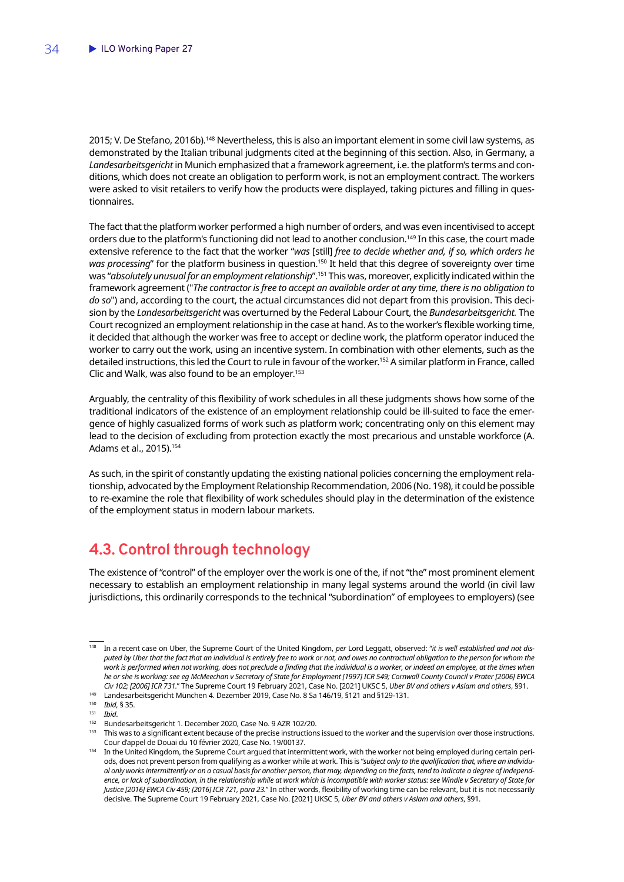<span id="page-35-0"></span>2015; V. De Stefano, 2016b).<sup>148</sup> Nevertheless, this is also an important element in some civil law systems, as demonstrated by the Italian tribunal judgments cited at the beginning of this section. Also, in Germany, a *Landesarbeitsgericht* in Munich emphasized that a framework agreement, i.e. the platform's terms and conditions, which does not create an obligation to perform work, is not an employment contract. The workers were asked to visit retailers to verify how the products were displayed, taking pictures and filling in questionnaires.

The fact that the platform worker performed a high number of orders, and was even incentivised to accept orders due to the platform's functioning did not lead to another conclusion.149 In this case, the court made extensive reference to the fact that the worker "*was* [still] *free to decide whether and, if so, which orders he*  was processing" for the platform business in question.<sup>150</sup> It held that this degree of sovereignty over time was "*absolutely unusual for an employment relationship*".151 This was, moreover, explicitly indicated within the framework agreement ("*The contractor is free to accept an available order at any time, there is no obligation to do so*") and, according to the court, the actual circumstances did not depart from this provision. This decision by the *Landesarbeitsgericht* was overturned by the Federal Labour Court, the *Bundesarbeitsgericht.* The Court recognized an employment relationship in the case at hand. As to the worker's flexible working time, it decided that although the worker was free to accept or decline work, the platform operator induced the worker to carry out the work, using an incentive system. In combination with other elements, such as the detailed instructions, this led the Court to rule in favour of the worker.152 A similar platform in France, called Clic and Walk, was also found to be an employer.<sup>153</sup>

Arguably, the centrality of this flexibility of work schedules in all these judgments shows how some of the traditional indicators of the existence of an employment relationship could be ill-suited to face the emergence of highly casualized forms of work such as platform work; concentrating only on this element may lead to the decision of excluding from protection exactly the most precarious and unstable workforce (A. Adams et al., 2015).154

As such, in the spirit of constantly updating the existing national policies concerning the employment relationship, advocated by the Employment Relationship Recommendation, 2006 (No. 198), it could be possible to re-examine the role that flexibility of work schedules should play in the determination of the existence of the employment status in modern labour markets.

## **4.3. Control through technology**

The existence of "control" of the employer over the work is one of the, if not "the" most prominent element necessary to establish an employment relationship in many legal systems around the world (in civil law jurisdictions, this ordinarily corresponds to the technical "subordination" of employees to employers) (see

<sup>148</sup> In a recent case on Uber, the Supreme Court of the United Kingdom, *per* Lord Leggatt, observed: "*it is well established and not disputed by Uber that the fact that an individual is entirely free to work or not, and owes no contractual obligation to the person for whom the*  work is performed when not working, does not preclude a finding that the individual is a worker, or indeed an employee, at the times when *he or she is working: see eg McMeechan v Secretary of State for Employment [1997] ICR 549; Cornwall County Council v Prater [2006] EWCA Civ 102; [2006] ICR 731.*" The Supreme Court 19 February 2021, Case No. [2021] UKSC 5, *Uber BV and others v Aslam and others*, §91.

<sup>&</sup>lt;sup>149</sup> Landesarbeitsgericht München 4. Dezember 2019, Case No. 8 Sa 146/19, §121 and §129-131.

<sup>150</sup> *Ibid*, § 35.

<sup>151</sup> *Ibid*.

<sup>152</sup> Bundesarbeitsgericht 1. December 2020, Case No. 9 AZR 102/20.

<sup>&</sup>lt;sup>153</sup> This was to a significant extent because of the precise instructions issued to the worker and the supervision over those instructions. Cour d'appel de Douai du 10 février 2020, Case No. 19/00137.

<sup>&</sup>lt;sup>154</sup> In the United Kingdom, the Supreme Court argued that intermittent work, with the worker not being employed during certain periods, does not prevent person from qualifying as a worker while at work. This is "*subject only to the qualification that, where an individual only works intermittently or on a casual basis for another person, that may, depending on the facts, tend to indicate a degree of independence, or lack of subordination, in the relationship while at work which is incompatible with worker status: see Windle v Secretary of State for Justice [2016] EWCA Civ 459; [2016] ICR 721, para 23.*" In other words, flexibility of working time can be relevant, but it is not necessarily decisive. The Supreme Court 19 February 2021, Case No. [2021] UKSC 5, *Uber BV and others v Aslam and others*, §91.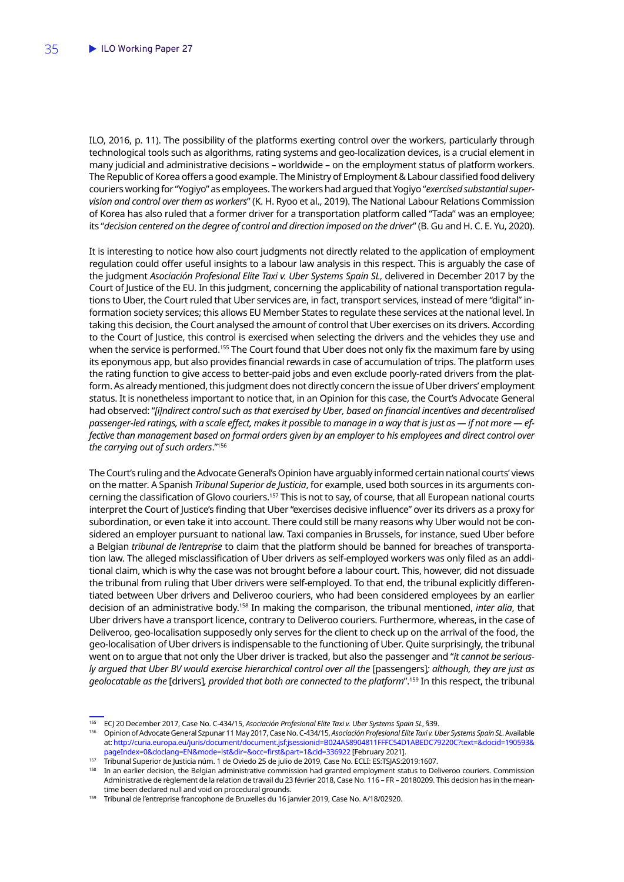ILO, 2016, p. 11). The possibility of the platforms exerting control over the workers, particularly through technological tools such as algorithms, rating systems and geo-localization devices, is a crucial element in many judicial and administrative decisions – worldwide – on the employment status of platform workers. The Republic of Korea offers a good example. The Ministry of Employment & Labour classified food delivery couriers working for "Yogiyo" as employees. The workers had argued that Yogiyo "*exercised substantial supervision and control over them as workers*" (K. H. Ryoo et al., 2019). The National Labour Relations Commission of Korea has also ruled that a former driver for a transportation platform called "Tada" was an employee; its "*decision centered on the degree of control and direction imposed on the driver*" (B. Gu and H. C. E. Yu, 2020).

It is interesting to notice how also court judgments not directly related to the application of employment regulation could offer useful insights to a labour law analysis in this respect. This is arguably the case of the judgment *Asociación Profesional Elite Taxi v. Uber Systems Spain SL*, delivered in December 2017 by the Court of Justice of the EU. In this judgment, concerning the applicability of national transportation regulations to Uber, the Court ruled that Uber services are, in fact, transport services, instead of mere "digital" information society services; this allows EU Member States to regulate these services at the national level. In taking this decision, the Court analysed the amount of control that Uber exercises on its drivers. According to the Court of Justice, this control is exercised when selecting the drivers and the vehicles they use and when the service is performed.<sup>155</sup> The Court found that Uber does not only fix the maximum fare by using its eponymous app, but also provides financial rewards in case of accumulation of trips. The platform uses the rating function to give access to better-paid jobs and even exclude poorly-rated drivers from the platform. As already mentioned, this judgment does not directly concern the issue of Uber drivers' employment status. It is nonetheless important to notice that, in an Opinion for this case, the Court's Advocate General had observed: "*[i]ndirect control such as that exercised by Uber, based on financial incentives and decentralised passenger-led ratings, with a scale effect, makes it possible to manage in a way that is just as — if not more — effective than management based on formal orders given by an employer to his employees and direct control over the carrying out of such orders*."156

The Court's ruling and the Advocate General's Opinion have arguably informed certain national courts' views on the matter. A Spanish *Tribunal Superior de Justicia*, for example, used both sources in its arguments concerning the classification of Glovo couriers.157 This is not to say, of course, that all European national courts interpret the Court of Justice's finding that Uber "exercises decisive influence" over its drivers as a proxy for subordination, or even take it into account. There could still be many reasons why Uber would not be considered an employer pursuant to national law. Taxi companies in Brussels, for instance, sued Uber before a Belgian *tribunal de l'entreprise* to claim that the platform should be banned for breaches of transportation law. The alleged misclassification of Uber drivers as self-employed workers was only filed as an additional claim, which is why the case was not brought before a labour court. This, however, did not dissuade the tribunal from ruling that Uber drivers were self-employed. To that end, the tribunal explicitly differentiated between Uber drivers and Deliveroo couriers, who had been considered employees by an earlier decision of an administrative body.158 In making the comparison, the tribunal mentioned, *inter alia*, that Uber drivers have a transport licence, contrary to Deliveroo couriers. Furthermore, whereas, in the case of Deliveroo, geo-localisation supposedly only serves for the client to check up on the arrival of the food, the geo-localisation of Uber drivers is indispensable to the functioning of Uber. Quite surprisingly, the tribunal went on to argue that not only the Uber driver is tracked, but also the passenger and "*it cannot be seriously argued that Uber BV would exercise hierarchical control over all the* [passengers]*; although, they are just as geolocatable as the* [drivers]*, provided that both are connected to the platform*".159 In this respect, the tribunal

<sup>155</sup> ECJ 20 December 2017, Case No. C-434/15, *Asociación Profesional Elite Taxi v. Uber Systems Spain SL*, §39.

<sup>156</sup> Opinion of Advocate General Szpunar 11 May 2017, Case No. C-434/15, *Asociación Profesional Elite Taxi v. Uber Systems Spain SL*. Available at: [http://curia.europa.eu/juris/document/document.jsf;jsessionid=B024A58904811FFFC54D1ABEDC79220C?text=&docid=190593&](http://curia.europa.eu/juris/document/document.jsf;jsessionid=B024A58904811FFFC54D1ABEDC79220C?text=&docid=190593&pageIndex=0&doclang=EN&mode=lst&dir=&occ=first&part=1&cid=336922) [pageIndex=0&doclang=EN&mode=lst&dir=&occ=first&part=1&cid=336922](http://curia.europa.eu/juris/document/document.jsf;jsessionid=B024A58904811FFFC54D1ABEDC79220C?text=&docid=190593&pageIndex=0&doclang=EN&mode=lst&dir=&occ=first&part=1&cid=336922) [February 2021].

<sup>157</sup> Tribunal Superior de Justicia núm. 1 de Oviedo 25 de julio de 2019, Case No. ECLI: ES:TSJAS:2019:1607.

In an earlier decision, the Belgian administrative commission had granted employment status to Deliveroo couriers. Commission Administrative de règlement de la relation de travail du 23 février 2018, Case No. 116 – FR – 20180209. This decision has in the meantime been declared null and void on procedural grounds.

<sup>159</sup> Tribunal de l'entreprise francophone de Bruxelles du 16 janvier 2019, Case No. A/18/02920.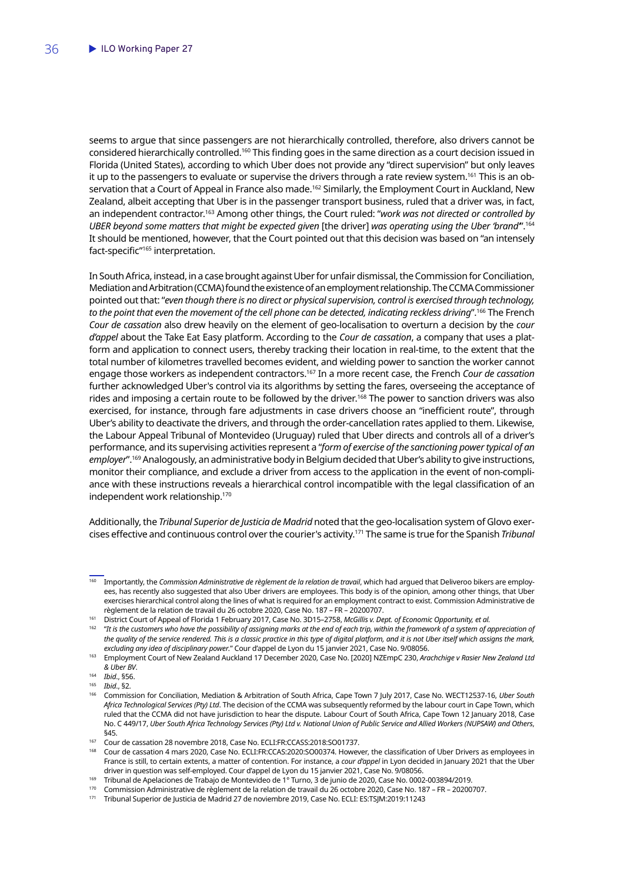seems to argue that since passengers are not hierarchically controlled, therefore, also drivers cannot be considered hierarchically controlled.160 This finding goes in the same direction as a court decision issued in Florida (United States), according to which Uber does not provide any "direct supervision" but only leaves it up to the passengers to evaluate or supervise the drivers through a rate review system.<sup>161</sup> This is an observation that a Court of Appeal in France also made.162 Similarly, the Employment Court in Auckland, New Zealand, albeit accepting that Uber is in the passenger transport business, ruled that a driver was, in fact, an independent contractor.163 Among other things, the Court ruled: "*work was not directed or controlled by UBER beyond some matters that might be expected given* [the driver] *was operating using the Uber 'brand'*".164 It should be mentioned, however, that the Court pointed out that this decision was based on "an intensely fact-specific"165 interpretation.

In South Africa, instead, in a case brought against Uber for unfair dismissal, the Commission for Conciliation, Mediation and Arbitration (CCMA) found the existence of an employment relationship. The CCMA Commissioner pointed out that: "*even though there is no direct or physical supervision, control is exercised through technology, to the point that even the movement of the cell phone can be detected, indicating reckless driving*".166 The French *Cour de cassation* also drew heavily on the element of geo-localisation to overturn a decision by the *cour d'appel* about the Take Eat Easy platform. According to the *Cour de cassation*, a company that uses a platform and application to connect users, thereby tracking their location in real-time, to the extent that the total number of kilometres travelled becomes evident, and wielding power to sanction the worker cannot engage those workers as independent contractors.167 In a more recent case, the French *Cour de cassation* further acknowledged Uber's control via its algorithms by setting the fares, overseeing the acceptance of rides and imposing a certain route to be followed by the driver.168 The power to sanction drivers was also exercised, for instance, through fare adjustments in case drivers choose an "inefficient route", through Uber's ability to deactivate the drivers, and through the order-cancellation rates applied to them. Likewise, the Labour Appeal Tribunal of Montevideo (Uruguay) ruled that Uber directs and controls all of a driver's performance, and its supervising activities represent a "*form of exercise of the sanctioning power typical of an employer*".169 Analogously, an administrative body in Belgium decided that Uber's ability to give instructions, monitor their compliance, and exclude a driver from access to the application in the event of non-compliance with these instructions reveals a hierarchical control incompatible with the legal classification of an independent work relationship.170

Additionally, the *Tribunal Superior de Justicia de Madrid* noted that the geo-localisation system of Glovo exercises effective and continuous control over the courier's activity.171 The same is true for the Spanish *Tribunal* 

<sup>&</sup>lt;sup>160</sup> Importantly, the *Commission Administrative de règlement de la relation de travail*, which had argued that Deliveroo bikers are employees, has recently also suggested that also Uber drivers are employees. This body is of the opinion, among other things, that Uber exercises hierarchical control along the lines of what is required for an employment contract to exist. Commission Administrative de règlement de la relation de travail du 26 octobre 2020, Case No. 187 – FR – 20200707.

<sup>161</sup> District Court of Appeal of Florida 1 February 2017, Case No. 3D15–2758, *McGillis v. Dept. of Economic Opportunity, et al.*

<sup>&</sup>lt;sup>162</sup> "It is the customers who have the possibility of assigning marks at the end of each trip, within the framework of a system of appreciation of *the quality of the service rendered. This is a classic practice in this type of digital platform, and it is not Uber itself which assigns the mark, excluding any idea of disciplinary power.*" Cour d'appel de Lyon du 15 janvier 2021, Case No. 9/08056.

<sup>163</sup> Employment Court of New Zealand Auckland 17 December 2020, Case No. [2020] NZEmpC 230, *Arachchige v Rasier New Zealand Ltd & Uber BV*.

<sup>164</sup> *Ibid*., §56.

<sup>165</sup> *Ibid*., §2.

<sup>166</sup> Commission for Conciliation, Mediation & Arbitration of South Africa, Cape Town 7 July 2017, Case No. WECT12537-16, *Uber South Africa Technological Services (Pty) Ltd*. The decision of the CCMA was subsequently reformed by the labour court in Cape Town, which ruled that the CCMA did not have jurisdiction to hear the dispute. Labour Court of South Africa, Cape Town 12 January 2018, Case No. C 449/17, *Uber South Africa Technology Services (Pty) Ltd v. National Union of Public Service and Allied Workers (NUPSAW) and Others*, §45.

<sup>167</sup> Cour de cassation 28 novembre 2018, Case No. ECLI:FR:CCASS:2018:SO01737.

<sup>168</sup> Cour de cassation 4 mars 2020, Case No. ECLI:FR:CCAS:2020:SO00374. However, the classification of Uber Drivers as employees in France is still, to certain extents, a matter of contention. For instance, a *cour d'appel* in Lyon decided in January 2021 that the Uber driver in question was self-employed. Cour d'appel de Lyon du 15 janvier 2021, Case No. 9/08056.

<sup>169</sup> Tribunal de Apelaciones de Trabajo de Montevideo de 1° Turno, 3 de junio de 2020, Case No. 0002-003894/2019.

<sup>170</sup> Commission Administrative de règlement de la relation de travail du 26 octobre 2020, Case No. 187 – FR – 20200707.

<sup>171</sup> Tribunal Superior de Justicia de Madrid 27 de noviembre 2019, Case No. ECLI: ES:TSJM:2019:11243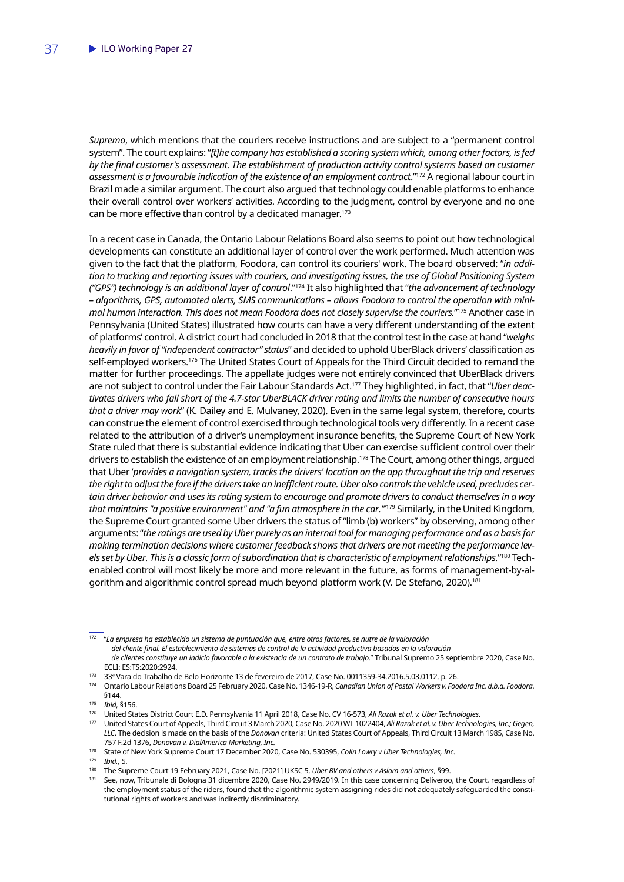*Supremo*, which mentions that the couriers receive instructions and are subject to a "permanent control system". The court explains: "*[t]he company has established a scoring system which, among other factors, is fed*  by the final customer's assessment. The establishment of production activity control systems based on customer assessment is a favourable indication of the existence of an employment contract."<sup>172</sup> A regional labour court in Brazil made a similar argument. The court also argued that technology could enable platforms to enhance their overall control over workers' activities. According to the judgment, control by everyone and no one can be more effective than control by a dedicated manager.<sup>173</sup>

In a recent case in Canada, the Ontario Labour Relations Board also seems to point out how technological developments can constitute an additional layer of control over the work performed. Much attention was given to the fact that the platform, Foodora, can control its couriers' work. The board observed: "*in addition to tracking and reporting issues with couriers, and investigating issues, the use of Global Positioning System ("GPS") technology is an additional layer of control*."174 It also highlighted that "*the advancement of technology – algorithms, GPS, automated alerts, SMS communications – allows Foodora to control the operation with minimal human interaction. This does not mean Foodora does not closely supervise the couriers.*"175 Another case in Pennsylvania (United States) illustrated how courts can have a very different understanding of the extent of platforms' control. A district court had concluded in 2018 that the control test in the case at hand "*weighs heavily in favor of "independent contractor" status*" and decided to uphold UberBlack drivers' classification as self-employed workers.<sup>176</sup> The United States Court of Appeals for the Third Circuit decided to remand the matter for further proceedings. The appellate judges were not entirely convinced that UberBlack drivers are not subject to control under the Fair Labour Standards Act.177 They highlighted, in fact, that "*Uber deactivates drivers who fall short of the 4.7-star UberBLACK driver rating and limits the number of consecutive hours that a driver may work*" (K. Dailey and E. Mulvaney, 2020). Even in the same legal system, therefore, courts can construe the element of control exercised through technological tools very differently. In a recent case related to the attribution of a driver's unemployment insurance benefits, the Supreme Court of New York State ruled that there is substantial evidence indicating that Uber can exercise sufficient control over their drivers to establish the existence of an employment relationship.<sup>178</sup> The Court, among other things, arqued that Uber '*provides a navigation system, tracks the drivers' location on the app throughout the trip and reserves the right to adjust the fare if the drivers take an inefficient route. Uber also controls the vehicle used, precludes certain driver behavior and uses its rating system to encourage and promote drivers to conduct themselves in a way that maintains "a positive environment" and "a fun atmosphere in the car."*' 179 Similarly, in the United Kingdom, the Supreme Court granted some Uber drivers the status of "limb (b) workers" by observing, among other arguments: "*the ratings are used by Uber purely as an internal tool for managing performance and as a basis for making termination decisions where customer feedback shows that drivers are not meeting the performance levels set by Uber. This is a classic form of subordination that is characteristic of employment relationships.*"180 Techenabled control will most likely be more and more relevant in the future, as forms of management-by-algorithm and algorithmic control spread much beyond platform work (V. De Stefano, 2020).181

<sup>172</sup> "*La empresa ha establecido un sistema de puntuación que, entre otros factores, se nutre de la valoración*

*del cliente final. El establecimiento de sistemas de control de la actividad productiva basados en la valoración de clientes constituye un indicio favorable a la existencia de un contrato de trabajo.*" Tribunal Supremo 25 septiembre 2020, Case No. ECLI: ES:TS:2020:2924.

<sup>173</sup> 33ª Vara do Trabalho de Belo Horizonte 13 de fevereiro de 2017, Case No. 0011359-34.2016.5.03.0112, p. 26.

<sup>174</sup> Ontario Labour Relations Board 25 February 2020, Case No. 1346-19-R, *Canadian Union of Postal Workers v. Foodora Inc. d.b.a. Foodora*, §144.

See, now, Tribunale di Bologna 31 dicembre 2020, Case No. 2949/2019. In this case concerning Deliveroo, the Court, regardless of the employment status of the riders, found that the algorithmic system assigning rides did not adequately safeguarded the constitutional rights of workers and was indirectly discriminatory.

<sup>175</sup> *Ibid*, §156.

<sup>176</sup> United States District Court E.D. Pennsylvania 11 April 2018, Case No. CV 16-573, *Ali Razak et al. v. Uber Technologies*.

<sup>177</sup> United States Court of Appeals, Third Circuit 3 March 2020, Case No. 2020 WL 1022404, *Ali Razak et al. v. Uber Technologies, Inc.; Gegen, LLC*. The decision is made on the basis of the *Donovan* criteria: United States Court of Appeals, Third Circuit 13 March 1985, Case No. 757 F.2d 1376, *Donovan v. DialAmerica Marketing, Inc.*

<sup>178</sup> State of New York Supreme Court 17 December 2020, Case No. 530395, *Colin Lowry v Uber Technologies, Inc*.

<sup>179</sup> *Ibid.*, 5.

<sup>180</sup> The Supreme Court 19 February 2021, Case No. [2021] UKSC 5, *Uber BV and others v Aslam and others*, §99.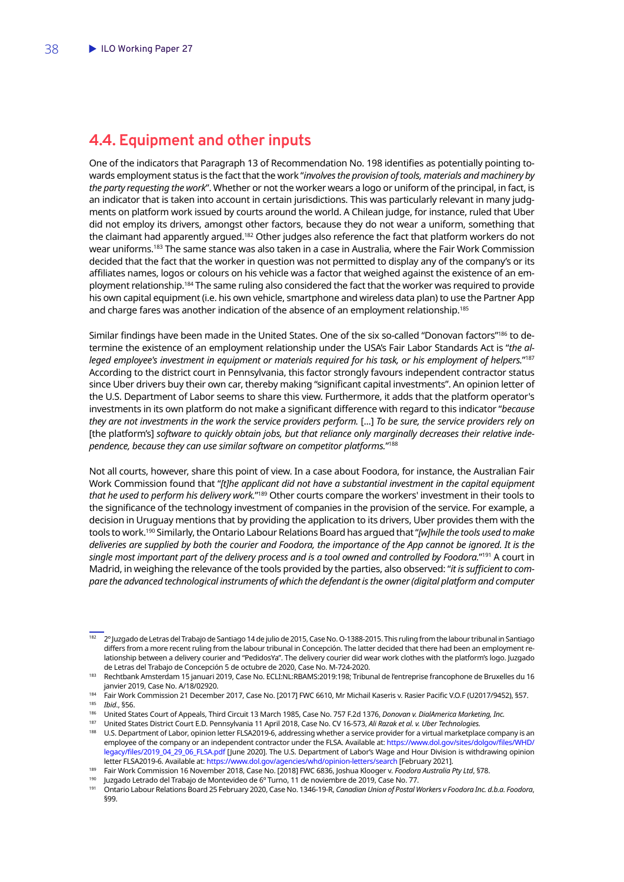### <span id="page-39-0"></span>**4.4. Equipment and other inputs**

One of the indicators that Paragraph 13 of Recommendation No. 198 identifies as potentially pointing towards employment status is the fact that the work "*involves the provision of tools, materials and machinery by the party requesting the work*". Whether or not the worker wears a logo or uniform of the principal, in fact, is an indicator that is taken into account in certain jurisdictions. This was particularly relevant in many judgments on platform work issued by courts around the world. A Chilean judge, for instance, ruled that Uber did not employ its drivers, amongst other factors, because they do not wear a uniform, something that the claimant had apparently argued.182 Other judges also reference the fact that platform workers do not wear uniforms.183 The same stance was also taken in a case in Australia, where the Fair Work Commission decided that the fact that the worker in question was not permitted to display any of the company's or its affiliates names, logos or colours on his vehicle was a factor that weighed against the existence of an employment relationship.184 The same ruling also considered the fact that the worker was required to provide his own capital equipment (i.e. his own vehicle, smartphone and wireless data plan) to use the Partner App and charge fares was another indication of the absence of an employment relationship.<sup>185</sup>

Similar findings have been made in the United States. One of the six so-called "Donovan factors"<sup>186</sup> to determine the existence of an employment relationship under the USA's Fair Labor Standards Act is "*the alleged employee's investment in equipment or materials required for his task, or his employment of helpers.*"187 According to the district court in Pennsylvania, this factor strongly favours independent contractor status since Uber drivers buy their own car, thereby making "significant capital investments". An opinion letter of the U.S. Department of Labor seems to share this view. Furthermore, it adds that the platform operator's investments in its own platform do not make a significant difference with regard to this indicator "*because they are not investments in the work the service providers perform.* [...] *To be sure, the service providers rely on*  [the platform's] *software to quickly obtain jobs, but that reliance only marginally decreases their relative independence, because they can use similar software on competitor platforms.*"188

Not all courts, however, share this point of view. In a case about Foodora, for instance, the Australian Fair Work Commission found that "*[t]he applicant did not have a substantial investment in the capital equipment that he used to perform his delivery work.*"189 Other courts compare the workers' investment in their tools to the significance of the technology investment of companies in the provision of the service. For example, a decision in Uruguay mentions that by providing the application to its drivers, Uber provides them with the tools to work.190 Similarly, the Ontario Labour Relations Board has argued that "*[w]hile the tools used to make deliveries are supplied by both the courier and Foodora, the importance of the App cannot be ignored. It is the single most important part of the delivery process and is a tool owned and controlled by Foodora.*"191 A court in Madrid, in weighing the relevance of the tools provided by the parties, also observed: "*it is sufficient to compare the advanced technological instruments of which the defendant is the owner (digital platform and computer* 

<sup>182</sup> 2º Juzgado de Letras del Trabajo de Santiago 14 de julio de 2015, Case No. O-1388-2015. This ruling from the labour tribunal in Santiago differs from a more recent ruling from the labour tribunal in Concepción. The latter decided that there had been an employment relationship between a delivery courier and "PedidosYa". The delivery courier did wear work clothes with the platform's logo. Juzgado de Letras del Trabajo de Concepción 5 de octubre de 2020, Case No. M-724-2020.

<sup>&</sup>lt;sup>183</sup> Rechtbank Amsterdam 15 januari 2019, Case No. ECLI:NL:RBAMS:2019:198; Tribunal de l'entreprise francophone de Bruxelles du 16 janvier 2019, Case No. A/18/02920.

<sup>184</sup> Fair Work Commission 21 December 2017, Case No. [2017] FWC 6610, Mr Michail Kaseris v. Rasier Pacific V.O.F (U2017/9452), §57.

<sup>185</sup> *Ibid*., §56.

<sup>186</sup> United States Court of Appeals, Third Circuit 13 March 1985, Case No. 757 F.2d 1376, *Donovan v. DialAmerica Marketing, Inc.*

<sup>187</sup> United States District Court E.D. Pennsylvania 11 April 2018, Case No. CV 16-573, *Ali Razak et al. v. Uber Technologies.*

<sup>188</sup> U.S. Department of Labor, opinion letter FLSA2019-6, addressing whether a service provider for a virtual marketplace company is an employee of the company or an independent contractor under the FLSA. Available at: [https://www.dol.gov/sites/dolgov/files/WHD/](https://www.dol.gov/sites/dolgov/files/WHD/legacy/files/2019_04_29_06_FLSA.pdf) [legacy/files/2019\\_04\\_29\\_06\\_FLSA.pdf](https://www.dol.gov/sites/dolgov/files/WHD/legacy/files/2019_04_29_06_FLSA.pdf) [June 2020]. The U.S. Department of Labor's Wage and Hour Division is withdrawing opinion letter FLSA2019-6. Available at:<https://www.dol.gov/agencies/whd/opinion-letters/search> [February 2021].

<sup>189</sup> Fair Work Commission 16 November 2018, Case No. [2018] FWC 6836, Joshua Klooger v. *Foodora Australia Pty Ltd*, §78.

<sup>&</sup>lt;sup>190</sup> Juzgado Letrado del Trabajo de Montevideo de 6º Turno, 11 de noviembre de 2019, Case No. 77.<br><sup>191</sup> Detario Labour Polations Board 25 February 2020, Case No. 1246-19 B. Canadian Union of Postal V

<sup>191</sup> Ontario Labour Relations Board 25 February 2020, Case No. 1346-19-R, *Canadian Union of Postal Workers v Foodora Inc. d.b.a. Foodora*, §99.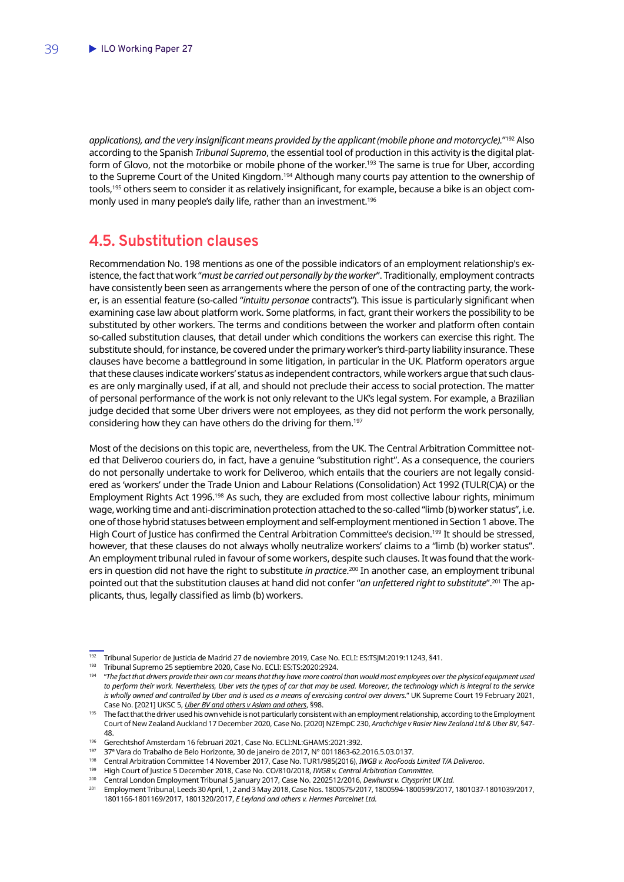<span id="page-40-0"></span>*applications), and the very insignificant means provided by the applicant (mobile phone and motorcycle).*"192 Also according to the Spanish *Tribunal Supremo*, the essential tool of production in this activity is the digital platform of Glovo, not the motorbike or mobile phone of the worker.<sup>193</sup> The same is true for Uber, according to the Supreme Court of the United Kingdom.<sup>194</sup> Although many courts pay attention to the ownership of tools,<sup>195</sup> others seem to consider it as relatively insignificant, for example, because a bike is an object commonly used in many people's daily life, rather than an investment.<sup>196</sup>

### **4.5. Substitution clauses**

Recommendation No. 198 mentions as one of the possible indicators of an employment relationship's existence, the fact that work "*must be carried out personally by the worker*". Traditionally, employment contracts have consistently been seen as arrangements where the person of one of the contracting party, the worker, is an essential feature (so-called "*intuitu personae* contracts"). This issue is particularly significant when examining case law about platform work. Some platforms, in fact, grant their workers the possibility to be substituted by other workers. The terms and conditions between the worker and platform often contain so-called substitution clauses, that detail under which conditions the workers can exercise this right. The substitute should, for instance, be covered under the primary worker's third-party liability insurance. These clauses have become a battleground in some litigation, in particular in the UK. Platform operators argue that these clauses indicate workers' status as independent contractors, while workers argue that such clauses are only marginally used, if at all, and should not preclude their access to social protection. The matter of personal performance of the work is not only relevant to the UK's legal system. For example, a Brazilian judge decided that some Uber drivers were not employees, as they did not perform the work personally, considering how they can have others do the driving for them.197

Most of the decisions on this topic are, nevertheless, from the UK. The Central Arbitration Committee noted that Deliveroo couriers do, in fact, have a genuine "substitution right". As a consequence, the couriers do not personally undertake to work for Deliveroo, which entails that the couriers are not legally considered as 'workers' under the Trade Union and Labour Relations (Consolidation) Act 1992 (TULR(C)A) or the Employment Rights Act 1996.<sup>198</sup> As such, they are excluded from most collective labour rights, minimum wage, working time and anti-discrimination protection attached to the so-called "limb (b) worker status", i.e. one of those hybrid statuses between employment and self-employment mentioned in Section 1 above. The High Court of Justice has confirmed the Central Arbitration Committee's decision.<sup>199</sup> It should be stressed, however, that these clauses do not always wholly neutralize workers' claims to a "limb (b) worker status". An employment tribunal ruled in favour of some workers, despite such clauses. It was found that the workers in question did not have the right to substitute *in practice*. 200 In another case, an employment tribunal pointed out that the substitution clauses at hand did not confer "*an unfettered right to substitute*".201 The applicants, thus, legally classified as limb (b) workers.

<sup>192</sup> Tribunal Superior de Justicia de Madrid 27 de noviembre 2019, Case No. ECLI: ES:TSJM:2019:11243, §41.

<sup>193</sup> Tribunal Supremo 25 septiembre 2020, Case No. ECLI: ES:TS:2020:2924.

<sup>194</sup> "*The fact that drivers provide their own car means that they have more control than would most employees over the physical equipment used to perform their work. Nevertheless, Uber vets the types of car that may be used. Moreover, the technology which is integral to the service is wholly owned and controlled by Uber and is used as a means of exercising control over drivers.*" UK Supreme Court 19 February 2021, Case No. [2021] UKSC 5, *Uber BV and others v Aslam and others*, §98.

<sup>&</sup>lt;sup>195</sup> The fact that the driver used his own vehicle is not particularly consistent with an employment relationship, according to the Employment Court of New Zealand Auckland 17 December 2020, Case No. [2020] NZEmpC 230, *Arachchige v Rasier New Zealand Ltd & Uber BV*, §47- 48.

<sup>196</sup> Gerechtshof Amsterdam 16 februari 2021, Case No. ECLI:NL:GHAMS:2021:392.

<sup>197</sup> 37ª Vara do Trabalho de Belo Horizonte, 30 de janeiro de 2017, N° 0011863-62.2016.5.03.0137.

<sup>198</sup> Central Arbitration Committee 14 November 2017, Case No. TUR1/985(2016), *IWGB v. RooFoods Limited T/A Deliveroo*.

<sup>199</sup> High Court of Justice 5 December 2018, Case No. CO/810/2018, *IWGB v. Central Arbitration Committee.*

<sup>200</sup> Central London Employment Tribunal 5 January 2017, Case No. 2202512/2016, *Dewhurst v. Citysprint UK Ltd.*

<sup>201</sup> Employment Tribunal, Leeds 30 April, 1, 2 and 3 May 2018, Case Nos. 1800575/2017, 1800594-1800599/2017, 1801037-1801039/2017, 1801166-1801169/2017, 1801320/2017, *E Leyland and others v. Hermes Parcelnet Ltd.*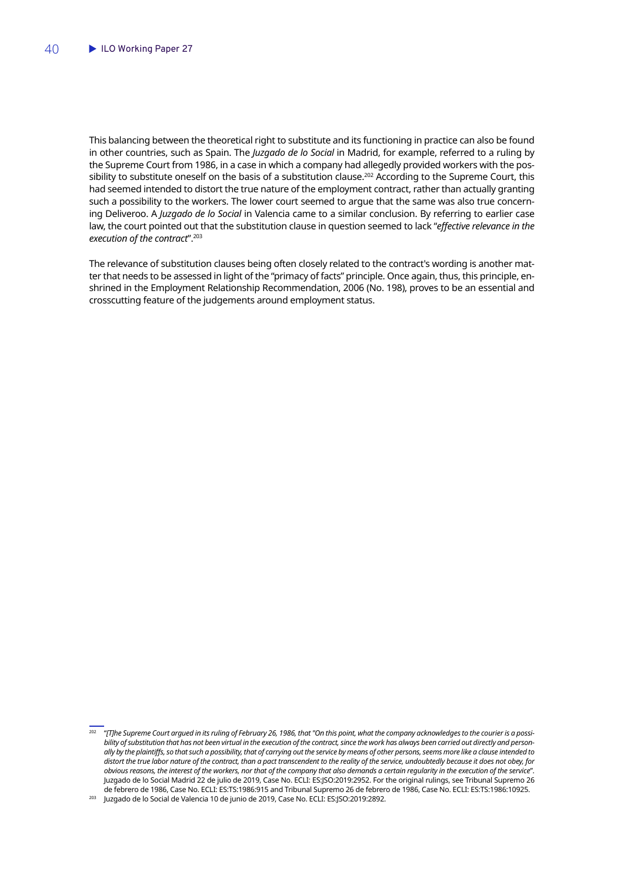This balancing between the theoretical right to substitute and its functioning in practice can also be found in other countries, such as Spain. The *Juzgado de lo Social* in Madrid, for example, referred to a ruling by the Supreme Court from 1986, in a case in which a company had allegedly provided workers with the possibility to substitute oneself on the basis of a substitution clause.<sup>202</sup> According to the Supreme Court, this had seemed intended to distort the true nature of the employment contract, rather than actually granting such a possibility to the workers. The lower court seemed to argue that the same was also true concerning Deliveroo. A *Juzgado de lo Social* in Valencia came to a similar conclusion. By referring to earlier case law, the court pointed out that the substitution clause in question seemed to lack "*effective relevance in the execution of the contract*".203

The relevance of substitution clauses being often closely related to the contract's wording is another matter that needs to be assessed in light of the "primacy of facts" principle. Once again, thus, this principle, enshrined in the Employment Relationship Recommendation, 2006 (No. 198), proves to be an essential and crosscutting feature of the judgements around employment status.

<sup>202</sup> "*[T]he Supreme Court argued in its ruling of February 26, 1986, that "On this point, what the company acknowledges to the courier is a possibility of substitution that has not been virtual in the execution of the contract, since the work has always been carried out directly and personally by the plaintiffs, so that such a possibility, that of carrying out the service by means of other persons, seems more like a clause intended to distort the true labor nature of the contract, than a pact transcendent to the reality of the service, undoubtedly because it does not obey, for obvious reasons, the interest of the workers, nor that of the company that also demands a certain regularity in the execution of the service*". Juzgado de lo Social Madrid 22 de julio de 2019, Case No. ECLI: ES:JSO:2019:2952. For the original rulings, see Tribunal Supremo 26 de febrero de 1986, Case No. ECLI: ES:TS:1986:915 and Tribunal Supremo 26 de febrero de 1986, Case No. ECLI: ES:TS:1986:10925. <sup>203</sup> Juzgado de lo Social de Valencia 10 de junio de 2019, Case No. ECLI: ES:JSO:2019:2892.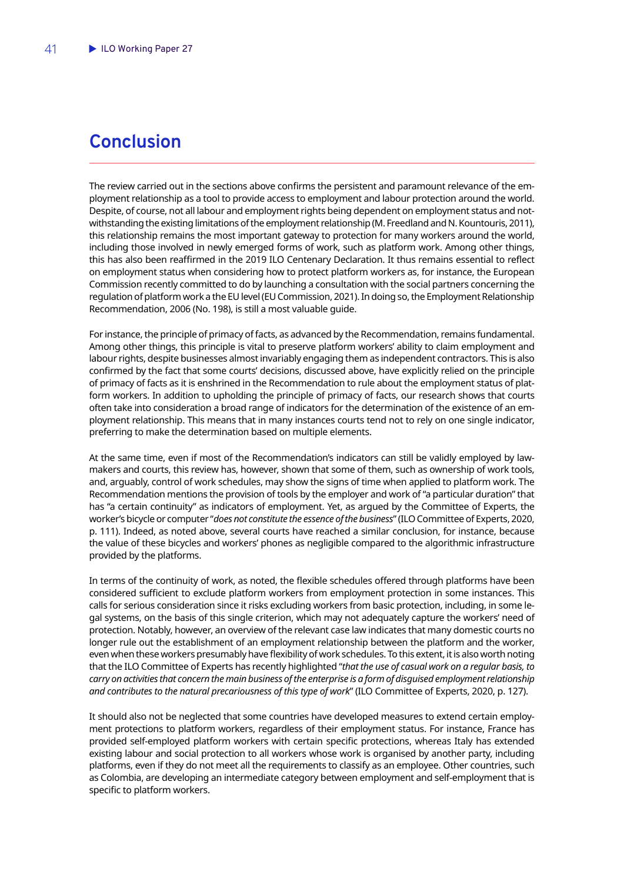# <span id="page-42-0"></span>**Conclusion**

The review carried out in the sections above confirms the persistent and paramount relevance of the employment relationship as a tool to provide access to employment and labour protection around the world. Despite, of course, not all labour and employment rights being dependent on employment status and notwithstanding the existing limitations of the employment relationship (M. Freedland and N. Kountouris, 2011), this relationship remains the most important gateway to protection for many workers around the world, including those involved in newly emerged forms of work, such as platform work. Among other things, this has also been reaffirmed in the 2019 ILO Centenary Declaration. It thus remains essential to reflect on employment status when considering how to protect platform workers as, for instance, the European Commission recently committed to do by launching a consultation with the social partners concerning the regulation of platform work a the EU level (EU Commission, 2021). In doing so, the Employment Relationship Recommendation, 2006 (No. 198), is still a most valuable guide.

For instance, the principle of primacy of facts, as advanced by the Recommendation, remains fundamental. Among other things, this principle is vital to preserve platform workers' ability to claim employment and labour rights, despite businesses almost invariably engaging them as independent contractors. This is also confirmed by the fact that some courts' decisions, discussed above, have explicitly relied on the principle of primacy of facts as it is enshrined in the Recommendation to rule about the employment status of platform workers. In addition to upholding the principle of primacy of facts, our research shows that courts often take into consideration a broad range of indicators for the determination of the existence of an employment relationship. This means that in many instances courts tend not to rely on one single indicator, preferring to make the determination based on multiple elements.

At the same time, even if most of the Recommendation's indicators can still be validly employed by lawmakers and courts, this review has, however, shown that some of them, such as ownership of work tools, and, arguably, control of work schedules, may show the signs of time when applied to platform work. The Recommendation mentions the provision of tools by the employer and work of "a particular duration" that has "a certain continuity" as indicators of employment. Yet, as argued by the Committee of Experts, the worker's bicycle or computer "*does not constitute the essence of the business*" (ILO Committee of Experts, 2020, p. 111). Indeed, as noted above, several courts have reached a similar conclusion, for instance, because the value of these bicycles and workers' phones as negligible compared to the algorithmic infrastructure provided by the platforms.

In terms of the continuity of work, as noted, the flexible schedules offered through platforms have been considered sufficient to exclude platform workers from employment protection in some instances. This calls for serious consideration since it risks excluding workers from basic protection, including, in some legal systems, on the basis of this single criterion, which may not adequately capture the workers' need of protection. Notably, however, an overview of the relevant case law indicates that many domestic courts no longer rule out the establishment of an employment relationship between the platform and the worker, even when these workers presumably have flexibility of work schedules. To this extent, it is also worth noting that the ILO Committee of Experts has recently highlighted "*that the use of casual work on a regular basis, to carry on activities that concern the main business of the enterprise is a form of disguised employment relationship and contributes to the natural precariousness of this type of work*" (ILO Committee of Experts, 2020, p. 127).

It should also not be neglected that some countries have developed measures to extend certain employment protections to platform workers, regardless of their employment status. For instance, France has provided self-employed platform workers with certain specific protections, whereas Italy has extended existing labour and social protection to all workers whose work is organised by another party, including platforms, even if they do not meet all the requirements to classify as an employee. Other countries, such as Colombia, are developing an intermediate category between employment and self-employment that is specific to platform workers.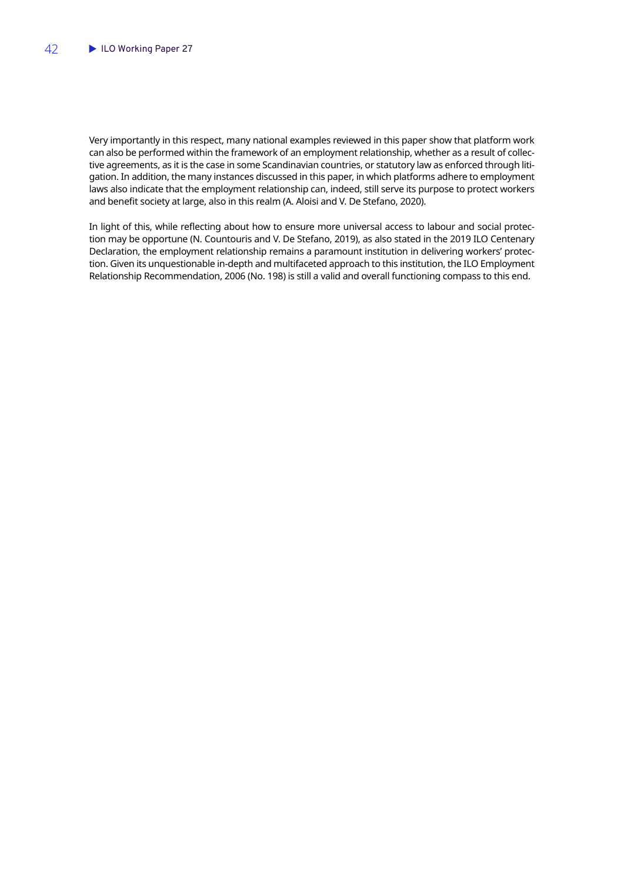Very importantly in this respect, many national examples reviewed in this paper show that platform work can also be performed within the framework of an employment relationship, whether as a result of collective agreements, as it is the case in some Scandinavian countries, or statutory law as enforced through litigation. In addition, the many instances discussed in this paper, in which platforms adhere to employment laws also indicate that the employment relationship can, indeed, still serve its purpose to protect workers and benefit society at large, also in this realm (A. Aloisi and V. De Stefano, 2020).

In light of this, while reflecting about how to ensure more universal access to labour and social protection may be opportune (N. Countouris and V. De Stefano, 2019), as also stated in the 2019 ILO Centenary Declaration, the employment relationship remains a paramount institution in delivering workers' protection. Given its unquestionable in-depth and multifaceted approach to this institution, the ILO Employment Relationship Recommendation, 2006 (No. 198) is still a valid and overall functioning compass to this end.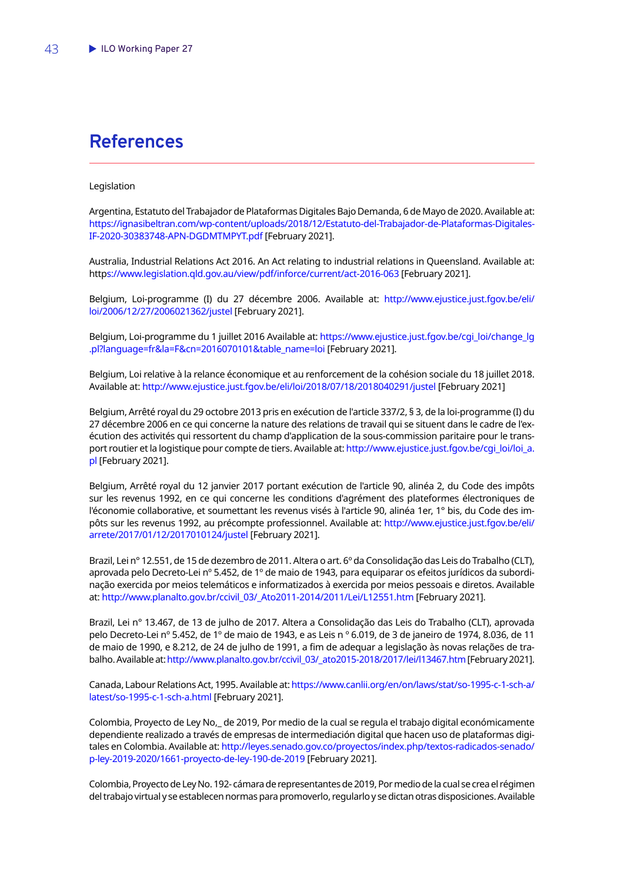# <span id="page-44-0"></span>**References**

#### Legislation

Argentina, Estatuto del Trabajador de Plataformas Digitales Bajo Demanda, 6 de Mayo de 2020. Available at: [https://ignasibeltran.com/wp-content/uploads/2018/12/Estatuto-del-Trabajador-de-Plataformas-Digitales-](https://ignasibeltran.com/wp-content/uploads/2018/12/Estatuto-del-Trabajador-de-Plataformas-Digitales-IF-2020-30383748-APN-DGDMTMPYT.pdf)[IF-2020-30383748-APN-DGDMTMPYT.pdf](https://ignasibeltran.com/wp-content/uploads/2018/12/Estatuto-del-Trabajador-de-Plataformas-Digitales-IF-2020-30383748-APN-DGDMTMPYT.pdf) [February 2021].

Australia, Industrial Relations Act 2016. An Act relating to industrial relations in Queensland. Available at: htt[ps://www.legislation.qld.gov.au/view/pdf/inforce/current/act-2016-063](https://www.legislation.qld.gov.au/view/pdf/inforce/current/act-2016-063) [February 2021].

Belgium, Loi-programme (I) du 27 décembre 2006. Available at: [http://www.ejustice.just.fgov.be/eli/](http://www.ejustice.just.fgov.be/eli/loi/2006/12/27/2006021362/justel) [loi/2006/12/27/2006021362/justel](http://www.ejustice.just.fgov.be/eli/loi/2006/12/27/2006021362/justel) [February 2021].

Belgium, Loi-programme du 1 juillet 2016 Available at: [https://www.ejustice.just.fgov.be/cgi\\_loi/change\\_lg](https://www.ejustice.just.fgov.be/cgi_loi/change_lg.pl?language=fr&la=F&cn=2016070101&table_name=loi) [.pl?language=fr&la=F&cn=2016070101&table\\_name=loi](https://www.ejustice.just.fgov.be/cgi_loi/change_lg.pl?language=fr&la=F&cn=2016070101&table_name=loi) [February 2021].

Belgium, Loi relative à la relance économique et au renforcement de la cohésion sociale du 18 juillet 2018. Available at:<http://www.ejustice.just.fgov.be/eli/loi/2018/07/18/2018040291/justel>[February 2021]

Belgium, Arrêté royal du 29 octobre 2013 pris en exécution de l'article 337/2, § 3, de la loi-programme (I) du 27 décembre 2006 en ce qui concerne la nature des relations de travail qui se situent dans le cadre de l'exécution des activités qui ressortent du champ d'application de la sous-commission paritaire pour le transport routier et la logistique pour compte de tiers. Available at: [http://www.ejustice.just.fgov.be/cgi\\_loi/loi\\_a.](http://www.ejustice.just.fgov.be/cgi_loi/loi_a.pl) [pl](http://www.ejustice.just.fgov.be/cgi_loi/loi_a.pl) [February 2021].

Belgium, Arrêté royal du 12 janvier 2017 portant exécution de l'article 90, alinéa 2, du Code des impôts sur les revenus 1992, en ce qui concerne les conditions d'agrément des plateformes électroniques de l'économie collaborative, et soumettant les revenus visés à l'article 90, alinéa 1er, 1° bis, du Code des impôts sur les revenus 1992, au précompte professionnel. Available at: [http://www.ejustice.just.fgov.be/eli/](http://www.ejustice.just.fgov.be/eli/arrete/2017/01/12/2017010124/justel) [arrete/2017/01/12/2017010124/justel](http://www.ejustice.just.fgov.be/eli/arrete/2017/01/12/2017010124/justel) [February 2021].

Brazil, Lei nº 12.551, de 15 de dezembro de 2011. Altera o art. 6º da Consolidação das Leis do Trabalho (CLT), aprovada pelo Decreto-Lei nº 5.452, de 1º de maio de 1943, para equiparar os efeitos jurídicos da subordinação exercida por meios telemáticos e informatizados à exercida por meios pessoais e diretos. Available at: [http://www.planalto.gov.br/ccivil\\_03/\\_Ato2011-2014/2011/Lei/L12551.htm](http://www.planalto.gov.br/ccivil_03/_Ato2011-2014/2011/Lei/L12551.htm) [February 2021].

Brazil, Lei n° 13.467, de 13 de julho de 2017. Altera a Consolidação das Leis do Trabalho (CLT), aprovada pelo Decreto-Lei nº 5.452, de 1º de maio de 1943, e as Leis n º 6.019, de 3 de janeiro de 1974, 8.036, de 11 de maio de 1990, e 8.212, de 24 de julho de 1991, a fim de adequar a legislação às novas relações de trabalho. Available at: [http://www.planalto.gov.br/ccivil\\_03/\\_ato2015-2018/2017/lei/l13467.htm](http://www.planalto.gov.br/ccivil_03/_ato2015-2018/2017/lei/l13467.htm) [February 2021].

Canada, Labour Relations Act, 1995. Available at: [https://www.canlii.org/en/on/laws/stat/so-1995-c-1-sch-a/](https://www.canlii.org/en/on/laws/stat/so-1995-c-1-sch-a/latest/so-1995-c-1-sch-a.html) [latest/so-1995-c-1-sch-a.html](https://www.canlii.org/en/on/laws/stat/so-1995-c-1-sch-a/latest/so-1995-c-1-sch-a.html) [February 2021].

Colombia, Proyecto de Ley No,\_ de 2019, Por medio de la cual se regula el trabajo digital económicamente dependiente realizado a través de empresas de intermediación digital que hacen uso de plataformas digitales en Colombia. Available at: [http://leyes.senado.gov.co/proyectos/index.php/textos-radicados-senado/](http://leyes.senado.gov.co/proyectos/index.php/textos-radicados-senado/p-ley-2019-2020/1661-proyecto-de-ley-190-de-2019) [p-ley-2019-2020/1661-proyecto-de-ley-190-de-2019](http://leyes.senado.gov.co/proyectos/index.php/textos-radicados-senado/p-ley-2019-2020/1661-proyecto-de-ley-190-de-2019) [February 2021].

Colombia, Proyecto de Ley No. 192- cámara de representantes de 2019, Por medio de la cual se crea el régimen del trabajo virtual y se establecen normas para promoverlo, regularlo y se dictan otras disposiciones. Available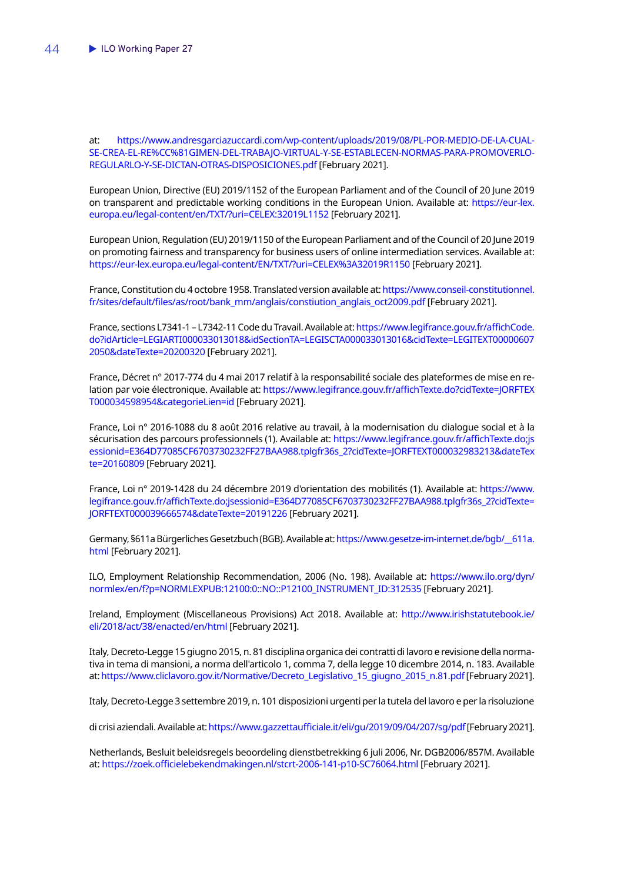at: [https://www.andresgarciazuccardi.com/wp-content/uploads/2019/08/PL-POR-MEDIO-DE-LA-CUAL-](https://www.andresgarciazuccardi.com/wp-content/uploads/2019/08/PL-POR-MEDIO-DE-LA-CUAL-SE-CREA-EL-RE%CC%81GIMEN-DEL-TRABAJO-VIRTUAL-Y-SE-ESTABLECEN-NORMAS-PARA-PROMOVERLO-REGULARLO-Y-SE-DICTAN-OTRAS-DISPOSICIONES.pdf)[SE-CREA-EL-RE%CC%81GIMEN-DEL-TRABAJO-VIRTUAL-Y-SE-ESTABLECEN-NORMAS-PARA-PROMOVERLO-](https://www.andresgarciazuccardi.com/wp-content/uploads/2019/08/PL-POR-MEDIO-DE-LA-CUAL-SE-CREA-EL-RE%CC%81GIMEN-DEL-TRABAJO-VIRTUAL-Y-SE-ESTABLECEN-NORMAS-PARA-PROMOVERLO-REGULARLO-Y-SE-DICTAN-OTRAS-DISPOSICIONES.pdf)[REGULARLO-Y-SE-DICTAN-OTRAS-DISPOSICIONES.pdf](https://www.andresgarciazuccardi.com/wp-content/uploads/2019/08/PL-POR-MEDIO-DE-LA-CUAL-SE-CREA-EL-RE%CC%81GIMEN-DEL-TRABAJO-VIRTUAL-Y-SE-ESTABLECEN-NORMAS-PARA-PROMOVERLO-REGULARLO-Y-SE-DICTAN-OTRAS-DISPOSICIONES.pdf) [February 2021].

European Union, Directive (EU) 2019/1152 of the European Parliament and of the Council of 20 June 2019 on transparent and predictable working conditions in the European Union. Available at: [https://eur-lex.](https://eur-lex.europa.eu/legal-content/en/TXT/?uri=CELEX:32019L1152) [europa.eu/legal-content/en/TXT/?uri=CELEX:32019L1152](https://eur-lex.europa.eu/legal-content/en/TXT/?uri=CELEX:32019L1152) [February 2021].

European Union, Regulation (EU) 2019/1150 of the European Parliament and of the Council of 20 June 2019 on promoting fairness and transparency for business users of online intermediation services. Available at: <https://eur-lex.europa.eu/legal-content/EN/TXT/?uri=CELEX%3A32019R1150> [February 2021].

France, Constitution du 4 octobre 1958. Translated version available at: [https://www.conseil-constitutionnel.](https://www.conseil-constitutionnel.fr/sites/default/files/as/root/bank_mm/anglais/constiution_anglais_oct2009.pdf) [fr/sites/default/files/as/root/bank\\_mm/anglais/constiution\\_anglais\\_oct2009.pdf](https://www.conseil-constitutionnel.fr/sites/default/files/as/root/bank_mm/anglais/constiution_anglais_oct2009.pdf) [February 2021].

France, sections L7341-1 – L7342-11 Code du Travail. Available at: [https://www.legifrance.gouv.fr/affichCode.](https://www.legifrance.gouv.fr/affichCode.do?idArticle=LEGIARTI000033013018&idSectionTA=LEGISCTA000033013016&cidTexte=LEGITEXT000006072050&dateTexte=20200320) [do?idArticle=LEGIARTI000033013018&idSectionTA=LEGISCTA000033013016&cidTexte=LEGITEXT00000607](https://www.legifrance.gouv.fr/affichCode.do?idArticle=LEGIARTI000033013018&idSectionTA=LEGISCTA000033013016&cidTexte=LEGITEXT000006072050&dateTexte=20200320) [2050&dateTexte=20200320](https://www.legifrance.gouv.fr/affichCode.do?idArticle=LEGIARTI000033013018&idSectionTA=LEGISCTA000033013016&cidTexte=LEGITEXT000006072050&dateTexte=20200320) [February 2021].

France, Décret n° 2017-774 du 4 mai 2017 relatif à la responsabilité sociale des plateformes de mise en relation par voie électronique. Available at: [https://www.legifrance.gouv.fr/affichTexte.do?cidTexte=JORFTEX](https://www.legifrance.gouv.fr/affichTexte.do?cidTexte=JORFTEXT000034598954&categorieLien=id) [T000034598954&categorieLien=id](https://www.legifrance.gouv.fr/affichTexte.do?cidTexte=JORFTEXT000034598954&categorieLien=id) [February 2021].

France, Loi n° 2016-1088 du 8 août 2016 relative au travail, à la modernisation du dialogue social et à la sécurisation des parcours professionnels (1). Available at: [https://www.legifrance.gouv.fr/affichTexte.do;js](https://www.legifrance.gouv.fr/affichTexte.do;jsessionid=E364D77085CF6703730232FF27BAA988.tplgfr36s_2?cidTexte=JORFTEXT000032983213&dateTexte=20160809) [essionid=E364D77085CF6703730232FF27BAA988.tplgfr36s\\_2?cidTexte=JORFTEXT000032983213&dateTex](https://www.legifrance.gouv.fr/affichTexte.do;jsessionid=E364D77085CF6703730232FF27BAA988.tplgfr36s_2?cidTexte=JORFTEXT000032983213&dateTexte=20160809) [te=20160809](https://www.legifrance.gouv.fr/affichTexte.do;jsessionid=E364D77085CF6703730232FF27BAA988.tplgfr36s_2?cidTexte=JORFTEXT000032983213&dateTexte=20160809) [February 2021].

France, Loi n° 2019-1428 du 24 décembre 2019 d'orientation des mobilités (1). Available at: [https://www.](https://www.legifrance.gouv.fr/affichTexte.do;jsessionid=E364D77085CF6703730232FF27BAA988.tplgfr36s_2?cidTexte=JORFTEXT000039666574&dateTexte=20191226) [legifrance.gouv.fr/affichTexte.do;jsessionid=E364D77085CF6703730232FF27BAA988.tplgfr36s\\_2?cidTexte=](https://www.legifrance.gouv.fr/affichTexte.do;jsessionid=E364D77085CF6703730232FF27BAA988.tplgfr36s_2?cidTexte=JORFTEXT000039666574&dateTexte=20191226) [JORFTEXT000039666574&dateTexte=20191226](https://www.legifrance.gouv.fr/affichTexte.do;jsessionid=E364D77085CF6703730232FF27BAA988.tplgfr36s_2?cidTexte=JORFTEXT000039666574&dateTexte=20191226) [February 2021].

Germany, §611a Bürgerliches Gesetzbuch (BGB). Available at: [https://www.gesetze-im-internet.de/bgb/\\_\\_611a.](https://www.gesetze-im-internet.de/bgb/__611a.html) [html](https://www.gesetze-im-internet.de/bgb/__611a.html) [February 2021].

ILO, Employment Relationship Recommendation, 2006 (No. 198). Available at: [https://www.ilo.org/dyn/](https://www.ilo.org/dyn/normlex/en/f?p=NORMLEXPUB:12100:0::NO::P12100_INSTRUMENT_ID:312535) [normlex/en/f?p=NORMLEXPUB:12100:0::NO::P12100\\_INSTRUMENT\\_ID:312535](https://www.ilo.org/dyn/normlex/en/f?p=NORMLEXPUB:12100:0::NO::P12100_INSTRUMENT_ID:312535) [February 2021].

Ireland, Employment (Miscellaneous Provisions) Act 2018. Available at: [http://www.irishstatutebook.ie/](http://www.irishstatutebook.ie/eli/2018/act/38/enacted/en/html) [eli/2018/act/38/enacted/en/html](http://www.irishstatutebook.ie/eli/2018/act/38/enacted/en/html) [February 2021].

Italy, Decreto-Legge 15 giugno 2015, n. 81 disciplina organica dei contratti di lavoro e revisione della normativa in tema di mansioni, a norma dell'articolo 1, comma 7, della legge 10 dicembre 2014, n. 183. Available at: [https://www.cliclavoro.gov.it/Normative/Decreto\\_Legislativo\\_15\\_giugno\\_2015\\_n.81.pdf](https://www.cliclavoro.gov.it/Normative/Decreto_Legislativo_15_giugno_2015_n.81.pdf) [February 2021].

Italy, Decreto-Legge 3 settembre 2019, n. 101 disposizioni urgenti per la tutela del lavoro e per la risoluzione

di crisi aziendali. Available at: <https://www.gazzettaufficiale.it/eli/gu/2019/09/04/207/sg/pdf> [February 2021].

Netherlands, Besluit beleidsregels beoordeling dienstbetrekking 6 juli 2006, Nr. DGB2006/857M. Available at: <https://zoek.officielebekendmakingen.nl/stcrt-2006-141-p10-SC76064.html> [February 2021].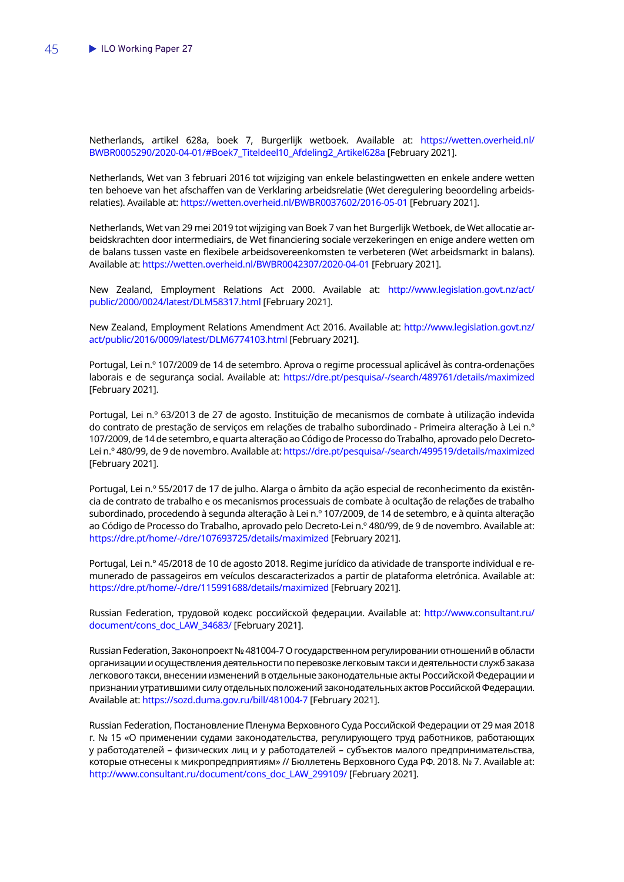Netherlands, artikel 628a, boek 7, Burgerlijk wetboek. Available at: [https://wetten.overheid.nl/](https://wetten.overheid.nl/BWBR0005290/2020-04-01/#Boek7_Titeldeel10_Afdeling2_Artikel628a) [BWBR0005290/2020-04-01/#Boek7\\_Titeldeel10\\_Afdeling2\\_Artikel628a](https://wetten.overheid.nl/BWBR0005290/2020-04-01/#Boek7_Titeldeel10_Afdeling2_Artikel628a) [February 2021].

Netherlands, Wet van 3 februari 2016 tot wijziging van enkele belastingwetten en enkele andere wetten ten behoeve van het afschaffen van de Verklaring arbeidsrelatie (Wet deregulering beoordeling arbeidsrelaties). Available at:<https://wetten.overheid.nl/BWBR0037602/2016-05-01> [February 2021].

Netherlands, Wet van 29 mei 2019 tot wijziging van Boek 7 van het Burgerlijk Wetboek, de Wet allocatie arbeidskrachten door intermediairs, de Wet financiering sociale verzekeringen en enige andere wetten om de balans tussen vaste en flexibele arbeidsovereenkomsten te verbeteren (Wet arbeidsmarkt in balans). Available at:<https://wetten.overheid.nl/BWBR0042307/2020-04-01>[February 2021].

New Zealand, Employment Relations Act 2000. Available at: [http://www.legislation.govt.nz/act/](http://www.legislation.govt.nz/act/public/2000/0024/latest/DLM58317.html) [public/2000/0024/latest/DLM58317.html](http://www.legislation.govt.nz/act/public/2000/0024/latest/DLM58317.html) [February 2021].

New Zealand, Employment Relations Amendment Act 2016. Available at: [http://www.legislation.govt.nz/](http://www.legislation.govt.nz/act/public/2016/0009/latest/DLM6774103.html) [act/public/2016/0009/latest/DLM6774103.html](http://www.legislation.govt.nz/act/public/2016/0009/latest/DLM6774103.html) [February 2021].

Portugal, Lei n.º 107/2009 de 14 de setembro. Aprova o regime processual aplicável às contra-ordenações laborais e de segurança social. Available at: <https://dre.pt/pesquisa/-/search/489761/details/maximized> [February 2021].

Portugal, Lei n.º 63/2013 de 27 de agosto. Instituição de mecanismos de combate à utilização indevida do contrato de prestação de serviços em relações de trabalho subordinado - Primeira alteração à Lei n.º 107/2009, de 14 de setembro, e quarta alteração ao Código de Processo do Trabalho, aprovado pelo Decreto-Lei n.º 480/99, de 9 de novembro. Available at:<https://dre.pt/pesquisa/-/search/499519/details/maximized> [February 2021].

Portugal, Lei n.º 55/2017 de 17 de julho. Alarga o âmbito da ação especial de reconhecimento da existência de contrato de trabalho e os mecanismos processuais de combate à ocultação de relações de trabalho subordinado, procedendo à segunda alteração à Lei n.º 107/2009, de 14 de setembro, e à quinta alteração ao Código de Processo do Trabalho, aprovado pelo Decreto-Lei n.º 480/99, de 9 de novembro. Available at: <https://dre.pt/home/-/dre/107693725/details/maximized>[February 2021].

Portugal, Lei n.° 45/2018 de 10 de agosto 2018. Regime jurídico da atividade de transporte individual e remunerado de passageiros em veículos descaracterizados a partir de plataforma eletrónica. Available at: <https://dre.pt/home/-/dre/115991688/details/maximized>[February 2021].

Russian Federation, трудовой кодекс российской федерации. Available at: [http://www.consultant.ru/](http://www.consultant.ru/document/cons_doc_LAW_34683/) [document/cons\\_doc\\_LAW\\_34683/](http://www.consultant.ru/document/cons_doc_LAW_34683/) [February 2021].

Russian Federation, Законопроект № 481004-7 О государственном регулировании отношений в области организации и осуществления деятельности по перевозке легковым такси и деятельности служб заказа легкового такси, внесении изменений в отдельные законодательные акты Российской Федерации и признании утратившими силу отдельных положений законодательных актов Российской Федерации. Available at:<https://sozd.duma.gov.ru/bill/481004-7>[February 2021].

Russian Federation, Постановление Пленума Верховного Суда Российской Федерации от 29 мая 2018 г. № 15 «О применении судами законодательства, регулирующего труд работников, работающих у работодателей – физических лиц и у работодателей – субъектов малого предпринимательства, которые отнесены к микропредприятиям» // Бюллетень Верховного Суда РФ. 2018. № 7. Available at: [http://www.consultant.ru/document/cons\\_doc\\_LAW\\_299109/](http://www.consultant.ru/document/cons_doc_LAW_299109/) [February 2021].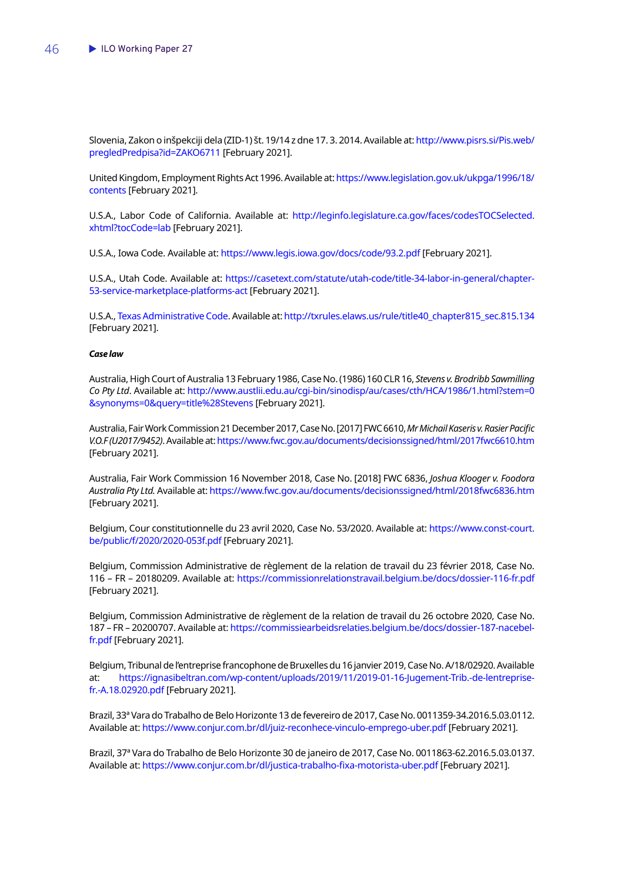Slovenia, Zakon o inšpekciji dela (ZID-1) št. 19/14 z dne 17. 3. 2014. Available at: [http://www.pisrs.si/Pis.web/](http://www.pisrs.si/Pis.web/pregledPredpisa?id=ZAKO6711) [pregledPredpisa?id=ZAKO6711](http://www.pisrs.si/Pis.web/pregledPredpisa?id=ZAKO6711) [February 2021].

United Kingdom, Employment Rights Act 1996. Available at: [https://www.legislation.gov.uk/ukpga/1996/18/](https://www.legislation.gov.uk/ukpga/1996/18/contents) [contents](https://www.legislation.gov.uk/ukpga/1996/18/contents) [February 2021].

U.S.A., Labor Code of California. Available at: [http://leginfo.legislature.ca.gov/faces/codesTOCSelected.](http://leginfo.legislature.ca.gov/faces/codesTOCSelected.xhtml?tocCode=lab) [xhtml?tocCode=lab](http://leginfo.legislature.ca.gov/faces/codesTOCSelected.xhtml?tocCode=lab) [February 2021].

U.S.A., Iowa Code. Available at:<https://www.legis.iowa.gov/docs/code/93.2.pdf>[February 2021].

U.S.A., Utah Code. Available at: [https://casetext.com/statute/utah-code/title-34-labor-in-general/chapter-](https://casetext.com/statute/utah-code/title-34-labor-in-general/chapter-53-service-marketplace-platforms-act)[53-service-marketplace-platforms-act](https://casetext.com/statute/utah-code/title-34-labor-in-general/chapter-53-service-marketplace-platforms-act) [February 2021].

U.S.A., [Texas Administrative Code.](http://txrules.elaws.us/rule) Available at: [http://txrules.elaws.us/rule/title40\\_chapter815\\_sec.815.134](http://txrules.elaws.us/rule/title40_chapter815_sec.815.134) [February 2021].

#### *Case law*

Australia, High Court of Australia 13 February 1986, Case No. (1986) 160 CLR 16, *Stevens v. Brodribb Sawmilling Co Pty Ltd*. Available at: [http://www.austlii.edu.au/cgi-bin/sinodisp/au/cases/cth/HCA/1986/1.html?stem=0](http://www.austlii.edu.au/cgi-bin/sinodisp/au/cases/cth/HCA/1986/1.html?stem=0&synonyms=0&query=title%28Stevens) [&synonyms=0&query=title%28Stevens](http://www.austlii.edu.au/cgi-bin/sinodisp/au/cases/cth/HCA/1986/1.html?stem=0&synonyms=0&query=title%28Stevens) [February 2021].

Australia, Fair Work Commission 21 December 2017, Case No. [2017] FWC 6610, *Mr Michail Kaseris v. Rasier Pacific V.O.F (U2017/9452)*. Available at:<https://www.fwc.gov.au/documents/decisionssigned/html/2017fwc6610.htm> [February 2021].

Australia, Fair Work Commission 16 November 2018, Case No. [2018] FWC 6836, *Joshua Klooger v. Foodora Australia Pty Ltd.* Available at:<https://www.fwc.gov.au/documents/decisionssigned/html/2018fwc6836.htm> [February 2021].

Belgium, Cour constitutionnelle du 23 avril 2020, Case No. 53/2020. Available at: [https://www.const-court.](https://www.const-court.be/public/f/2020/2020-053f.pdf) [be/public/f/2020/2020-053f.pdf](https://www.const-court.be/public/f/2020/2020-053f.pdf) [February 2021].

Belgium, Commission Administrative de règlement de la relation de travail du 23 février 2018, Case No. 116 – FR – 20180209. Available at: <https://commissionrelationstravail.belgium.be/docs/dossier-116-fr.pdf> [February 2021].

Belgium, Commission Administrative de règlement de la relation de travail du 26 octobre 2020, Case No. 187 – FR – 20200707. Available at: [https://commissiearbeidsrelaties.belgium.be/docs/dossier-187-nacebel](https://commissiearbeidsrelaties.belgium.be/docs/dossier-187-nacebel-fr.pdf)[fr.pdf](https://commissiearbeidsrelaties.belgium.be/docs/dossier-187-nacebel-fr.pdf) [February 2021].

Belgium, Tribunal de l'entreprise francophone de Bruxelles du 16 janvier 2019, Case No. A/18/02920. Available at: [https://ignasibeltran.com/wp-content/uploads/2019/11/2019-01-16-Jugement-Trib.-de-lentreprise](https://ignasibeltran.com/wp-content/uploads/2019/11/2019-01-16-Jugement-Trib.-de-lentreprise-fr.-A.18.02920.pdf)[fr.-A.18.02920.pdf](https://ignasibeltran.com/wp-content/uploads/2019/11/2019-01-16-Jugement-Trib.-de-lentreprise-fr.-A.18.02920.pdf) [February 2021].

Brazil, 33ª Vara do Trabalho de Belo Horizonte 13 de fevereiro de 2017, Case No. 0011359-34.2016.5.03.0112. Available at:<https://www.conjur.com.br/dl/juiz-reconhece-vinculo-emprego-uber.pdf>[February 2021].

Brazil, 37ª Vara do Trabalho de Belo Horizonte 30 de janeiro de 2017, Case No. 0011863-62.2016.5.03.0137. Available at: <https://www.conjur.com.br/dl/justica-trabalho-fixa-motorista-uber.pdf> [February 2021].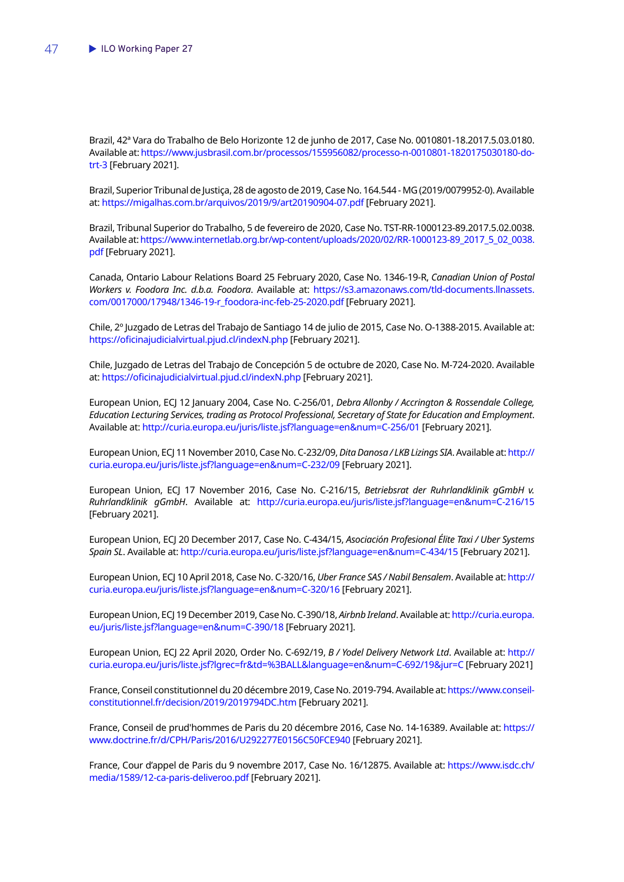Brazil, 42ª Vara do Trabalho de Belo Horizonte 12 de junho de 2017, Case No. 0010801-18.2017.5.03.0180. Available at: [https://www.jusbrasil.com.br/processos/155956082/processo-n-0010801-1820175030180-do](https://www.jusbrasil.com.br/processos/155956082/processo-n-0010801-1820175030180-do-trt-3)[trt-3](https://www.jusbrasil.com.br/processos/155956082/processo-n-0010801-1820175030180-do-trt-3) [February 2021].

Brazil, Superior Tribunal de Justiça, 28 de agosto de 2019, Case No. 164.544 - MG (2019/0079952-0). Available at:<https://migalhas.com.br/arquivos/2019/9/art20190904-07.pdf> [February 2021].

Brazil, Tribunal Superior do Trabalho, 5 de fevereiro de 2020, Case No. TST-RR-1000123-89.2017.5.02.0038. Available at: [https://www.internetlab.org.br/wp-content/uploads/2020/02/RR-1000123-89\\_2017\\_5\\_02\\_0038.](https://www.internetlab.org.br/wp-content/uploads/2020/02/RR-1000123-89_2017_5_02_0038.pdf) [pdf](https://www.internetlab.org.br/wp-content/uploads/2020/02/RR-1000123-89_2017_5_02_0038.pdf) [February 2021].

Canada, Ontario Labour Relations Board 25 February 2020, Case No. 1346-19-R, *Canadian Union of Postal Workers v. Foodora Inc. d.b.a. Foodora*. Available at: [https://s3.amazonaws.com/tld-documents.llnassets.](https://s3.amazonaws.com/tld-documents.llnassets.com/0017000/17948/1346-19-r_foodora-inc-feb-25-2020.pdf) [com/0017000/17948/1346-19-r\\_foodora-inc-feb-25-2020.pdf](https://s3.amazonaws.com/tld-documents.llnassets.com/0017000/17948/1346-19-r_foodora-inc-feb-25-2020.pdf) [February 2021].

Chile, 2º Juzgado de Letras del Trabajo de Santiago 14 de julio de 2015, Case No. O-1388-2015. Available at: <https://oficinajudicialvirtual.pjud.cl/indexN.php> [February 2021].

Chile, Juzgado de Letras del Trabajo de Concepción 5 de octubre de 2020, Case No. M-724-2020. Available at: <https://oficinajudicialvirtual.pjud.cl/indexN.php> [February 2021].

European Union, ECJ 12 January 2004, Case No. C-256/01, *Debra Allonby / Accrington & Rossendale College, Education Lecturing Services, trading as Protocol Professional, Secretary of State for Education and Employment*. Available at:<http://curia.europa.eu/juris/liste.jsf?language=en&num=C-256/01>[February 2021].

European Union, ECJ 11 November 2010, Case No. C-232/09, *Dita Danosa / LKB Lizings SIA*. Available at: [http://](http://curia.europa.eu/juris/liste.jsf?language=en&num=C-232/09) [curia.europa.eu/juris/liste.jsf?language=en&num=C-232/09](http://curia.europa.eu/juris/liste.jsf?language=en&num=C-232/09) [February 2021].

European Union, ECJ 17 November 2016, Case No. C-216/15, *Betriebsrat der Ruhrlandklinik gGmbH v. Ruhrlandklinik gGmbH*. Available at: [http://curia.europa.eu/juris/liste.jsf?language=en&num=C-216/15](http://curia.europa.eu/juris/liste.jsf?language=en&num=C-216/15.) [February 2021].

European Union, ECJ 20 December 2017, Case No. C-434/15, *Asociación Profesional Élite Taxi / Uber Systems Spain SL*. Available at: [http://curia.europa.eu/juris/liste.jsf?language=en&num=C-434/15](http://curia.europa.eu/juris/liste.jsf?language=en&num=C-434/15.) [February 2021].

European Union, ECJ 10 April 2018, Case No. C-320/16, *Uber France SAS / Nabil Bensalem*. Available at: [http://](http://curia.europa.eu/juris/liste.jsf?language=en&num=C-320/16.) [curia.europa.eu/juris/liste.jsf?language=en&num=C-320/16](http://curia.europa.eu/juris/liste.jsf?language=en&num=C-320/16.) [February 2021].

European Union, ECJ 19 December 2019, Case No. C-390/18, *Airbnb Ireland*. Available at: [http://curia.europa.](http://curia.europa.eu/juris/liste.jsf?language=en&num=C-390/18.) [eu/juris/liste.jsf?language=en&num=C-390/18](http://curia.europa.eu/juris/liste.jsf?language=en&num=C-390/18.) [February 2021].

European Union, ECJ 22 April 2020, Order No. C-692/19, *B / Yodel Delivery Network Ltd*. Available at: [http://](http://curia.europa.eu/juris/liste.jsf?lgrec=fr&td=%3BALL&language=en&num=C-692/19&jur=C) [curia.europa.eu/juris/liste.jsf?lgrec=fr&td=%3BALL&language=en&num=C-692/19&jur=C](http://curia.europa.eu/juris/liste.jsf?lgrec=fr&td=%3BALL&language=en&num=C-692/19&jur=C) [February 2021]

France, Conseil constitutionnel du 20 décembre 2019, Case No. 2019-794. Available at: [https://www.conseil](https://www.conseil-constitutionnel.fr/decision/2019/2019794DC.htm)[constitutionnel.fr/decision/2019/2019794DC.htm](https://www.conseil-constitutionnel.fr/decision/2019/2019794DC.htm) [February 2021].

France, Conseil de prud'hommes de Paris du 20 décembre 2016, Case No. 14-16389. Available at: [https://](https://www.doctrine.fr/d/CPH/Paris/2016/U292277E0156C50FCE940) [www.doctrine.fr/d/CPH/Paris/2016/U292277E0156C50FCE940](https://www.doctrine.fr/d/CPH/Paris/2016/U292277E0156C50FCE940) [February 2021].

France, Cour d'appel de Paris du 9 novembre 2017, Case No. 16/12875. Available at: [https://www.isdc.ch/](https://www.isdc.ch/media/1589/12-ca-paris-deliveroo.pdf) [media/1589/12-ca-paris-deliveroo.pdf](https://www.isdc.ch/media/1589/12-ca-paris-deliveroo.pdf) [February 2021].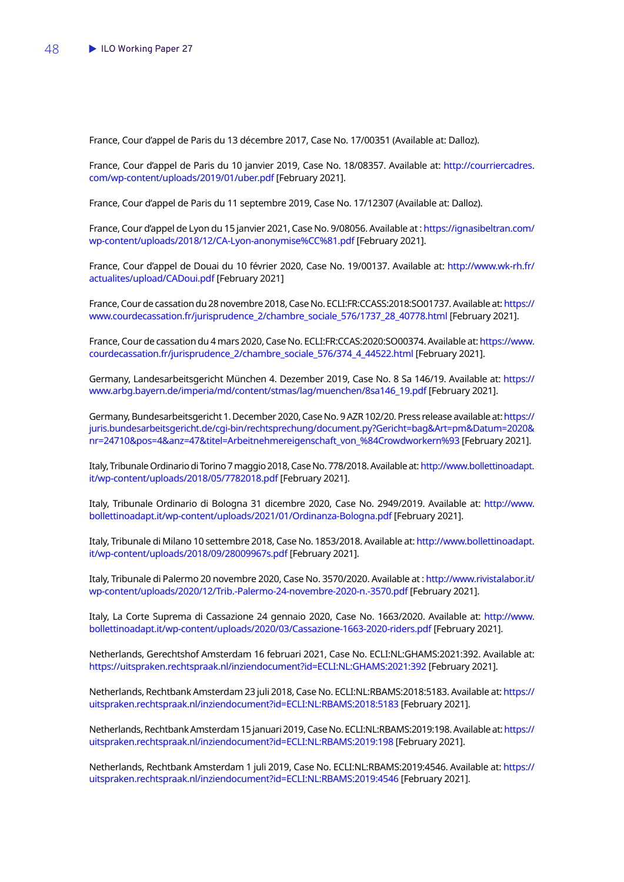France, Cour d'appel de Paris du 13 décembre 2017, Case No. 17/00351 (Available at: Dalloz).

France, Cour d'appel de Paris du 10 janvier 2019, Case No. 18/08357. Available at: [http://courriercadres.](http://courriercadres.com/wp-content/uploads/2019/01/uber.pdf) [com/wp-content/uploads/2019/01/uber.pdf](http://courriercadres.com/wp-content/uploads/2019/01/uber.pdf) [February 2021].

France, Cour d'appel de Paris du 11 septembre 2019, Case No. 17/12307 (Available at: Dalloz).

France, Cour d'appel de Lyon du 15 janvier 2021, Case No. 9/08056. Available at: [https://ignasibeltran.com/](https://ignasibeltran.com/wp-content/uploads/2018/12/CA-Lyon-anonymise%CC%81.pdf) [wp-content/uploads/2018/12/CA-Lyon-anonymise%CC%81.pdf](https://ignasibeltran.com/wp-content/uploads/2018/12/CA-Lyon-anonymise%CC%81.pdf) [February 2021].

France, Cour d'appel de Douai du 10 février 2020, Case No. 19/00137. Available at: [http://www.wk-rh.fr/](http://www.wk-rh.fr/actualites/upload/CADoui.pdf) [actualites/upload/CADoui.pdf](http://www.wk-rh.fr/actualites/upload/CADoui.pdf) [February 2021]

France, Cour de cassation du 28 novembre 2018, Case No. ECLI:FR:CCASS:2018:SO01737. Available at: [https://](https://www.courdecassation.fr/jurisprudence_2/chambre_sociale_576/1737_28_40778.html) [www.courdecassation.fr/jurisprudence\\_2/chambre\\_sociale\\_576/1737\\_28\\_40778.html](https://www.courdecassation.fr/jurisprudence_2/chambre_sociale_576/1737_28_40778.html) [February 2021].

France, Cour de cassation du 4 mars 2020, Case No. ECLI:FR:CCAS:2020:SO00374. Available at: [https://www.](https://www.courdecassation.fr/jurisprudence_2/chambre_sociale_576/374_4_44522.html) [courdecassation.fr/jurisprudence\\_2/chambre\\_sociale\\_576/374\\_4\\_44522.html](https://www.courdecassation.fr/jurisprudence_2/chambre_sociale_576/374_4_44522.html) [February 2021].

Germany, Landesarbeitsgericht München 4. Dezember 2019, Case No. 8 Sa 146/19. Available at: [https://](https://www.arbg.bayern.de/imperia/md/content/stmas/lag/muenchen/8sa146_19.pdf) [www.arbg.bayern.de/imperia/md/content/stmas/lag/muenchen/8sa146\\_19.pdf](https://www.arbg.bayern.de/imperia/md/content/stmas/lag/muenchen/8sa146_19.pdf) [February 2021].

Germany, Bundesarbeitsgericht 1. December 2020, Case No. 9 AZR 102/20. Press release available at: [https://](https://juris.bundesarbeitsgericht.de/cgi-bin/rechtsprechung/document.py?Gericht=bag&Art=pm&Datum=2020&nr=24710&pos=4&anz=47&titel=Arbeitnehmereigenschaft_von_%84Crowdworkern%93) [juris.bundesarbeitsgericht.de/cgi-bin/rechtsprechung/document.py?Gericht=bag&Art=pm&Datum=2020&](https://juris.bundesarbeitsgericht.de/cgi-bin/rechtsprechung/document.py?Gericht=bag&Art=pm&Datum=2020&nr=24710&pos=4&anz=47&titel=Arbeitnehmereigenschaft_von_%84Crowdworkern%93) [nr=24710&pos=4&anz=47&titel=Arbeitnehmereigenschaft\\_von\\_%84Crowdworkern%93](https://juris.bundesarbeitsgericht.de/cgi-bin/rechtsprechung/document.py?Gericht=bag&Art=pm&Datum=2020&nr=24710&pos=4&anz=47&titel=Arbeitnehmereigenschaft_von_%84Crowdworkern%93) [February 2021].

Italy, Tribunale Ordinario di Torino 7 maggio 2018, Case No. 778/2018. Available at: [http://www.bollettinoadapt.](http://www.bollettinoadapt.it/wp-content/uploads/2018/05/7782018.pdf) [it/wp-content/uploads/2018/05/7782018.pdf](http://www.bollettinoadapt.it/wp-content/uploads/2018/05/7782018.pdf) [February 2021].

Italy, Tribunale Ordinario di Bologna 31 dicembre 2020, Case No. 2949/2019. Available at: [http://www.](http://www.bollettinoadapt.it/wp-content/uploads/2021/01/Ordinanza-Bologna.pdf) [bollettinoadapt.it/wp-content/uploads/2021/01/Ordinanza-Bologna.pdf](http://www.bollettinoadapt.it/wp-content/uploads/2021/01/Ordinanza-Bologna.pdf) [February 2021].

Italy, Tribunale di Milano 10 settembre 2018, Case No. 1853/2018. Available at: [http://www.bollettinoadapt.](http://www.bollettinoadapt.it/wp-content/uploads/2018/09/28009967s.pdf) [it/wp-content/uploads/2018/09/28009967s.pdf](http://www.bollettinoadapt.it/wp-content/uploads/2018/09/28009967s.pdf) [February 2021].

Italy, Tribunale di Palermo 20 novembre 2020, Case No. 3570/2020. Available at : [http://www.rivistalabor.it/](http://www.rivistalabor.it/wp-content/uploads/2020/12/Trib.-Palermo-24-novembre-2020-n.-3570.pdf) [wp-content/uploads/2020/12/Trib.-Palermo-24-novembre-2020-n.-3570.pdf](http://www.rivistalabor.it/wp-content/uploads/2020/12/Trib.-Palermo-24-novembre-2020-n.-3570.pdf) [February 2021].

Italy, La Corte Suprema di Cassazione 24 gennaio 2020, Case No. 1663/2020. Available at: [http://www.](http://www.bollettinoadapt.it/wp-content/uploads/2020/03/Cassazione-1663-2020-riders.pdf) [bollettinoadapt.it/wp-content/uploads/2020/03/Cassazione-1663-2020-riders.pdf](http://www.bollettinoadapt.it/wp-content/uploads/2020/03/Cassazione-1663-2020-riders.pdf) [February 2021].

Netherlands, Gerechtshof Amsterdam 16 februari 2021, Case No. ECLI:NL:GHAMS:2021:392. Available at: <https://uitspraken.rechtspraak.nl/inziendocument?id=ECLI:NL:GHAMS:2021:392>[February 2021].

Netherlands, Rechtbank Amsterdam 23 juli 2018, Case No. ECLI:NL:RBAMS:2018:5183. Available at: [https://](https://uitspraken.rechtspraak.nl/inziendocument?id=ECLI:NL:RBAMS:2018:5183) [uitspraken.rechtspraak.nl/inziendocument?id=ECLI:NL:RBAMS:2018:5183](https://uitspraken.rechtspraak.nl/inziendocument?id=ECLI:NL:RBAMS:2018:5183) [February 2021].

Netherlands, Rechtbank Amsterdam 15 januari 2019, Case No. ECLI:NL:RBAMS:2019:198. Available at: [https://](https://uitspraken.rechtspraak.nl/inziendocument?id=ECLI:NL:RBAMS:2019:198) [uitspraken.rechtspraak.nl/inziendocument?id=ECLI:NL:RBAMS:2019:198](https://uitspraken.rechtspraak.nl/inziendocument?id=ECLI:NL:RBAMS:2019:198) [February 2021].

Netherlands, Rechtbank Amsterdam 1 juli 2019, Case No. ECLI:NL:RBAMS:2019:4546. Available at: [https://](https://uitspraken.rechtspraak.nl/inziendocument?id=ECLI:NL:RBAMS:2019:4546) [uitspraken.rechtspraak.nl/inziendocument?id=ECLI:NL:RBAMS:2019:4546](https://uitspraken.rechtspraak.nl/inziendocument?id=ECLI:NL:RBAMS:2019:4546) [February 2021].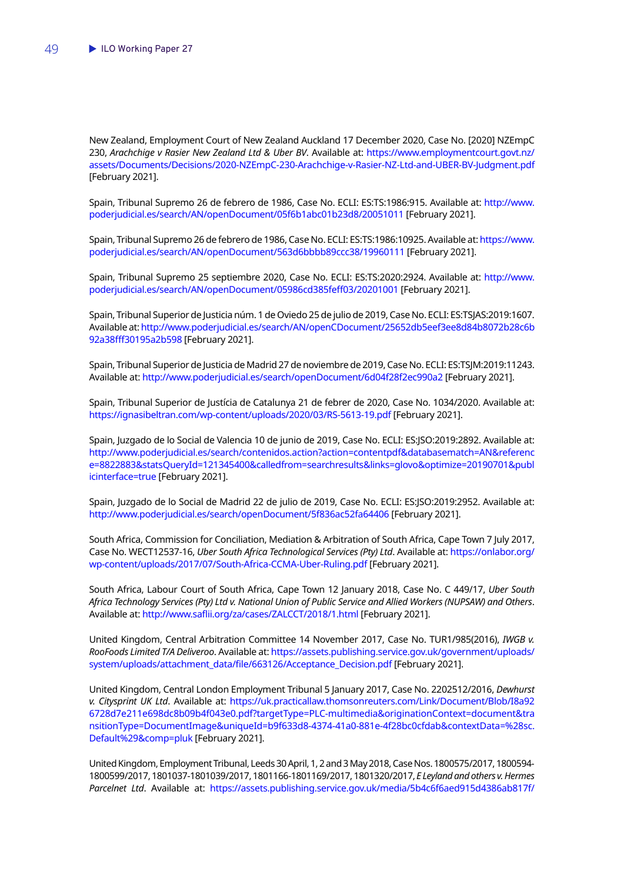New Zealand, Employment Court of New Zealand Auckland 17 December 2020, Case No. [2020] NZEmpC 230, *Arachchige v Rasier New Zealand Ltd & Uber BV*. Available at: [https://www.employmentcourt.govt.nz/](https://www.employmentcourt.govt.nz/assets/Documents/Decisions/2020-NZEmpC-230-Arachchige-v-Rasier-NZ-Ltd-and-UBER-BV-Judgment.pdf) [assets/Documents/Decisions/2020-NZEmpC-230-Arachchige-v-Rasier-NZ-Ltd-and-UBER-BV-Judgment.pdf](https://www.employmentcourt.govt.nz/assets/Documents/Decisions/2020-NZEmpC-230-Arachchige-v-Rasier-NZ-Ltd-and-UBER-BV-Judgment.pdf) [February 2021].

Spain, Tribunal Supremo 26 de febrero de 1986, Case No. ECLI: ES:TS:1986:915. Available at: [http://www.](http://www.poderjudicial.es/search/AN/openDocument/05f6b1abc01b23d8/20051011) [poderjudicial.es/search/AN/openDocument/05f6b1abc01b23d8/20051011](http://www.poderjudicial.es/search/AN/openDocument/05f6b1abc01b23d8/20051011) [February 2021].

Spain, Tribunal Supremo 26 de febrero de 1986, Case No. ECLI: ES:TS:1986:10925. Available at: [https://www.](https://www.poderjudicial.es/search/AN/openDocument/563d6bbbb89ccc38/19960111) [poderjudicial.es/search/AN/openDocument/563d6bbbb89ccc38/19960111](https://www.poderjudicial.es/search/AN/openDocument/563d6bbbb89ccc38/19960111) [February 2021].

Spain, Tribunal Supremo 25 septiembre 2020, Case No. ECLI: ES:TS:2020:2924. Available at: [http://www.](http://www.poderjudicial.es/search/AN/openDocument/05986cd385feff03/20201001) [poderjudicial.es/search/AN/openDocument/05986cd385feff03/20201001](http://www.poderjudicial.es/search/AN/openDocument/05986cd385feff03/20201001) [February 2021].

Spain, Tribunal Superior de Justicia núm. 1 de Oviedo 25 de julio de 2019, Case No. ECLI: ES:TSJAS:2019:1607. Available at: [http://www.poderjudicial.es/search/AN/openCDocument/25652db5eef3ee8d84b8072b28c6b](http://www.poderjudicial.es/search/AN/openCDocument/25652db5eef3ee8d84b8072b28c6b92a38fff30195a2b598) [92a38fff30195a2b598](http://www.poderjudicial.es/search/AN/openCDocument/25652db5eef3ee8d84b8072b28c6b92a38fff30195a2b598) [February 2021].

Spain, Tribunal Superior de Justicia de Madrid 27 de noviembre de 2019, Case No. ECLI: ES:TSJM:2019:11243. Available at:<http://www.poderjudicial.es/search/openDocument/6d04f28f2ec990a2>[February 2021].

Spain, Tribunal Superior de Justícia de Catalunya 21 de febrer de 2020, Case No. 1034/2020. Available at: <https://ignasibeltran.com/wp-content/uploads/2020/03/RS-5613-19.pdf> [February 2021].

Spain, Juzgado de lo Social de Valencia 10 de junio de 2019, Case No. ECLI: ES:JSO:2019:2892. Available at: [http://www.poderjudicial.es/search/contenidos.action?action=contentpdf&databasematch=AN&referenc](http://www.poderjudicial.es/search/contenidos.action?action=contentpdf&databasematch=AN&reference=8822883&statsQueryId=121345400&calledfrom=searchresults&links=glovo&optimize=20190701&publicinterface=true) [e=8822883&statsQueryId=121345400&calledfrom=searchresults&links=glovo&optimize=20190701&publ](http://www.poderjudicial.es/search/contenidos.action?action=contentpdf&databasematch=AN&reference=8822883&statsQueryId=121345400&calledfrom=searchresults&links=glovo&optimize=20190701&publicinterface=true) [icinterface=true](http://www.poderjudicial.es/search/contenidos.action?action=contentpdf&databasematch=AN&reference=8822883&statsQueryId=121345400&calledfrom=searchresults&links=glovo&optimize=20190701&publicinterface=true) [February 2021].

Spain, Juzgado de lo Social de Madrid 22 de julio de 2019, Case No. ECLI: ES:JSO:2019:2952. Available at: <http://www.poderjudicial.es/search/openDocument/5f836ac52fa64406> [February 2021].

South Africa, Commission for Conciliation, Mediation & Arbitration of South Africa, Cape Town 7 July 2017, Case No. WECT12537-16, *Uber South Africa Technological Services (Pty) Ltd*. Available at: [https://onlabor.org/](https://onlabor.org/wp-content/uploads/2017/07/South-Africa-CCMA-Uber-Ruling.pdf) [wp-content/uploads/2017/07/South-Africa-CCMA-Uber-Ruling.pdf](https://onlabor.org/wp-content/uploads/2017/07/South-Africa-CCMA-Uber-Ruling.pdf) [February 2021].

South Africa, Labour Court of South Africa, Cape Town 12 January 2018, Case No. C 449/17, *Uber South Africa Technology Services (Pty) Ltd v. National Union of Public Service and Allied Workers (NUPSAW) and Others*. Available at: <http://www.saflii.org/za/cases/ZALCCT/2018/1.html> [February 2021].

United Kingdom, Central Arbitration Committee 14 November 2017, Case No. TUR1/985(2016), *IWGB v. RooFoods Limited T/A Deliveroo*. Available at: [https://assets.publishing.service.gov.uk/government/uploads/](https://assets.publishing.service.gov.uk/government/uploads/system/uploads/attachment_data/file/663126/Acceptance_Decision.pdf) [system/uploads/attachment\\_data/file/663126/Acceptance\\_Decision.pdf](https://assets.publishing.service.gov.uk/government/uploads/system/uploads/attachment_data/file/663126/Acceptance_Decision.pdf) [February 2021].

United Kingdom, Central London Employment Tribunal 5 January 2017, Case No. 2202512/2016, *Dewhurst v. Citysprint UK Ltd*. Available at: [https://uk.practicallaw.thomsonreuters.com/Link/Document/Blob/I8a92](https://uk.practicallaw.thomsonreuters.com/Link/Document/Blob/I8a926728d7e211e698dc8b09b4f043e0.pdf?targetType=PLC-multimedia&originationContext=document&transitionType=DocumentImage&uniqueId=b9f633d8-4374-41a0-881e-4f28bc0cfdab&contextData=%28sc.Default%29&comp=pluk) [6728d7e211e698dc8b09b4f043e0.pdf?targetType=PLC-multimedia&originationContext=document&tra](https://uk.practicallaw.thomsonreuters.com/Link/Document/Blob/I8a926728d7e211e698dc8b09b4f043e0.pdf?targetType=PLC-multimedia&originationContext=document&transitionType=DocumentImage&uniqueId=b9f633d8-4374-41a0-881e-4f28bc0cfdab&contextData=%28sc.Default%29&comp=pluk) [nsitionType=DocumentImage&uniqueId=b9f633d8-4374-41a0-881e-4f28bc0cfdab&contextData=%28sc.](https://uk.practicallaw.thomsonreuters.com/Link/Document/Blob/I8a926728d7e211e698dc8b09b4f043e0.pdf?targetType=PLC-multimedia&originationContext=document&transitionType=DocumentImage&uniqueId=b9f633d8-4374-41a0-881e-4f28bc0cfdab&contextData=%28sc.Default%29&comp=pluk) [Default%29&comp=pluk](https://uk.practicallaw.thomsonreuters.com/Link/Document/Blob/I8a926728d7e211e698dc8b09b4f043e0.pdf?targetType=PLC-multimedia&originationContext=document&transitionType=DocumentImage&uniqueId=b9f633d8-4374-41a0-881e-4f28bc0cfdab&contextData=%28sc.Default%29&comp=pluk) [February 2021].

United Kingdom, Employment Tribunal, Leeds 30 April, 1, 2 and 3 May 2018, Case Nos. 1800575/2017, 1800594- 1800599/2017, 1801037-1801039/2017, 1801166-1801169/2017, 1801320/2017, *E Leyland and others v. Hermes Parcelnet Ltd*. Available at: [https://assets.publishing.service.gov.uk/media/5b4c6f6aed915d4386ab817f/](https://assets.publishing.service.gov.uk/media/5b4c6f6aed915d4386ab817f/Ms_E_Leyland_and_Others_v_Hermes_Parcelnet_Ltd_1800575.2017_and_Others_-_Preliminary.pdf)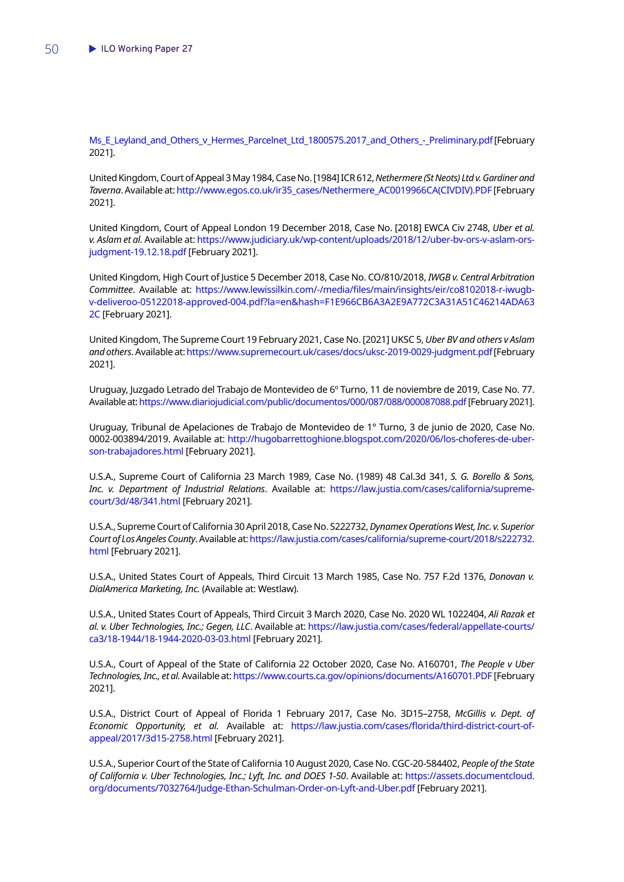[Ms\\_E\\_Leyland\\_and\\_Others\\_v\\_Hermes\\_Parcelnet\\_Ltd\\_1800575.2017\\_and\\_Others\\_-\\_Preliminary.pdf](https://assets.publishing.service.gov.uk/media/5b4c6f6aed915d4386ab817f/Ms_E_Leyland_and_Others_v_Hermes_Parcelnet_Ltd_1800575.2017_and_Others_-_Preliminary.pdf) [February 2021].

United Kingdom, Court of Appeal 3 May 1984, Case No. [1984] ICR 612, *Nethermere (St Neots) Ltd v. Gardinerand Taverna*. Available at: [http://www.egos.co.uk/ir35\\_cases/Nethermere\\_AC0019966CA\(CIVDIV\).PDF](http://www.egos.co.uk/ir35_cases/Nethermere_AC0019966CA(CIVDIV).PDF) [February 2021].

United Kingdom, Court of Appeal London 19 December 2018, Case No. [2018] EWCA Civ 2748, *Uber et al. v. Aslam et al.* Available at: [https://www.judiciary.uk/wp-content/uploads/2018/12/uber-bv-ors-v-aslam-ors](https://www.judiciary.uk/wp-content/uploads/2018/12/uber-bv-ors-v-aslam-ors-judgment-19.12.18.pdf)[judgment-19.12.18.pdf](https://www.judiciary.uk/wp-content/uploads/2018/12/uber-bv-ors-v-aslam-ors-judgment-19.12.18.pdf) [February 2021].

United Kingdom, High Court of Justice 5 December 2018, Case No. CO/810/2018, *IWGB v. Central Arbitration Committee*. Available at: [https://www.lewissilkin.com/-/media/files/main/insights/eir/co8102018-r-iwugb](https://www.lewissilkin.com/-/media/files/main/insights/eir/co8102018-r-iwugb-v-deliveroo-05122018-approved-004.pdf?la=en&hash=F1E966CB6A3A2E9A772C3A31A51C46214ADA632C)[v-deliveroo-05122018-approved-004.pdf?la=en&hash=F1E966CB6A3A2E9A772C3A31A51C46214ADA63](https://www.lewissilkin.com/-/media/files/main/insights/eir/co8102018-r-iwugb-v-deliveroo-05122018-approved-004.pdf?la=en&hash=F1E966CB6A3A2E9A772C3A31A51C46214ADA632C) [2C](https://www.lewissilkin.com/-/media/files/main/insights/eir/co8102018-r-iwugb-v-deliveroo-05122018-approved-004.pdf?la=en&hash=F1E966CB6A3A2E9A772C3A31A51C46214ADA632C) [February 2021].

United Kingdom, The Supreme Court 19 February 2021, Case No. [2021] UKSC 5, *Uber BV and others v Aslam and others*. Available at:<https://www.supremecourt.uk/cases/docs/uksc-2019-0029-judgment.pdf>[February 2021].

Uruguay, Juzgado Letrado del Trabajo de Montevideo de 6º Turno, 11 de noviembre de 2019, Case No. 77. Available at:<https://www.diariojudicial.com/public/documentos/000/087/088/000087088.pdf> [February 2021].

Uruguay, Tribunal de Apelaciones de Trabajo de Montevideo de 1° Turno, 3 de junio de 2020, Case No. 0002-003894/2019. Available at: [http://hugobarrettoghione.blogspot.com/2020/06/los-choferes-de-uber](http://hugobarrettoghione.blogspot.com/2020/06/los-choferes-de-uber-son-trabajadores.html)[son-trabajadores.html](http://hugobarrettoghione.blogspot.com/2020/06/los-choferes-de-uber-son-trabajadores.html) [February 2021].

U.S.A., Supreme Court of California 23 March 1989, Case No. (1989) 48 Cal.3d 341, *S. G. Borello & Sons, Inc. v. Department of Industrial Relations*. Available at: [https://law.justia.com/cases/california/supreme](https://law.justia.com/cases/california/supreme-court/3d/48/341.html)[court/3d/48/341.html](https://law.justia.com/cases/california/supreme-court/3d/48/341.html) [February 2021].

U.S.A., Supreme Court of California 30 April 2018, Case No. S222732, *Dynamex Operations West, Inc. v. Superior Court of Los Angeles County*. Available at: [https://law.justia.com/cases/california/supreme-court/2018/s222732.](https://law.justia.com/cases/california/supreme-court/2018/s222732.html) [html](https://law.justia.com/cases/california/supreme-court/2018/s222732.html) [February 2021].

U.S.A., United States Court of Appeals, Third Circuit 13 March 1985, Case No. 757 F.2d 1376, *Donovan v. DialAmerica Marketing, Inc.* (Available at: Westlaw).

U.S.A., United States Court of Appeals, Third Circuit 3 March 2020, Case No. 2020 WL 1022404, *Ali Razak et al. v. Uber Technologies, Inc.; Gegen, LLC*. Available at: [https://law.justia.com/cases/federal/appellate-courts/](https://law.justia.com/cases/federal/appellate-courts/ca3/18-1944/18-1944-2020-03-03.html) [ca3/18-1944/18-1944-2020-03-03.html](https://law.justia.com/cases/federal/appellate-courts/ca3/18-1944/18-1944-2020-03-03.html) [February 2021].

U.S.A., Court of Appeal of the State of California 22 October 2020, Case No. A160701, *The People v Uber Technologies, Inc., et al.* Available at:<https://www.courts.ca.gov/opinions/documents/A160701.PDF>[February 2021].

U.S.A., District Court of Appeal of Florida 1 February 2017, Case No. 3D15–2758, *McGillis v. Dept. of Economic Opportunity, et al.* Available at: [https://law.justia.com/cases/florida/third-district-court-of](https://law.justia.com/cases/florida/third-district-court-of-appeal/2017/3d15-2758.html)[appeal/2017/3d15-2758.html](https://law.justia.com/cases/florida/third-district-court-of-appeal/2017/3d15-2758.html) [February 2021].

U.S.A., Superior Court of the State of California 10 August 2020, Case No. CGC-20-584402, *People of the State of California v. Uber Technologies, Inc.; Lyft, Inc. and DOES 1-50*. Available at: [https://assets.documentcloud.](https://assets.documentcloud.org/documents/7032764/Judge-Ethan-Schulman-Order-on-Lyft-and-Uber.pdf) [org/documents/7032764/Judge-Ethan-Schulman-Order-on-Lyft-and-Uber.pdf](https://assets.documentcloud.org/documents/7032764/Judge-Ethan-Schulman-Order-on-Lyft-and-Uber.pdf) [February 2021].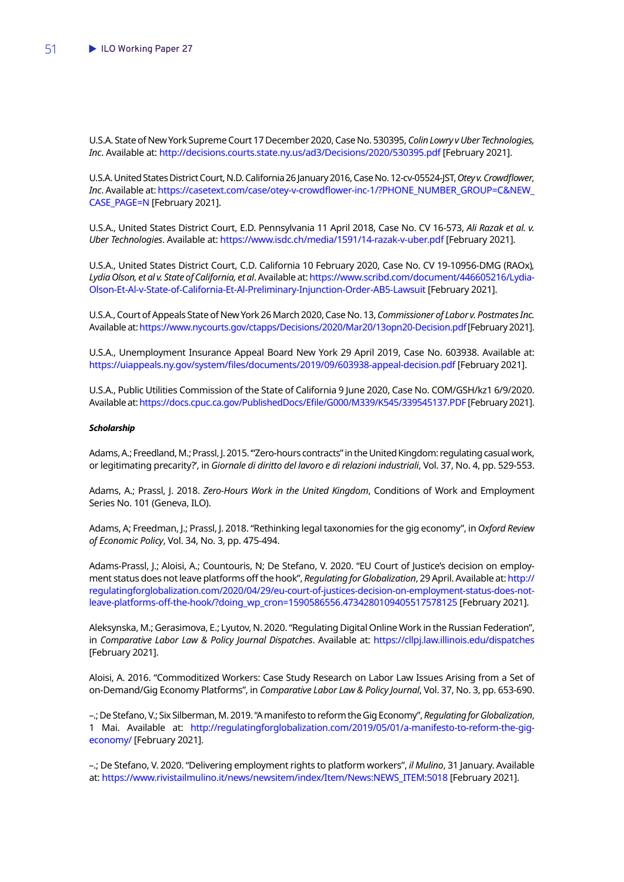U.S.A. State of New York Supreme Court 17 December 2020, Case No. 530395, *Colin Lowry v Uber Technologies, Inc*. Available at:<http://decisions.courts.state.ny.us/ad3/Decisions/2020/530395.pdf> [February 2021].

U.S.A. United States District Court, N.D. California 26 January 2016, Case No. 12-cv-05524-JST, *Otey v. Crowdflower, Inc*. Available at: [https://casetext.com/case/otey-v-crowdflower-inc-1/?PHONE\\_NUMBER\\_GROUP=C&NEW\\_](https://casetext.com/case/otey-v-crowdflower-inc-1/?PHONE_NUMBER_GROUP=C&NEW_CASE_PAGE=N) [CASE\\_PAGE=N](https://casetext.com/case/otey-v-crowdflower-inc-1/?PHONE_NUMBER_GROUP=C&NEW_CASE_PAGE=N) [February 2021].

U.S.A., United States District Court, E.D. Pennsylvania 11 April 2018, Case No. CV 16-573, *Ali Razak et al. v. Uber Technologies*. Available at:<https://www.isdc.ch/media/1591/14-razak-v-uber.pdf> [February 2021].

U.S.A., United States District Court, C.D. California 10 February 2020, Case No. CV 19-10956-DMG (RAOx)*, Lydia Olson, et al v. State of California, et al*. Available at: [https://www.scribd.com/document/446605216/Lydia-](https://www.scribd.com/document/446605216/Lydia-Olson-Et-Al-v-State-of-California-Et-Al-Preliminary-Injunction-Order-AB5-Lawsuit)[Olson-Et-Al-v-State-of-California-Et-Al-Preliminary-Injunction-Order-AB5-Lawsuit](https://www.scribd.com/document/446605216/Lydia-Olson-Et-Al-v-State-of-California-Et-Al-Preliminary-Injunction-Order-AB5-Lawsuit) [February 2021].

U.S.A., Court of Appeals State of New York 26 March 2020, Case No. 13, *Commissioner of Labor v. Postmates Inc.* Available at:<https://www.nycourts.gov/ctapps/Decisions/2020/Mar20/13opn20-Decision.pdf>[February 2021].

U.S.A., Unemployment Insurance Appeal Board New York 29 April 2019, Case No. 603938. Available at: <https://uiappeals.ny.gov/system/files/documents/2019/09/603938-appeal-decision.pdf> [February 2021].

U.S.A., Public Utilities Commission of the State of California 9 June 2020, Case No. COM/GSH/kz1 6/9/2020. Available at: <https://docs.cpuc.ca.gov/PublishedDocs/Efile/G000/M339/K545/339545137.PDF> [February 2021].

#### *Scholarship*

Adams, A.; Freedland, M.; Prassl, J. 2015. '"Zero-hours contracts" in the United Kingdom: regulating casual work, or legitimating precarity?', in *Giornale di diritto del lavoro e di relazioni industriali*, Vol. 37, No. 4, pp. 529-553.

Adams, A.; Prassl, J. 2018. *Zero-Hours Work in the United Kingdom*, Conditions of Work and Employment Series No. 101 (Geneva, ILO).

Adams, A; Freedman, J.; Prassl, J. 2018. "Rethinking legal taxonomies for the gig economy", in *Oxford Review of Economic Policy*, Vol. 34, No. 3, pp. 475-494.

Adams-Prassl, J.; Aloisi, A.; Countouris, N; De Stefano, V. 2020. "EU Court of Justice's decision on employment status does not leave platforms off the hook", *Regulating for Globalization*, 29 April. Available at: [http://](http://regulatingforglobalization.com/2020/04/29/eu-court-of-justices-decision-on-employment-status-does-not-leave-platforms-off-the-hook/?doing_wp_cron=1590586556.4734280109405517578125) [regulatingforglobalization.com/2020/04/29/eu-court-of-justices-decision-on-employment-status-does-not](http://regulatingforglobalization.com/2020/04/29/eu-court-of-justices-decision-on-employment-status-does-not-leave-platforms-off-the-hook/?doing_wp_cron=1590586556.4734280109405517578125)[leave-platforms-off-the-hook/?doing\\_wp\\_cron=1590586556.4734280109405517578125](http://regulatingforglobalization.com/2020/04/29/eu-court-of-justices-decision-on-employment-status-does-not-leave-platforms-off-the-hook/?doing_wp_cron=1590586556.4734280109405517578125) [February 2021].

Aleksynska, M.; Gerasimova, E.; Lyutov, N. 2020. "Regulating Digital Online Work in the Russian Federation", in *Comparative Labor Law & Policy Journal Dispatches*. Available at: <https://cllpj.law.illinois.edu/dispatches> [February 2021].

Aloisi, A. 2016. "Commoditized Workers: Case Study Research on Labor Law Issues Arising from a Set of on-Demand/Gig Economy Platforms", in *Comparative Labor Law & Policy Journal*, Vol. 37, No. 3, pp. 653-690.

–.; De Stefano, V.; Six Silberman, M. 2019. "A manifesto to reform the Gig Economy", *Regulating for Globalization*, 1 Mai. Available at: [http://regulatingforglobalization.com/2019/05/01/a-manifesto-to-reform-the-gig](http://regulatingforglobalization.com/2019/05/01/a-manifesto-to-reform-the-gig-economy/)[economy/](http://regulatingforglobalization.com/2019/05/01/a-manifesto-to-reform-the-gig-economy/) [February 2021].

–.; De Stefano, V. 2020. "Delivering employment rights to platform workers", *il Mulino*, 31 January. Available at: [https://www.rivistailmulino.it/news/newsitem/index/Item/News:NEWS\\_ITEM:5018](https://www.rivistailmulino.it/news/newsitem/index/Item/News:NEWS_ITEM:5018) [February 2021].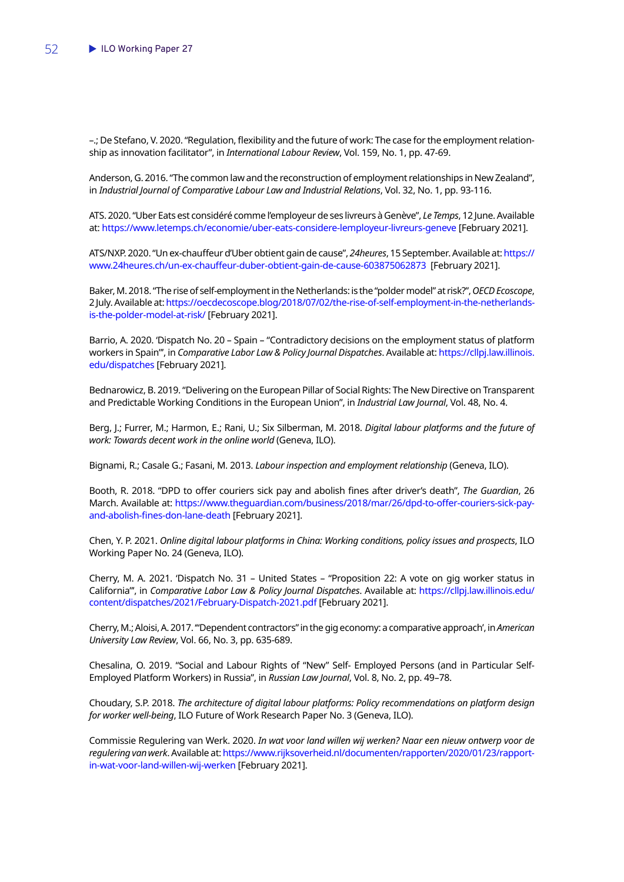–.; De Stefano, V. 2020. "Regulation, flexibility and the future of work: The case for the employment relationship as innovation facilitator", in *International Labour Review*, Vol. 159, No. 1, pp. 47-69.

Anderson, G. 2016. "The common law and the reconstruction of employment relationships in New Zealand", in *Industrial Journal of Comparative Labour Law and Industrial Relations*, Vol. 32, No. 1, pp. 93-116.

ATS. 2020. "Uber Eats est considéré comme l'employeur de ses livreurs à Genève", *Le Temps*, 12 June.Available at:<https://www.letemps.ch/economie/uber-eats-considere-lemployeur-livreurs-geneve>[February 2021].

ATS/NXP. 2020. "Un ex-chauffeur d'Uber obtient gain de cause", *24heures*, 15 September. Available at: [https://](https://www.24heures.ch/un-ex-chauffeur-duber-obtient-gain-de-cause-603875062873) [www.24heures.ch/un-ex-chauffeur-duber-obtient-gain-de-cause-603875062873](https://www.24heures.ch/un-ex-chauffeur-duber-obtient-gain-de-cause-603875062873) [February 2021].

Baker, M. 2018. "The rise of self-employment in the Netherlands: is the "polder model" at risk?", *OECD Ecoscope*, 2 July. Available at: [https://oecdecoscope.blog/2018/07/02/the-rise-of-self-employment-in-the-netherlands](https://oecdecoscope.blog/2018/07/02/the-rise-of-self-employment-in-the-netherlands-is-the-polder-model-at-risk/)[is-the-polder-model-at-risk/](https://oecdecoscope.blog/2018/07/02/the-rise-of-self-employment-in-the-netherlands-is-the-polder-model-at-risk/) [February 2021].

Barrio, A. 2020. 'Dispatch No. 20 – Spain – "Contradictory decisions on the employment status of platform workers in Spain"', in *Comparative Labor Law & Policy Journal Dispatches*. Available at: [https://cllpj.law.illinois.](https://cllpj.law.illinois.edu/dispatches) [edu/dispatches](https://cllpj.law.illinois.edu/dispatches) [February 2021].

Bednarowicz, B. 2019. "Delivering on the European Pillar of Social Rights: The New Directive on Transparent and Predictable Working Conditions in the European Union", in *Industrial Law Journal*, Vol. 48, No. 4.

Berg, J.; Furrer, M.; Harmon, E.; Rani, U.; Six Silberman, M. 2018. *Digital labour platforms and the future of work: Towards decent work in the online world* (Geneva, ILO).

Bignami, R.; Casale G.; Fasani, M. 2013. *Labour inspection and employment relationship* (Geneva, ILO).

Booth, R. 2018. "DPD to offer couriers sick pay and abolish fines after driver's death", *The Guardian*, 26 March. Available at: [https://www.theguardian.com/business/2018/mar/26/dpd-to-offer-couriers-sick-pay](https://www.theguardian.com/business/2018/mar/26/dpd-to-offer-couriers-sick-pay-and-abolish-fines-don-lane-death)[and-abolish-fines-don-lane-death](https://www.theguardian.com/business/2018/mar/26/dpd-to-offer-couriers-sick-pay-and-abolish-fines-don-lane-death) [February 2021].

Chen, Y. P. 2021. *Online digital labour platforms in China: Working conditions, policy issues and prospects*, ILO Working Paper No. 24 (Geneva, ILO).

Cherry, M. A. 2021. 'Dispatch No. 31 – United States – "Proposition 22: A vote on gig worker status in California"', in *Comparative Labor Law & Policy Journal Dispatches*. Available at: [https://cllpj.law.illinois.edu/](https://cllpj.law.illinois.edu/content/dispatches/2021/February-Dispatch-2021.pdf) [content/dispatches/2021/February-Dispatch-2021.pdf](https://cllpj.law.illinois.edu/content/dispatches/2021/February-Dispatch-2021.pdf) [February 2021].

Cherry, M.; Aloisi, A. 2017. '"Dependent contractors" in the gig economy: a comparative approach', in *American University Law Review*, Vol. 66, No. 3, pp. 635-689.

Chesalina, O. 2019. "Social and Labour Rights of "New" Self- Employed Persons (and in Particular Self-Employed Platform Workers) in Russia", in *Russian Law Journal*, Vol. 8, No. 2, pp. 49–78.

Choudary, S.P. 2018. *The architecture of digital labour platforms: Policy recommendations on platform design for worker well-being*, ILO Future of Work Research Paper No. 3 (Geneva, ILO).

Commissie Regulering van Werk. 2020. *In wat voor land willen wij werken? Naar een nieuw ontwerp voor de regulering van werk*. Available at: [https://www.rijksoverheid.nl/documenten/rapporten/2020/01/23/rapport](https://www.rijksoverheid.nl/documenten/rapporten/2020/01/23/rapport-in-wat-voor-land-willen-wij-werken)[in-wat-voor-land-willen-wij-werken](https://www.rijksoverheid.nl/documenten/rapporten/2020/01/23/rapport-in-wat-voor-land-willen-wij-werken) [February 2021].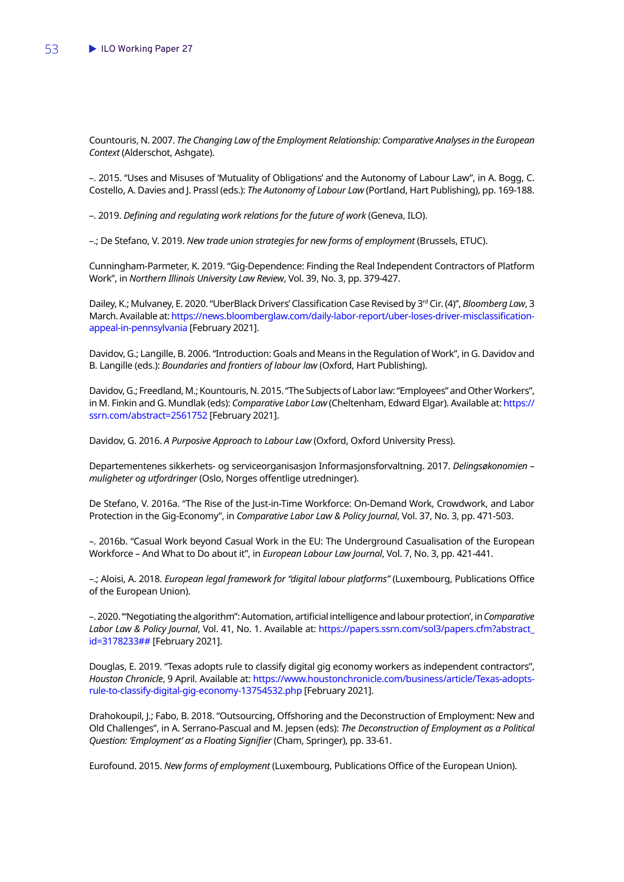Countouris, N. 2007. *The Changing Law of the Employment Relationship: Comparative Analyses in the European Context* (Alderschot, Ashgate).

–. 2015. "Uses and Misuses of 'Mutuality of Obligations' and the Autonomy of Labour Law", in A. Bogg, C. Costello, A. Davies and J. Prassl (eds.): *The Autonomy of Labour Law* (Portland, Hart Publishing), pp. 169-188.

–. 2019. *Defining and regulating work relations for the future of work* (Geneva, ILO).

–.; De Stefano, V. 2019. *New trade union strategies for new forms of employment* (Brussels, ETUC).

Cunningham-Parmeter, K. 2019. "Gig-Dependence: Finding the Real Independent Contractors of Platform Work", in *Northern Illinois University Law Review*, Vol. 39, No. 3, pp. 379-427.

Dailey, K.; Mulvaney, E. 2020. "UberBlack Drivers' Classification Case Revised by 3<sup>rd</sup> Cir. (4)", *Bloomberg Law*, 3 March. Available at: [https://news.bloomberglaw.com/daily-labor-report/uber-loses-driver-misclassification](https://news.bloomberglaw.com/daily-labor-report/uber-loses-driver-misclassification-appeal-in-pennsylvania)[appeal-in-pennsylvania](https://news.bloomberglaw.com/daily-labor-report/uber-loses-driver-misclassification-appeal-in-pennsylvania) [February 2021].

Davidov, G.; Langille, B. 2006. "Introduction: Goals and Means in the Regulation of Work", in G. Davidov and B. Langille (eds.): *Boundaries and frontiers of labour law* (Oxford, Hart Publishing).

Davidov, G.; Freedland, M.; Kountouris, N. 2015. "The Subjects of Labor law: "Employees" and Other Workers", in M. Finkin and G. Mundlak (eds): *Comparative Labor Law* (Cheltenham, Edward Elgar). Available at: [https://](https://ssrn.com/abstract=2561752) [ssrn.com/abstract=2561752](https://ssrn.com/abstract=2561752) [February 2021].

Davidov, G. 2016. *A Purposive Approach to Labour Law* (Oxford, Oxford University Press).

Departementenes sikkerhets- og serviceorganisasjon Informasjonsforvaltning. 2017. *Delingsøkonomien – muligheter og utfordringer* (Oslo, Norges offentlige utredninger).

De Stefano, V. 2016a. "The Rise of the Just-in-Time Workforce: On-Demand Work, Crowdwork, and Labor Protection in the Gig-Economy", in *Comparative Labor Law & Policy Journal*, Vol. 37, No. 3, pp. 471-503.

–. 2016b. "Casual Work beyond Casual Work in the EU: The Underground Casualisation of the European Workforce – And What to Do about it", in *European Labour Law Journal*, Vol. 7, No. 3, pp. 421-441.

–.; Aloisi, A. 2018. *European legal framework for "digital labour platforms"* (Luxembourg, Publications Office of the European Union).

–. 2020. '"Negotiating the algorithm": Automation, artificial intelligence and labour protection', in *Comparative Labor Law & Policy Journal*, Vol. 41, No. 1. Available at: [https://papers.ssrn.com/sol3/papers.cfm?abstract\\_](https://papers.ssrn.com/sol3/papers.cfm?abstract_id=3178233##) [id=3178233##](https://papers.ssrn.com/sol3/papers.cfm?abstract_id=3178233##) [February 2021].

Douglas, E. 2019. "Texas adopts rule to classify digital gig economy workers as independent contractors", *Houston Chronicle*, 9 April. Available at: [https://www.houstonchronicle.com/business/article/Texas-adopts](https://www.houstonchronicle.com/business/article/Texas-adopts-rule-to-classify-digital-gig-economy-13754532.php)[rule-to-classify-digital-gig-economy-13754532.php](https://www.houstonchronicle.com/business/article/Texas-adopts-rule-to-classify-digital-gig-economy-13754532.php) [February 2021].

Drahokoupil, J.; Fabo, B. 2018. "Outsourcing, Offshoring and the Deconstruction of Employment: New and Old Challenges", in A. Serrano-Pascual and M. Jepsen (eds): *The Deconstruction of Employment as a Political Question: 'Employment' as a Floating Signifier* (Cham, Springer), pp. 33-61.

Eurofound. 2015. *New forms of employment* (Luxembourg, Publications Office of the European Union).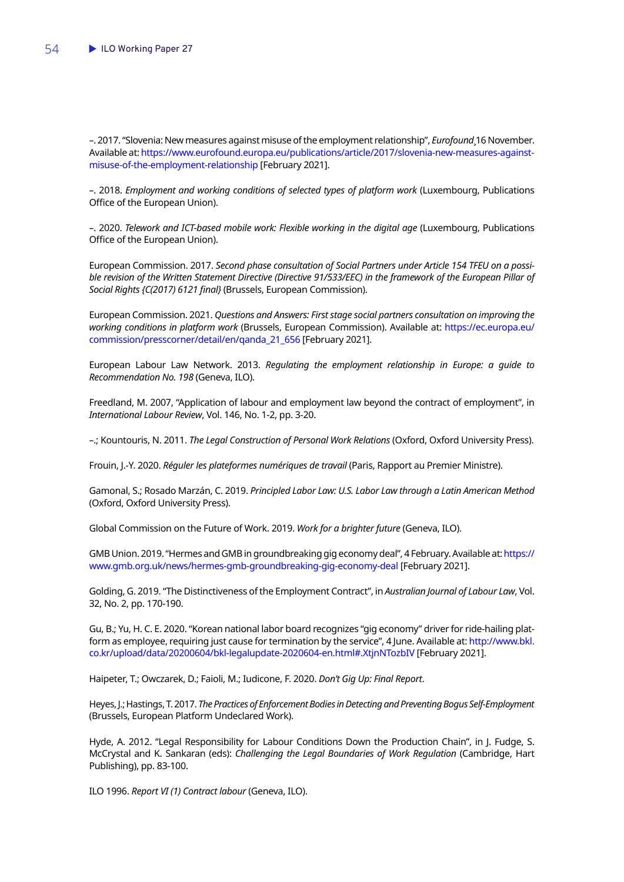–. 2017. "Slovenia: New measures against misuse of the employment relationship", *Eurofound*¸16 November. Available at: [https://www.eurofound.europa.eu/publications/article/2017/slovenia-new-measures-against](https://www.eurofound.europa.eu/publications/article/2017/slovenia-new-measures-against-misuse-of-the-employment-relationship)[misuse-of-the-employment-relationship](https://www.eurofound.europa.eu/publications/article/2017/slovenia-new-measures-against-misuse-of-the-employment-relationship) [February 2021].

–. 2018. *Employment and working conditions of selected types of platform work* (Luxembourg, Publications Office of the European Union).

–. 2020. *Telework and ICT-based mobile work: Flexible working in the digital age* (Luxembourg, Publications Office of the European Union).

European Commission. 2017. *Second phase consultation of Social Partners under Article 154 TFEU on a possi*ble revision of the Written Statement Directive (Directive 91/533/EEC) in the framework of the European Pillar of *Social Rights {C(2017) 6121 final}* (Brussels, European Commission).

European Commission. 2021. *Questions and Answers: First stage social partners consultation on improving the working conditions in platform work* (Brussels, European Commission). Available at: [https://ec.europa.eu/](https://ec.europa.eu/commission/presscorner/detail/en/qanda_21_656) [commission/presscorner/detail/en/qanda\\_21\\_656](https://ec.europa.eu/commission/presscorner/detail/en/qanda_21_656) [February 2021].

European Labour Law Network. 2013. *Regulating the employment relationship in Europe: a guide to Recommendation No. 198* (Geneva, ILO).

Freedland, M. 2007, "Application of labour and employment law beyond the contract of employment", in *International Labour Review*, Vol. 146, No. 1-2, pp. 3-20.

–.; Kountouris, N. 2011. *The Legal Construction of Personal Work Relations* (Oxford, Oxford University Press).

Frouin, J.-Y. 2020. *Réguler les plateformes numériques de travail* (Paris, Rapport au Premier Ministre).

Gamonal, S.; Rosado Marzán, C. 2019. *Principled Labor Law: U.S. Labor Law through a Latin American Method* (Oxford, Oxford University Press).

Global Commission on the Future of Work. 2019. *Work for a brighter future* (Geneva, ILO).

GMB Union. 2019. "Hermes and GMB in groundbreaking gig economy deal", 4 February. Available at: [https://](https://www.gmb.org.uk/news/hermes-gmb-groundbreaking-gig-economy-deal) [www.gmb.org.uk/news/hermes-gmb-groundbreaking-gig-economy-deal](https://www.gmb.org.uk/news/hermes-gmb-groundbreaking-gig-economy-deal) [February 2021].

Golding, G. 2019. "The Distinctiveness of the Employment Contract", in *Australian Journal of Labour Law*, Vol. 32, No. 2, pp. 170-190.

Gu, B.; Yu, H. C. E. 2020. "Korean national labor board recognizes "gig economy" driver for ride-hailing platform as employee, requiring just cause for termination by the service", 4 June. Available at: [http://www.bkl.](http://www.bkl.co.kr/upload/data/20200604/bkl-legalupdate-2020604-en.html#.XtjnNTozbIV) [co.kr/upload/data/20200604/bkl-legalupdate-2020604-en.html#.XtjnNTozbIV](http://www.bkl.co.kr/upload/data/20200604/bkl-legalupdate-2020604-en.html#.XtjnNTozbIV) [February 2021].

Haipeter, T.; Owczarek, D.; Faioli, M.; Iudicone, F. 2020. *Don't Gig Up: Final Report*.

Heyes, J.; Hastings, T. 2017. *The Practices of Enforcement Bodies in Detecting and Preventing Bogus Self-Employment* (Brussels, European Platform Undeclared Work).

Hyde, A. 2012. "Legal Responsibility for Labour Conditions Down the Production Chain", in J. Fudge, S. McCrystal and K. Sankaran (eds): *Challenging the Legal Boundaries of Work Regulation* (Cambridge, Hart Publishing), pp. 83-100.

ILO 1996. *Report VI (1) Contract labour* (Geneva, ILO).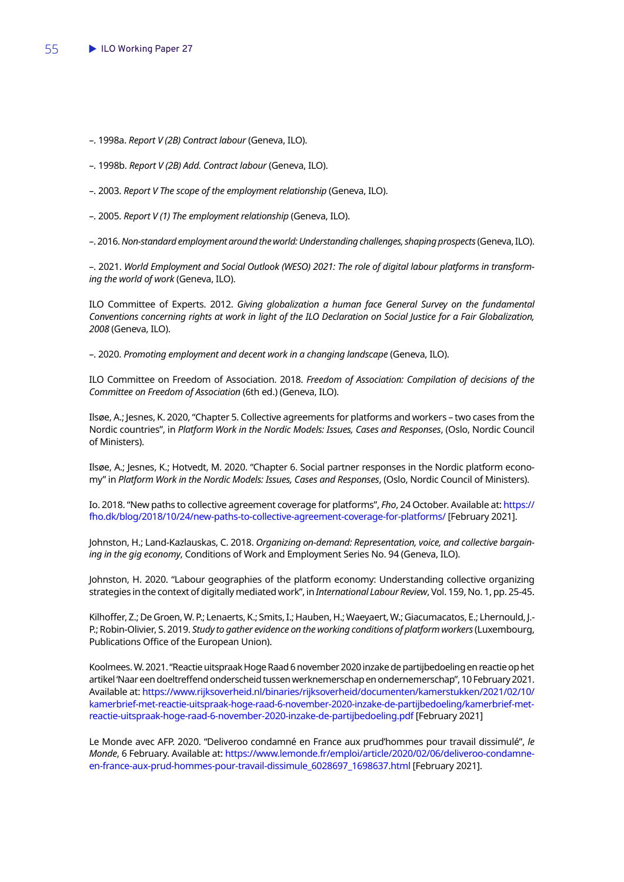- –. 1998a. *Report V (2B) Contract labour* (Geneva, ILO).
- –. 1998b. *Report V (2B) Add. Contract labour* (Geneva, ILO).
- –. 2003. *Report V The scope of the employment relationship* (Geneva, ILO).
- –. 2005. *Report V (1) The employment relationship* (Geneva, ILO).
- –. 2016. *Non-standard employment around the world: Understanding challenges, shaping prospects* (Geneva, ILO).

–. 2021. *World Employment and Social Outlook (WESO) 2021: The role of digital labour platforms in transforming the world of work* (Geneva, ILO).

ILO Committee of Experts. 2012. *Giving globalization a human face General Survey on the fundamental Conventions concerning rights at work in light of the ILO Declaration on Social Justice for a Fair Globalization, 2008* (Geneva, ILO).

–. 2020. *Promoting employment and decent work in a changing landscape* (Geneva, ILO).

ILO Committee on Freedom of Association. 2018. *Freedom of Association: Compilation of decisions of the Committee on Freedom of Association* (6th ed.) (Geneva, ILO).

Ilsøe, A.; Jesnes, K. 2020, "Chapter 5. Collective agreements for platforms and workers – two cases from the Nordic countries", in *Platform Work in the Nordic Models: Issues, Cases and Responses*, (Oslo, Nordic Council of Ministers).

Ilsøe, A.; Jesnes, K.; Hotvedt, M. 2020. "Chapter 6. Social partner responses in the Nordic platform economy" in *Platform Work in the Nordic Models: Issues, Cases and Responses*, (Oslo, Nordic Council of Ministers).

Io. 2018. "New paths to collective agreement coverage for platforms", *Fho*, 24 October. Available at: [https://](https://fho.dk/blog/2018/10/24/new-paths-to-collective-agreement-coverage-for-platforms/) [fho.dk/blog/2018/10/24/new-paths-to-collective-agreement-coverage-for-platforms/](https://fho.dk/blog/2018/10/24/new-paths-to-collective-agreement-coverage-for-platforms/) [February 2021].

Johnston, H.; Land-Kazlauskas, C. 2018. *Organizing on-demand: Representation, voice, and collective bargaining in the gig economy*, Conditions of Work and Employment Series No. 94 (Geneva, ILO).

Johnston, H. 2020. "Labour geographies of the platform economy: Understanding collective organizing strategies in the context of digitally mediated work", in *International Labour Review*, Vol. 159, No. 1, pp. 25-45.

Kilhoffer, Z.; De Groen, W. P.; Lenaerts, K.; Smits, I.; Hauben, H.; Waeyaert, W.; Giacumacatos, E.; Lhernould, J.- P.; Robin-Olivier, S. 2019. *Study to gather evidence on the working conditions of platform workers* (Luxembourg, Publications Office of the European Union).

Koolmees. W. 2021. "Reactie uitspraak Hoge Raad 6 november 2020 inzake de partijbedoeling en reactie op het artikel 'Naar een doeltreffend onderscheid tussen werknemerschap en ondernemerschap", 10 February 2021. Available at: [https://www.rijksoverheid.nl/binaries/rijksoverheid/documenten/kamerstukken/2021/02/10/](https://www.rijksoverheid.nl/binaries/rijksoverheid/documenten/kamerstukken/2021/02/10/kamerbrief-met-reactie-uitspraak-hoge-raad-6-november-2020-inzake-de-partijbedoeling/kamerbrief-met-reactie-uitspraak-hoge-raad-6-november-2020-inzake-de-partijbedoeling.pdf) [kamerbrief-met-reactie-uitspraak-hoge-raad-6-november-2020-inzake-de-partijbedoeling/kamerbrief-met](https://www.rijksoverheid.nl/binaries/rijksoverheid/documenten/kamerstukken/2021/02/10/kamerbrief-met-reactie-uitspraak-hoge-raad-6-november-2020-inzake-de-partijbedoeling/kamerbrief-met-reactie-uitspraak-hoge-raad-6-november-2020-inzake-de-partijbedoeling.pdf)[reactie-uitspraak-hoge-raad-6-november-2020-inzake-de-partijbedoeling.pdf](https://www.rijksoverheid.nl/binaries/rijksoverheid/documenten/kamerstukken/2021/02/10/kamerbrief-met-reactie-uitspraak-hoge-raad-6-november-2020-inzake-de-partijbedoeling/kamerbrief-met-reactie-uitspraak-hoge-raad-6-november-2020-inzake-de-partijbedoeling.pdf) [February 2021]

Le Monde avec AFP. 2020. "Deliveroo condamné en France aux prud'hommes pour travail dissimulé", *le Monde*, 6 February. Available at: [https://www.lemonde.fr/emploi/article/2020/02/06/deliveroo-condamne](https://www.lemonde.fr/emploi/article/2020/02/06/deliveroo-condamne-en-france-aux-prud-hommes-pour-travail-dissimule_6028697_1698637.html)[en-france-aux-prud-hommes-pour-travail-dissimule\\_6028697\\_1698637.html](https://www.lemonde.fr/emploi/article/2020/02/06/deliveroo-condamne-en-france-aux-prud-hommes-pour-travail-dissimule_6028697_1698637.html) [February 2021].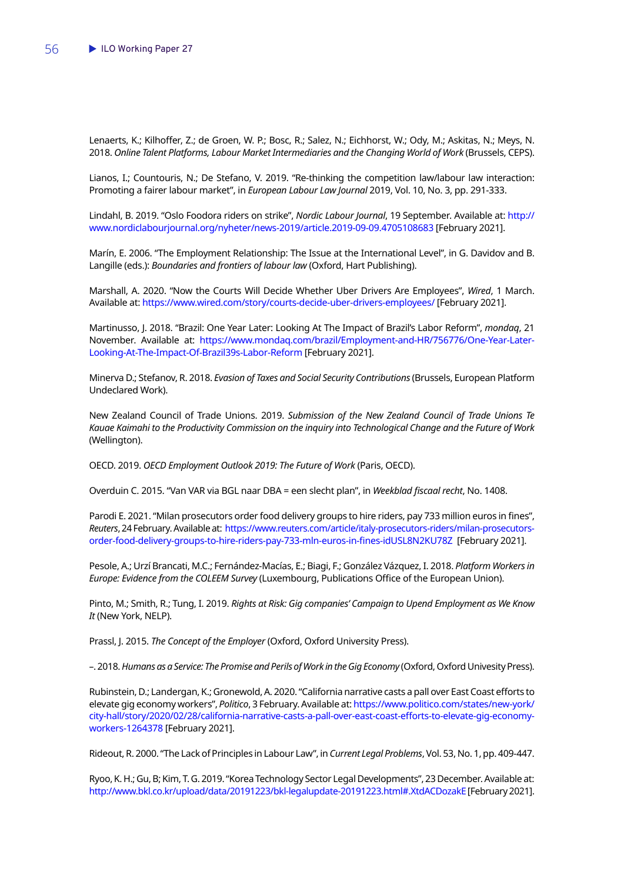Lenaerts, K.; Kilhoffer, Z.; de Groen, W. P.; Bosc, R.; Salez, N.; Eichhorst, W.; Ody, M.; Askitas, N.; Meys, N. 2018. Online Talent Platforms, Labour Market Intermediaries and the Changing World of Work (Brussels, CEPS).

Lianos, I.; Countouris, N.; De Stefano, V. 2019. "Re-thinking the competition law/labour law interaction: Promoting a fairer labour market", in *European Labour Law Journal* 2019, Vol. 10, No. 3, pp. 291-333.

Lindahl, B. 2019. "Oslo Foodora riders on strike", *Nordic Labour Journal*, 19 September. Available at: [http://](http://www.nordiclabourjournal.org/nyheter/news-2019/article.2019-09-09.4705108683) [www.nordiclabourjournal.org/nyheter/news-2019/article.2019-09-09.4705108683](http://www.nordiclabourjournal.org/nyheter/news-2019/article.2019-09-09.4705108683) [February 2021].

Marín, E. 2006. "The Employment Relationship: The Issue at the International Level", in G. Davidov and B. Langille (eds.): *Boundaries and frontiers of labour law* (Oxford, Hart Publishing).

Marshall, A. 2020. "Now the Courts Will Decide Whether Uber Drivers Are Employees", *Wired*, 1 March. Available at:<https://www.wired.com/story/courts-decide-uber-drivers-employees/>[February 2021].

Martinusso, J. 2018. "Brazil: One Year Later: Looking At The Impact of Brazil's Labor Reform", *mondaq*, 21 November. Available at: [https://www.mondaq.com/brazil/Employment-and-HR/756776/One-Year-Later-](https://www.mondaq.com/brazil/Employment-and-HR/756776/One-Year-Later-Looking-At-The-Impact-Of-Brazil39s-Labor-Reform)[Looking-At-The-Impact-Of-Brazil39s-Labor-Reform](https://www.mondaq.com/brazil/Employment-and-HR/756776/One-Year-Later-Looking-At-The-Impact-Of-Brazil39s-Labor-Reform) [February 2021].

Minerva D.; Stefanov, R. 2018. *Evasion of Taxes and Social Security Contributions* (Brussels, European Platform Undeclared Work).

New Zealand Council of Trade Unions. 2019. *Submission of the New Zealand Council of Trade Unions Te Kauae Kaimahi to the Productivity Commission on the inquiry into Technological Change and the Future of Work*  (Wellington).

OECD. 2019. *OECD Employment Outlook 2019: The Future of Work* (Paris, OECD).

Overduin C. 2015. "Van VAR via BGL naar DBA = een slecht plan", in *Weekblad fiscaal recht*, No. 1408.

Parodi E. 2021. "Milan prosecutors order food delivery groups to hire riders, pay 733 million euros in fines", *Reuters*, 24 February. Available at: [https://www.reuters.com/article/italy-prosecutors-riders/milan-prosecutors](https://www.reuters.com/article/italy-prosecutors-riders/milan-prosecutors-order-food-delivery-groups-to-hire-riders-pay-733-mln-euros-in-fines-idUSL8N2KU78Z)[order-food-delivery-groups-to-hire-riders-pay-733-mln-euros-in-fines-idUSL8N2KU78Z](https://www.reuters.com/article/italy-prosecutors-riders/milan-prosecutors-order-food-delivery-groups-to-hire-riders-pay-733-mln-euros-in-fines-idUSL8N2KU78Z) [February 2021].

Pesole, A.; Urzí Brancati, M.C.; Fernández-Macías, E.; Biagi, F.; González Vázquez, I. 2018. *Platform Workers in Europe: Evidence from the COLEEM Survey* (Luxembourg, Publications Office of the European Union).

Pinto, M.; Smith, R.; Tung, I. 2019. *Rights at Risk: Gig companies' Campaign to Upend Employment as We Know It* (New York, NELP).

Prassl, J. 2015. *The Concept of the Employer* (Oxford, Oxford University Press).

–. 2018. *Humans as a Service: The Promise and Perils of Work in the Gig Economy* (Oxford, Oxford Univesity Press).

Rubinstein, D.; Landergan, K.; Gronewold, A. 2020. "California narrative casts a pall over East Coast efforts to elevate gig economy workers", *Politico*, 3 February. Available at: [https://www.politico.com/states/new-york/](https://www.politico.com/states/new-york/city-hall/story/2020/02/28/california-narrative-casts-a-pall-over-east-coast-efforts-to-elevate-gig-economy-workers-1264378) [city-hall/story/2020/02/28/california-narrative-casts-a-pall-over-east-coast-efforts-to-elevate-gig-economy](https://www.politico.com/states/new-york/city-hall/story/2020/02/28/california-narrative-casts-a-pall-over-east-coast-efforts-to-elevate-gig-economy-workers-1264378)[workers-1264378](https://www.politico.com/states/new-york/city-hall/story/2020/02/28/california-narrative-casts-a-pall-over-east-coast-efforts-to-elevate-gig-economy-workers-1264378) [February 2021].

Rideout, R. 2000. "The Lack of Principles in Labour Law", in *Current Legal Problems*, Vol. 53, No. 1, pp. 409-447.

Ryoo, K. H.; Gu, B; Kim, T. G. 2019. "Korea Technology Sector Legal Developments", 23 December. Available at: <http://www.bkl.co.kr/upload/data/20191223/bkl-legalupdate-20191223.html#.XtdACDozakE>[February 2021].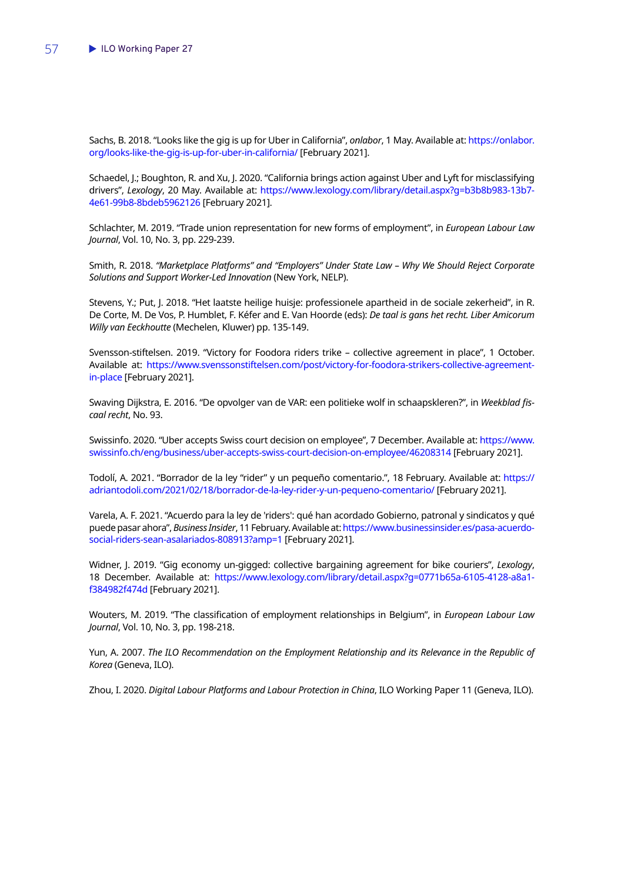Sachs, B. 2018. "Looks like the gig is up for Uber in California", *onlabor*, 1 May. Available at: [https://onlabor.](https://onlabor.org/looks-like-the-gig-is-up-for-uber-in-california/) [org/looks-like-the-gig-is-up-for-uber-in-california/](https://onlabor.org/looks-like-the-gig-is-up-for-uber-in-california/) [February 2021].

Schaedel, J.; Boughton, R. and Xu, J. 2020. "California brings action against Uber and Lyft for misclassifying drivers", *Lexology*, 20 May. Available at: [https://www.lexology.com/library/detail.aspx?g=b3b8b983-13b7-](https://www.lexology.com/library/detail.aspx?g=b3b8b983-13b7-4e61-99b8-8bdeb5962126) [4e61-99b8-8bdeb5962126](https://www.lexology.com/library/detail.aspx?g=b3b8b983-13b7-4e61-99b8-8bdeb5962126) [February 2021].

Schlachter, M. 2019. "Trade union representation for new forms of employment", in *European Labour Law Journal*, Vol. 10, No. 3, pp. 229-239.

Smith, R. 2018. *"Marketplace Platforms" and "Employers" Under State Law – Why We Should Reject Corporate Solutions and Support Worker-Led Innovation* (New York, NELP).

Stevens, Y.; Put, J. 2018. "Het laatste heilige huisje: professionele apartheid in de sociale zekerheid", in R. De Corte, M. De Vos, P. Humblet, F. Kéfer and E. Van Hoorde (eds): *De taal is gans het recht. Liber Amicorum Willy van Eeckhoutte* (Mechelen, Kluwer) pp. 135-149.

Svensson-stiftelsen. 2019. "Victory for Foodora riders trike – collective agreement in place", 1 October. Available at: [https://www.svenssonstiftelsen.com/post/victory-for-foodora-strikers-collective-agreement](https://www.svenssonstiftelsen.com/post/victory-for-foodora-strikers-collective-agreement-in-place)[in-place](https://www.svenssonstiftelsen.com/post/victory-for-foodora-strikers-collective-agreement-in-place) [February 2021].

Swaving Dijkstra, E. 2016. "De opvolger van de VAR: een politieke wolf in schaapskleren?", in *Weekblad fiscaal recht*, No. 93.

Swissinfo. 2020. "Uber accepts Swiss court decision on employee", 7 December. Available at: [https://www.](https://www.swissinfo.ch/eng/business/uber-accepts-swiss-court-decision-on-employee/46208314) [swissinfo.ch/eng/business/uber-accepts-swiss-court-decision-on-employee/46208314](https://www.swissinfo.ch/eng/business/uber-accepts-swiss-court-decision-on-employee/46208314) [February 2021].

Todolí, A. 2021. "Borrador de la ley "rider" y un pequeño comentario.", 18 February. Available at: [https://](https://adriantodoli.com/2021/02/18/borrador-de-la-ley-rider-y-un-pequeno-comentario/) [adriantodoli.com/2021/02/18/borrador-de-la-ley-rider-y-un-pequeno-comentario/](https://adriantodoli.com/2021/02/18/borrador-de-la-ley-rider-y-un-pequeno-comentario/) [February 2021].

Varela, A. F. 2021. "Acuerdo para la ley de 'riders': qué han acordado Gobierno, patronal y sindicatos y qué puede pasar ahora", *Business Insider*, 11 February. Available at: [https://www.businessinsider.es/pasa-acuerdo](https://www.businessinsider.es/pasa-acuerdo-social-riders-sean-asalariados-808913?amp=1)[social-riders-sean-asalariados-808913?amp=1](https://www.businessinsider.es/pasa-acuerdo-social-riders-sean-asalariados-808913?amp=1) [February 2021].

Widner, J. 2019. "Gig economy un-gigged: collective bargaining agreement for bike couriers", *Lexology*, 18 December. Available at: [https://www.lexology.com/library/detail.aspx?g=0771b65a-6105-4128-a8a1](https://www.lexology.com/library/detail.aspx?g=0771b65a-6105-4128-a8a1-f384982f474d) [f384982f474d](https://www.lexology.com/library/detail.aspx?g=0771b65a-6105-4128-a8a1-f384982f474d) [February 2021].

Wouters, M. 2019. "The classification of employment relationships in Belgium", in *European Labour Law Journal*, Vol. 10, No. 3, pp. 198-218.

Yun, A. 2007. *The ILO Recommendation on the Employment Relationship and its Relevance in the Republic of Korea* (Geneva, ILO).

Zhou, I. 2020. *Digital Labour Platforms and Labour Protection in China*, ILO Working Paper 11 (Geneva, ILO).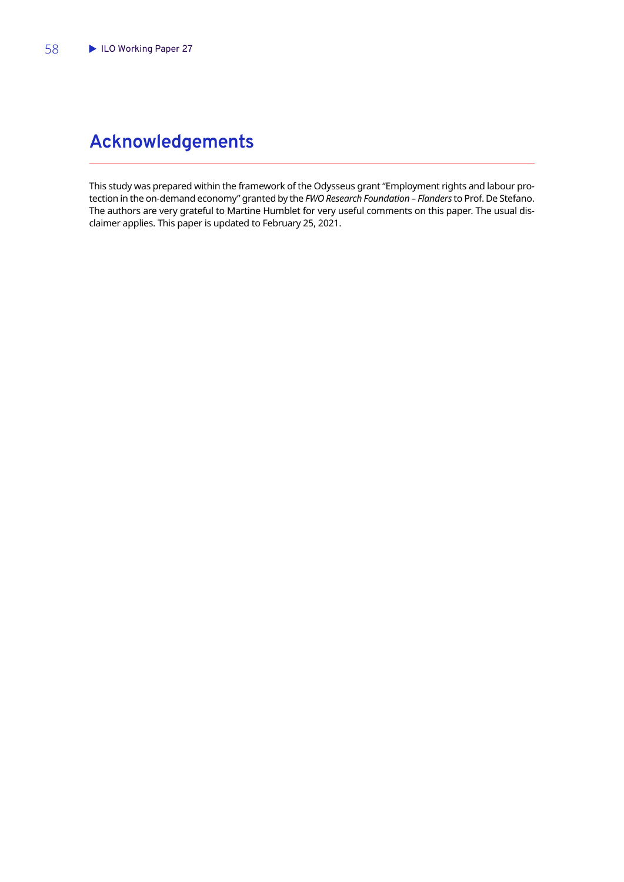# <span id="page-59-0"></span>**Acknowledgements**

This study was prepared within the framework of the Odysseus grant "Employment rights and labour protection in the on-demand economy" granted by the *FWO Research Foundation – Flanders* to Prof. De Stefano. The authors are very grateful to Martine Humblet for very useful comments on this paper. The usual disclaimer applies. This paper is updated to February 25, 2021.